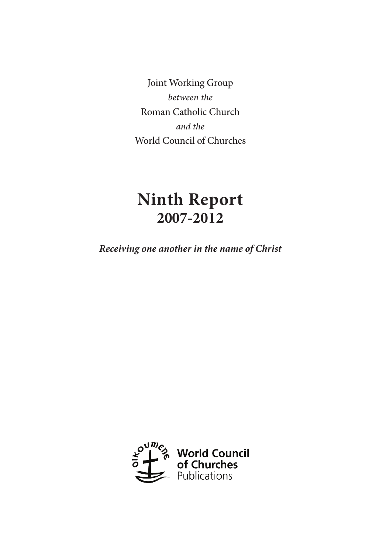Joint Working Group *between the* Roman Catholic Church *and the* World Council of Churches

# **Ninth Report 2007-2012**

*Receiving one another in the name of Christ*

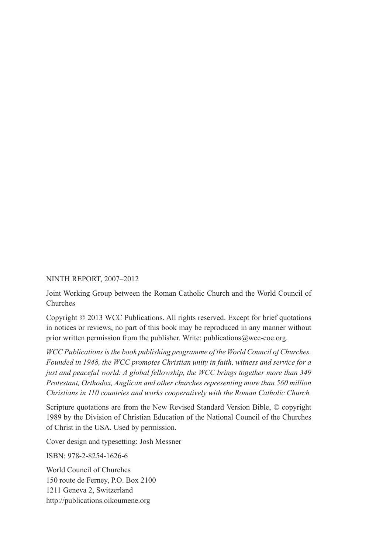#### NINTH REPORT, 2007–2012

Joint Working Group between the Roman Catholic Church and the World Council of Churches

Copyright © 2013 WCC Publications. All rights reserved. Except for brief quotations in notices or reviews, no part of this book may be reproduced in any manner without prior written permission from the publisher. Write: publications  $@$  wcc-coe.org.

*WCC Publications is the book publishing programme of the World Council of Churches. Founded in 1948, the WCC promotes Christian unity in faith, witness and service for a just and peaceful world. A global fellowship, the WCC brings together more than 349 Protestant, Orthodox, Anglican and other churches representing more than 560 million Christians in 110 countries and works cooperatively with the Roman Catholic Church.*

Scripture quotations are from the New Revised Standard Version Bible, © copyright 1989 by the Division of Christian Education of the National Council of the Churches of Christ in the USA. Used by permission.

Cover design and typesetting: Josh Messner

ISBN: 978-2-8254-1626-6

World Council of Churches 150 route de Ferney, P.O. Box 2100 1211 Geneva 2, Switzerland http://publications.oikoumene.org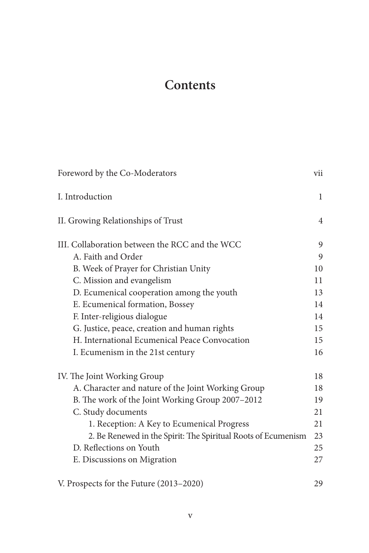# **Contents**

| Foreword by the Co-Moderators                                 | vii            |
|---------------------------------------------------------------|----------------|
| I. Introduction                                               | $\mathbf{1}$   |
| II. Growing Relationships of Trust                            | $\overline{4}$ |
| III. Collaboration between the RCC and the WCC                | 9              |
| A. Faith and Order                                            | 9              |
| B. Week of Prayer for Christian Unity                         | 10             |
| C. Mission and evangelism                                     | 11             |
| D. Ecumenical cooperation among the youth                     | 13             |
| E. Ecumenical formation, Bossey                               | 14             |
| F. Inter-religious dialogue                                   | 14             |
| G. Justice, peace, creation and human rights                  | 15             |
| H. International Ecumenical Peace Convocation                 | 15             |
| I. Ecumenism in the 21st century                              | 16             |
| IV. The Joint Working Group                                   | 18             |
| A. Character and nature of the Joint Working Group            | 18             |
| B. The work of the Joint Working Group 2007-2012              | 19             |
| C. Study documents                                            | 21             |
| 1. Reception: A Key to Ecumenical Progress                    | 21             |
| 2. Be Renewed in the Spirit: The Spiritual Roots of Ecumenism | 23             |
| D. Reflections on Youth                                       | 25             |
| E. Discussions on Migration                                   | 27             |
| V. Prospects for the Future (2013-2020)                       | 29             |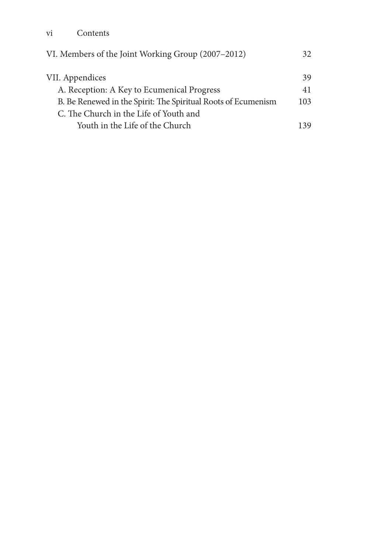| VI. Members of the Joint Working Group (2007–2012)            | 32  |
|---------------------------------------------------------------|-----|
| VII. Appendices                                               | 39  |
| A. Reception: A Key to Ecumenical Progress                    | 41  |
| B. Be Renewed in the Spirit: The Spiritual Roots of Ecumenism | 103 |
| C. The Church in the Life of Youth and                        |     |
| Youth in the Life of the Church                               | 139 |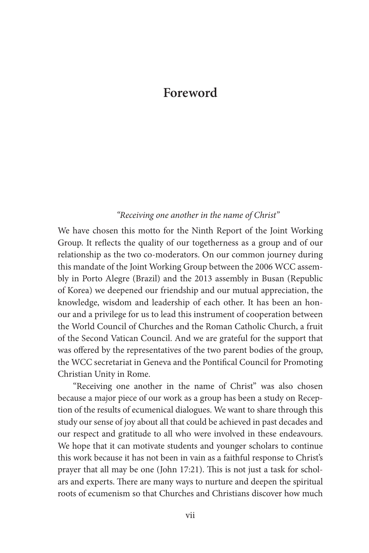## **Foreword**

#### *"Receiving one another in the name of Christ"*

We have chosen this motto for the Ninth Report of the Joint Working Group. It reflects the quality of our togetherness as a group and of our relationship as the two co-moderators. On our common journey during this mandate of the Joint Working Group between the 2006 WCC assembly in Porto Alegre (Brazil) and the 2013 assembly in Busan (Republic of Korea) we deepened our friendship and our mutual appreciation, the knowledge, wisdom and leadership of each other. It has been an honour and a privilege for us to lead this instrument of cooperation between the World Council of Churches and the Roman Catholic Church, a fruit of the Second Vatican Council. And we are grateful for the support that was offered by the representatives of the two parent bodies of the group, the WCC secretariat in Geneva and the Pontifical Council for Promoting Christian Unity in Rome.

"Receiving one another in the name of Christ" was also chosen because a major piece of our work as a group has been a study on Reception of the results of ecumenical dialogues. We want to share through this study our sense of joy about all that could be achieved in past decades and our respect and gratitude to all who were involved in these endeavours. We hope that it can motivate students and younger scholars to continue this work because it has not been in vain as a faithful response to Christ's prayer that all may be one (John 17:21). This is not just a task for scholars and experts. There are many ways to nurture and deepen the spiritual roots of ecumenism so that Churches and Christians discover how much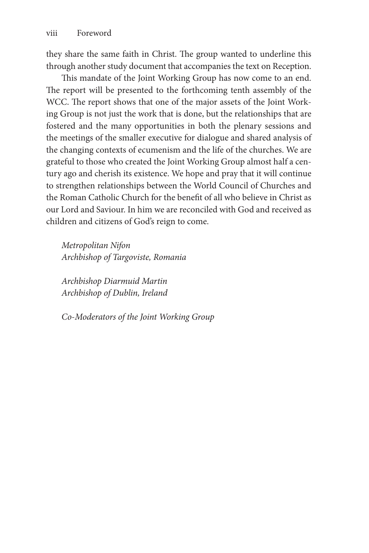they share the same faith in Christ. The group wanted to underline this through another study document that accompanies the text on Reception.

This mandate of the Joint Working Group has now come to an end. The report will be presented to the forthcoming tenth assembly of the WCC. The report shows that one of the major assets of the Joint Working Group is not just the work that is done, but the relationships that are fostered and the many opportunities in both the plenary sessions and the meetings of the smaller executive for dialogue and shared analysis of the changing contexts of ecumenism and the life of the churches. We are grateful to those who created the Joint Working Group almost half a century ago and cherish its existence. We hope and pray that it will continue to strengthen relationships between the World Council of Churches and the Roman Catholic Church for the benefit of all who believe in Christ as our Lord and Saviour. In him we are reconciled with God and received as children and citizens of God's reign to come.

*Metropolitan Nifon Archbishop of Targoviste, Romania*

*Archbishop Diarmuid Martin Archbishop of Dublin, Ireland*

*Co-Moderators of the Joint Working Group*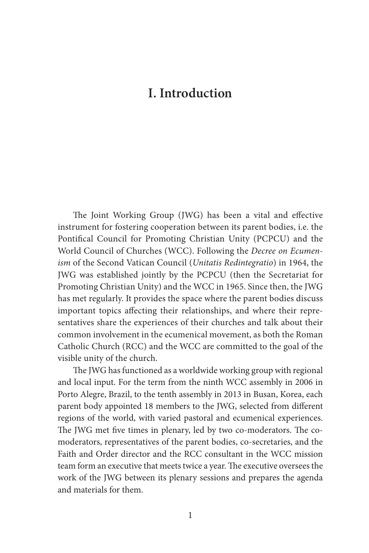# **I. Introduction**

The Joint Working Group (JWG) has been a vital and effective instrument for fostering cooperation between its parent bodies, i.e. the Pontifical Council for Promoting Christian Unity (PCPCU) and the World Council of Churches (WCC). Following the *Decree on Ecumenism* of the Second Vatican Council (*Unitatis Redintegratio*) in 1964, the JWG was established jointly by the PCPCU (then the Secretariat for Promoting Christian Unity) and the WCC in 1965. Since then, the JWG has met regularly. It provides the space where the parent bodies discuss important topics affecting their relationships, and where their representatives share the experiences of their churches and talk about their common involvement in the ecumenical movement, as both the Roman Catholic Church (RCC) and the WCC are committed to the goal of the visible unity of the church.

The JWG has functioned as a worldwide working group with regional and local input. For the term from the ninth WCC assembly in 2006 in Porto Alegre, Brazil, to the tenth assembly in 2013 in Busan, Korea, each parent body appointed 18 members to the JWG, selected from different regions of the world, with varied pastoral and ecumenical experiences. The JWG met five times in plenary, led by two co-moderators. The comoderators, representatives of the parent bodies, co-secretaries, and the Faith and Order director and the RCC consultant in the WCC mission team form an executive that meets twice a year. The executive oversees the work of the JWG between its plenary sessions and prepares the agenda and materials for them.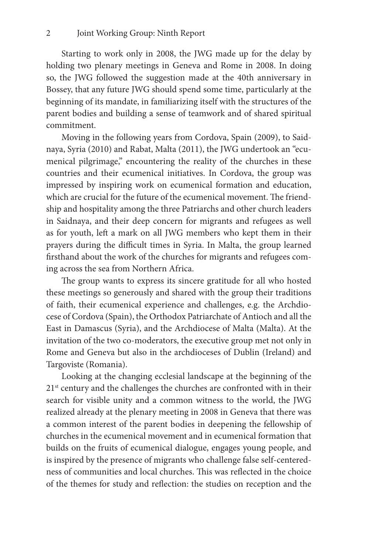Starting to work only in 2008, the JWG made up for the delay by holding two plenary meetings in Geneva and Rome in 2008. In doing so, the JWG followed the suggestion made at the 40th anniversary in Bossey, that any future JWG should spend some time, particularly at the beginning of its mandate, in familiarizing itself with the structures of the parent bodies and building a sense of teamwork and of shared spiritual commitment.

Moving in the following years from Cordova, Spain (2009), to Saidnaya, Syria (2010) and Rabat, Malta (2011), the JWG undertook an "ecumenical pilgrimage," encountering the reality of the churches in these countries and their ecumenical initiatives. In Cordova, the group was impressed by inspiring work on ecumenical formation and education, which are crucial for the future of the ecumenical movement. The friendship and hospitality among the three Patriarchs and other church leaders in Saidnaya, and their deep concern for migrants and refugees as well as for youth, left a mark on all JWG members who kept them in their prayers during the difficult times in Syria. In Malta, the group learned firsthand about the work of the churches for migrants and refugees coming across the sea from Northern Africa.

The group wants to express its sincere gratitude for all who hosted these meetings so generously and shared with the group their traditions of faith, their ecumenical experience and challenges, e.g. the Archdiocese of Cordova (Spain), the Orthodox Patriarchate of Antioch and all the East in Damascus (Syria), and the Archdiocese of Malta (Malta). At the invitation of the two co-moderators, the executive group met not only in Rome and Geneva but also in the archdioceses of Dublin (Ireland) and Targoviste (Romania).

Looking at the changing ecclesial landscape at the beginning of the  $21<sup>st</sup>$  century and the challenges the churches are confronted with in their search for visible unity and a common witness to the world, the JWG realized already at the plenary meeting in 2008 in Geneva that there was a common interest of the parent bodies in deepening the fellowship of churches in the ecumenical movement and in ecumenical formation that builds on the fruits of ecumenical dialogue, engages young people, and is inspired by the presence of migrants who challenge false self-centeredness of communities and local churches. This was reflected in the choice of the themes for study and reflection: the studies on reception and the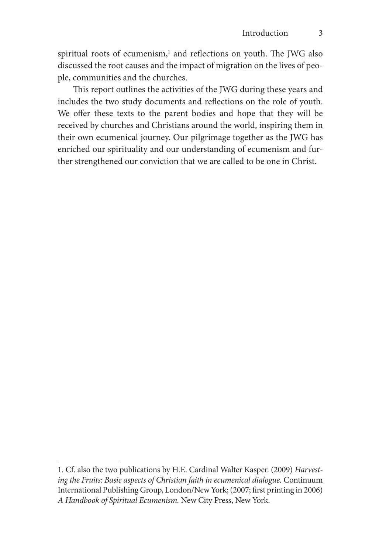spiritual roots of ecumenism,<sup>1</sup> and reflections on youth. The JWG also discussed the root causes and the impact of migration on the lives of people, communities and the churches.

This report outlines the activities of the JWG during these years and includes the two study documents and reflections on the role of youth. We offer these texts to the parent bodies and hope that they will be received by churches and Christians around the world, inspiring them in their own ecumenical journey. Our pilgrimage together as the JWG has enriched our spirituality and our understanding of ecumenism and further strengthened our conviction that we are called to be one in Christ.

<sup>1.</sup> Cf. also the two publications by H.E. Cardinal Walter Kasper. (2009) *Harvesting the Fruits: Basic aspects of Christian faith in ecumenical dialogue.* Continuum International Publishing Group, London/New York; (2007; first printing in 2006) *A Handbook of Spiritual Ecumenism.* New City Press, New York.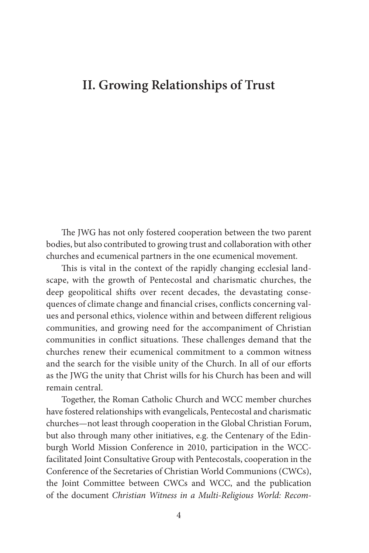## **II. Growing Relationships of Trust**

The JWG has not only fostered cooperation between the two parent bodies, but also contributed to growing trust and collaboration with other churches and ecumenical partners in the one ecumenical movement.

This is vital in the context of the rapidly changing ecclesial landscape, with the growth of Pentecostal and charismatic churches, the deep geopolitical shifts over recent decades, the devastating consequences of climate change and financial crises, conflicts concerning values and personal ethics, violence within and between different religious communities, and growing need for the accompaniment of Christian communities in conflict situations. These challenges demand that the churches renew their ecumenical commitment to a common witness and the search for the visible unity of the Church. In all of our efforts as the JWG the unity that Christ wills for his Church has been and will remain central.

Together, the Roman Catholic Church and WCC member churches have fostered relationships with evangelicals, Pentecostal and charismatic churches—not least through cooperation in the Global Christian Forum, but also through many other initiatives, e.g. the Centenary of the Edinburgh World Mission Conference in 2010, participation in the WCCfacilitated Joint Consultative Group with Pentecostals, cooperation in the Conference of the Secretaries of Christian World Communions (CWCs), the Joint Committee between CWCs and WCC, and the publication of the document *Christian Witness in a Multi-Religious World: Recom-*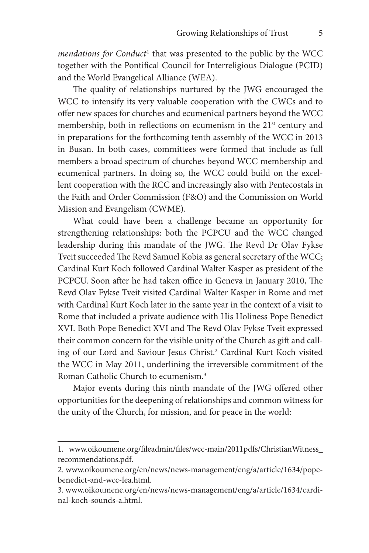mendations for Conduct<sup>1</sup> that was presented to the public by the WCC together with the Pontifical Council for Interreligious Dialogue (PCID) and the World Evangelical Alliance (WEA).

The quality of relationships nurtured by the JWG encouraged the WCC to intensify its very valuable cooperation with the CWCs and to offer new spaces for churches and ecumenical partners beyond the WCC membership, both in reflections on ecumenism in the  $21<sup>st</sup>$  century and in preparations for the forthcoming tenth assembly of the WCC in 2013 in Busan. In both cases, committees were formed that include as full members a broad spectrum of churches beyond WCC membership and ecumenical partners. In doing so, the WCC could build on the excellent cooperation with the RCC and increasingly also with Pentecostals in the Faith and Order Commission (F&O) and the Commission on World Mission and Evangelism (CWME).

What could have been a challenge became an opportunity for strengthening relationships: both the PCPCU and the WCC changed leadership during this mandate of the JWG. The Revd Dr Olav Fykse Tveit succeeded The Revd Samuel Kobia as general secretary of the WCC; Cardinal Kurt Koch followed Cardinal Walter Kasper as president of the PCPCU. Soon after he had taken office in Geneva in January 2010, The Revd Olav Fykse Tveit visited Cardinal Walter Kasper in Rome and met with Cardinal Kurt Koch later in the same year in the context of a visit to Rome that included a private audience with His Holiness Pope Benedict XVI. Both Pope Benedict XVI and The Revd Olav Fykse Tveit expressed their common concern for the visible unity of the Church as gift and calling of our Lord and Saviour Jesus Christ.<sup>2</sup> Cardinal Kurt Koch visited the WCC in May 2011, underlining the irreversible commitment of the Roman Catholic Church to ecumenism.3

Major events during this ninth mandate of the JWG offered other opportunities for the deepening of relationships and common witness for the unity of the Church, for mission, and for peace in the world:

<sup>1.</sup> www.oikoumene.org/fileadmin/files/wcc-main/2011pdfs/ChristianWitness\_ recommendations.pdf.

<sup>2.</sup> www.oikoumene.org/en/news/news-management/eng/a/article/1634/popebenedict-and-wcc-lea.html.

<sup>3.</sup> www.oikoumene.org/en/news/news-management/eng/a/article/1634/cardinal-koch-sounds-a.html.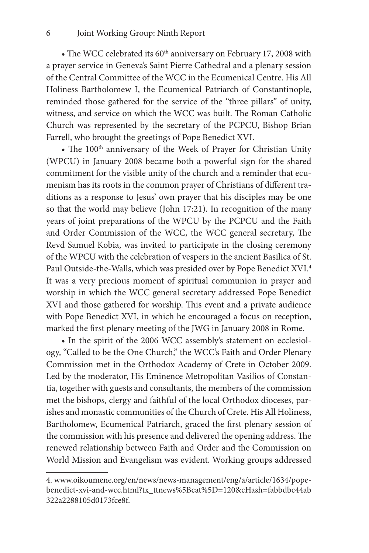• The WCC celebrated its  $60<sup>th</sup>$  anniversary on February 17, 2008 with a prayer service in Geneva's Saint Pierre Cathedral and a plenary session of the Central Committee of the WCC in the Ecumenical Centre. His All Holiness Bartholomew I, the Ecumenical Patriarch of Constantinople, reminded those gathered for the service of the "three pillars" of unity, witness, and service on which the WCC was built. The Roman Catholic Church was represented by the secretary of the PCPCU, Bishop Brian Farrell, who brought the greetings of Pope Benedict XVI.

• The 100<sup>th</sup> anniversary of the Week of Prayer for Christian Unity (WPCU) in January 2008 became both a powerful sign for the shared commitment for the visible unity of the church and a reminder that ecumenism has its roots in the common prayer of Christians of different traditions as a response to Jesus' own prayer that his disciples may be one so that the world may believe (John 17:21). In recognition of the many years of joint preparations of the WPCU by the PCPCU and the Faith and Order Commission of the WCC, the WCC general secretary, The Revd Samuel Kobia, was invited to participate in the closing ceremony of the WPCU with the celebration of vespers in the ancient Basilica of St. Paul Outside-the-Walls, which was presided over by Pope Benedict XVI.<sup>4</sup> It was a very precious moment of spiritual communion in prayer and worship in which the WCC general secretary addressed Pope Benedict XVI and those gathered for worship. This event and a private audience with Pope Benedict XVI, in which he encouraged a focus on reception, marked the first plenary meeting of the JWG in January 2008 in Rome.

• In the spirit of the 2006 WCC assembly's statement on ecclesiology, "Called to be the One Church," the WCC's Faith and Order Plenary Commission met in the Orthodox Academy of Crete in October 2009. Led by the moderator, His Eminence Metropolitan Vasilios of Constantia, together with guests and consultants, the members of the commission met the bishops, clergy and faithful of the local Orthodox dioceses, parishes and monastic communities of the Church of Crete. His All Holiness, Bartholomew, Ecumenical Patriarch, graced the first plenary session of the commission with his presence and delivered the opening address. The renewed relationship between Faith and Order and the Commission on World Mission and Evangelism was evident. Working groups addressed

<sup>4.</sup> www.oikoumene.org/en/news/news-management/eng/a/article/1634/popebenedict-xvi-and-wcc.html?tx\_ttnews%5Bcat%5D=120&cHash=fabbdbc44ab 322a2288105d0173fce8f.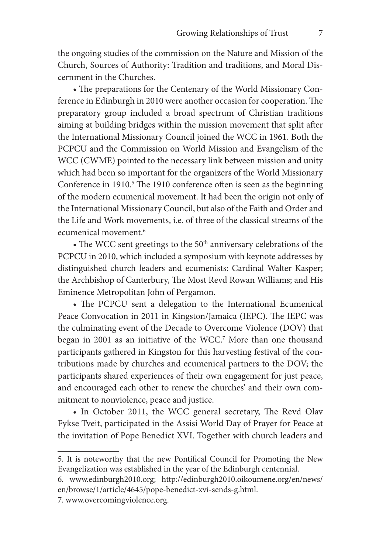the ongoing studies of the commission on the Nature and Mission of the Church, Sources of Authority: Tradition and traditions, and Moral Discernment in the Churches.

• The preparations for the Centenary of the World Missionary Conference in Edinburgh in 2010 were another occasion for cooperation. The preparatory group included a broad spectrum of Christian traditions aiming at building bridges within the mission movement that split after the International Missionary Council joined the WCC in 1961. Both the PCPCU and the Commission on World Mission and Evangelism of the WCC (CWME) pointed to the necessary link between mission and unity which had been so important for the organizers of the World Missionary Conference in 1910.<sup>5</sup> The 1910 conference often is seen as the beginning of the modern ecumenical movement. It had been the origin not only of the International Missionary Council, but also of the Faith and Order and the Life and Work movements, i.e. of three of the classical streams of the ecumenical movement.6

• The WCC sent greetings to the  $50<sup>th</sup>$  anniversary celebrations of the PCPCU in 2010, which included a symposium with keynote addresses by distinguished church leaders and ecumenists: Cardinal Walter Kasper; the Archbishop of Canterbury, The Most Revd Rowan Williams; and His Eminence Metropolitan John of Pergamon.

• The PCPCU sent a delegation to the International Ecumenical Peace Convocation in 2011 in Kingston/Jamaica (IEPC). The IEPC was the culminating event of the Decade to Overcome Violence (DOV) that began in 2001 as an initiative of the WCC.7 More than one thousand participants gathered in Kingston for this harvesting festival of the contributions made by churches and ecumenical partners to the DOV; the participants shared experiences of their own engagement for just peace, and encouraged each other to renew the churches' and their own commitment to nonviolence, peace and justice.

• In October 2011, the WCC general secretary, The Revd Olav Fykse Tveit, participated in the Assisi World Day of Prayer for Peace at the invitation of Pope Benedict XVI. Together with church leaders and

<sup>5.</sup> It is noteworthy that the new Pontifical Council for Promoting the New Evangelization was established in the year of the Edinburgh centennial.

<sup>6.</sup> www.edinburgh2010.org; http://edinburgh2010.oikoumene.org/en/news/ en/browse/1/article/4645/pope-benedict-xvi-sends-g.html.

<sup>7.</sup> www.overcomingviolence.org.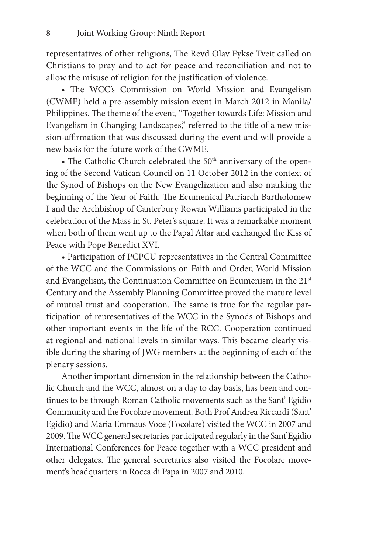representatives of other religions, The Revd Olav Fykse Tveit called on Christians to pray and to act for peace and reconciliation and not to allow the misuse of religion for the justification of violence.

• The WCC's Commission on World Mission and Evangelism (CWME) held a pre-assembly mission event in March 2012 in Manila/ Philippines. The theme of the event, "Together towards Life: Mission and Evangelism in Changing Landscapes," referred to the title of a new mission-affirmation that was discussed during the event and will provide a new basis for the future work of the CWME.

• The Catholic Church celebrated the  $50<sup>th</sup>$  anniversary of the opening of the Second Vatican Council on 11 October 2012 in the context of the Synod of Bishops on the New Evangelization and also marking the beginning of the Year of Faith. The Ecumenical Patriarch Bartholomew I and the Archbishop of Canterbury Rowan Williams participated in the celebration of the Mass in St. Peter's square. It was a remarkable moment when both of them went up to the Papal Altar and exchanged the Kiss of Peace with Pope Benedict XVI.

• Participation of PCPCU representatives in the Central Committee of the WCC and the Commissions on Faith and Order, World Mission and Evangelism, the Continuation Committee on Ecumenism in the 21st Century and the Assembly Planning Committee proved the mature level of mutual trust and cooperation. The same is true for the regular participation of representatives of the WCC in the Synods of Bishops and other important events in the life of the RCC. Cooperation continued at regional and national levels in similar ways. This became clearly visible during the sharing of JWG members at the beginning of each of the plenary sessions.

Another important dimension in the relationship between the Catholic Church and the WCC, almost on a day to day basis, has been and continues to be through Roman Catholic movements such as the Sant' Egidio Community and the Focolare movement. Both Prof Andrea Riccardi (Sant' Egidio) and Maria Emmaus Voce (Focolare) visited the WCC in 2007 and 2009. The WCC general secretaries participated regularly in the Sant'Egidio International Conferences for Peace together with a WCC president and other delegates. The general secretaries also visited the Focolare movement's headquarters in Rocca di Papa in 2007 and 2010.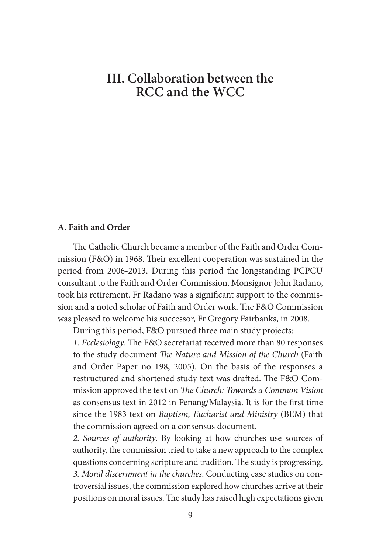## **III. Collaboration between the RCC and the WCC**

#### **A. Faith and Order**

The Catholic Church became a member of the Faith and Order Commission (F&O) in 1968. Their excellent cooperation was sustained in the period from 2006-2013. During this period the longstanding PCPCU consultant to the Faith and Order Commission, Monsignor John Radano, took his retirement. Fr Radano was a significant support to the commission and a noted scholar of Faith and Order work. The F&O Commission was pleased to welcome his successor, Fr Gregory Fairbanks, in 2008.

During this period, F&O pursued three main study projects:

*1. Ecclesiology*. The F&O secretariat received more than 80 responses to the study document *The Nature and Mission of the Church* (Faith and Order Paper no 198, 2005). On the basis of the responses a restructured and shortened study text was drafted. The F&O Commission approved the text on *The Church: Towards a Common Vision* as consensus text in 2012 in Penang/Malaysia. It is for the first time since the 1983 text on *Baptism, Eucharist and Ministry* (BEM) that the commission agreed on a consensus document.

*2. Sources of authority*. By looking at how churches use sources of authority, the commission tried to take a new approach to the complex questions concerning scripture and tradition. The study is progressing. *3. Moral discernment in the churches*. Conducting case studies on controversial issues, the commission explored how churches arrive at their positions on moral issues. The study has raised high expectations given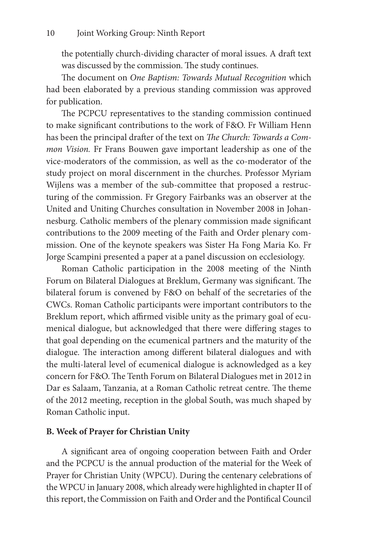the potentially church-dividing character of moral issues. A draft text was discussed by the commission. The study continues.

The document on *One Baptism: Towards Mutual Recognition* which had been elaborated by a previous standing commission was approved for publication.

The PCPCU representatives to the standing commission continued to make significant contributions to the work of F&O. Fr William Henn has been the principal drafter of the text on *The Church: Towards a Common Vision.* Fr Frans Bouwen gave important leadership as one of the vice-moderators of the commission, as well as the co-moderator of the study project on moral discernment in the churches. Professor Myriam Wijlens was a member of the sub-committee that proposed a restructuring of the commission. Fr Gregory Fairbanks was an observer at the United and Uniting Churches consultation in November 2008 in Johannesburg. Catholic members of the plenary commission made significant contributions to the 2009 meeting of the Faith and Order plenary commission. One of the keynote speakers was Sister Ha Fong Maria Ko. Fr Jorge Scampini presented a paper at a panel discussion on ecclesiology.

Roman Catholic participation in the 2008 meeting of the Ninth Forum on Bilateral Dialogues at Breklum, Germany was significant. The bilateral forum is convened by F&O on behalf of the secretaries of the CWCs. Roman Catholic participants were important contributors to the Breklum report, which affirmed visible unity as the primary goal of ecumenical dialogue, but acknowledged that there were differing stages to that goal depending on the ecumenical partners and the maturity of the dialogue. The interaction among different bilateral dialogues and with the multi-lateral level of ecumenical dialogue is acknowledged as a key concern for F&O. The Tenth Forum on Bilateral Dialogues met in 2012 in Dar es Salaam, Tanzania, at a Roman Catholic retreat centre. The theme of the 2012 meeting, reception in the global South, was much shaped by Roman Catholic input.

#### **B. Week of Prayer for Christian Unity**

A significant area of ongoing cooperation between Faith and Order and the PCPCU is the annual production of the material for the Week of Prayer for Christian Unity (WPCU). During the centenary celebrations of the WPCU in January 2008, which already were highlighted in chapter II of this report, the Commission on Faith and Order and the Pontifical Council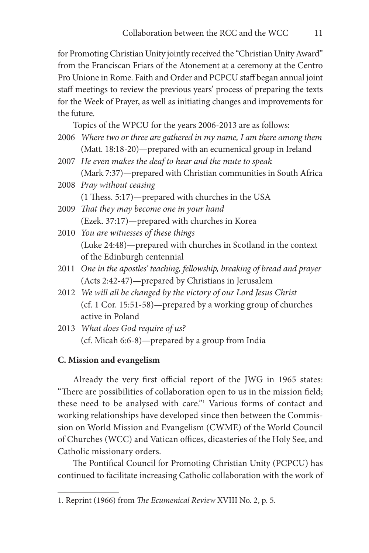for Promoting Christian Unity jointly received the "Christian Unity Award" from the Franciscan Friars of the Atonement at a ceremony at the Centro Pro Unione in Rome. Faith and Order and PCPCU staff began annual joint staff meetings to review the previous years' process of preparing the texts for the Week of Prayer, as well as initiating changes and improvements for the future.

Topics of the WPCU for the years 2006-2013 are as follows:

- 2006 *Where two or three are gathered in my name, I am there among them*  (Matt. 18:18-20)—prepared with an ecumenical group in Ireland
- 2007 *He even makes the deaf to hear and the mute to speak* (Mark 7:37)—prepared with Christian communities in South Africa
- 2008 *Pray without ceasing* (1 Thess. 5:17)—prepared with churches in the USA
- 2009 *That they may become one in your hand* (Ezek. 37:17)—prepared with churches in Korea
- 2010 *You are witnesses of these things* (Luke 24:48)—prepared with churches in Scotland in the context of the Edinburgh centennial
- 2011 *One in the apostles' teaching, fellowship, breaking of bread and prayer* (Acts 2:42-47)—prepared by Christians in Jerusalem
- 2012 *We will all be changed by the victory of our Lord Jesus Christ* (cf. 1 Cor. 15:51-58)—prepared by a working group of churches active in Poland
- 2013 *What does God require of us?* (cf. Micah 6:6-8)—prepared by a group from India

#### **C. Mission and evangelism**

Already the very first official report of the JWG in 1965 states: "There are possibilities of collaboration open to us in the mission field; these need to be analysed with care."1 Various forms of contact and working relationships have developed since then between the Commission on World Mission and Evangelism (CWME) of the World Council of Churches (WCC) and Vatican offices, dicasteries of the Holy See, and Catholic missionary orders.

The Pontifical Council for Promoting Christian Unity (PCPCU) has continued to facilitate increasing Catholic collaboration with the work of

<sup>1.</sup> Reprint (1966) from *The Ecumenical Review* XVIII No. 2, p. 5.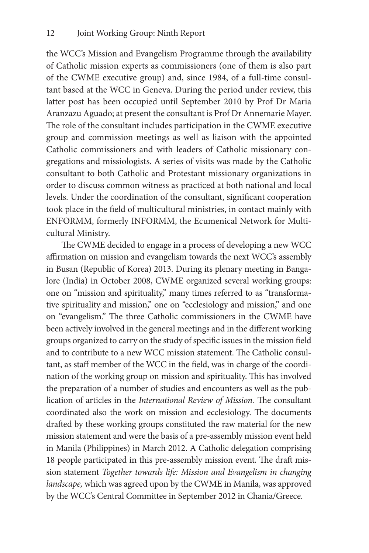the WCC's Mission and Evangelism Programme through the availability of Catholic mission experts as commissioners (one of them is also part of the CWME executive group) and, since 1984, of a full-time consultant based at the WCC in Geneva. During the period under review, this latter post has been occupied until September 2010 by Prof Dr Maria Aranzazu Aguado; at present the consultant is Prof Dr Annemarie Mayer. The role of the consultant includes participation in the CWME executive group and commission meetings as well as liaison with the appointed Catholic commissioners and with leaders of Catholic missionary congregations and missiologists. A series of visits was made by the Catholic consultant to both Catholic and Protestant missionary organizations in order to discuss common witness as practiced at both national and local levels. Under the coordination of the consultant, significant cooperation took place in the field of multicultural ministries, in contact mainly with ENFORMM, formerly INFORMM, the Ecumenical Network for Multicultural Ministry.

The CWME decided to engage in a process of developing a new WCC affirmation on mission and evangelism towards the next WCC's assembly in Busan (Republic of Korea) 2013. During its plenary meeting in Bangalore (India) in October 2008, CWME organized several working groups: one on "mission and spirituality," many times referred to as "transformative spirituality and mission," one on "ecclesiology and mission," and one on "evangelism." The three Catholic commissioners in the CWME have been actively involved in the general meetings and in the different working groups organized to carry on the study of specific issues in the mission field and to contribute to a new WCC mission statement. The Catholic consultant, as staff member of the WCC in the field, was in charge of the coordination of the working group on mission and spirituality. This has involved the preparation of a number of studies and encounters as well as the publication of articles in the *International Review of Mission.* The consultant coordinated also the work on mission and ecclesiology. The documents drafted by these working groups constituted the raw material for the new mission statement and were the basis of a pre-assembly mission event held in Manila (Philippines) in March 2012. A Catholic delegation comprising 18 people participated in this pre-assembly mission event. The draft mission statement *Together towards life: Mission and Evangelism in changing landscape,* which was agreed upon by the CWME in Manila, was approved by the WCC's Central Committee in September 2012 in Chania/Greece.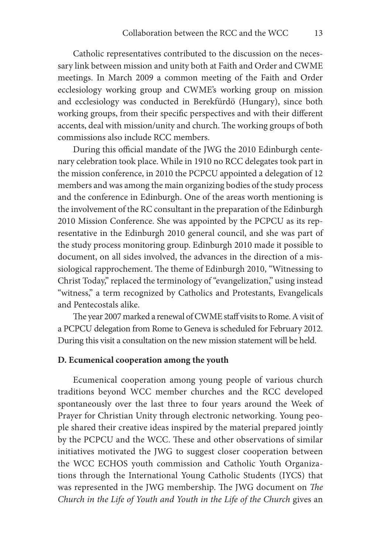Catholic representatives contributed to the discussion on the necessary link between mission and unity both at Faith and Order and CWME meetings. In March 2009 a common meeting of the Faith and Order ecclesiology working group and CWME's working group on mission and ecclesiology was conducted in Berekfürdö (Hungary), since both working groups, from their specific perspectives and with their different accents, deal with mission/unity and church. The working groups of both commissions also include RCC members.

During this official mandate of the JWG the 2010 Edinburgh centenary celebration took place. While in 1910 no RCC delegates took part in the mission conference, in 2010 the PCPCU appointed a delegation of 12 members and was among the main organizing bodies of the study process and the conference in Edinburgh. One of the areas worth mentioning is the involvement of the RC consultant in the preparation of the Edinburgh 2010 Mission Conference. She was appointed by the PCPCU as its representative in the Edinburgh 2010 general council, and she was part of the study process monitoring group. Edinburgh 2010 made it possible to document, on all sides involved, the advances in the direction of a missiological rapprochement. The theme of Edinburgh 2010, "Witnessing to Christ Today," replaced the terminology of "evangelization," using instead "witness," a term recognized by Catholics and Protestants, Evangelicals and Pentecostals alike.

The year 2007 marked a renewal of CWME staff visits to Rome. A visit of a PCPCU delegation from Rome to Geneva is scheduled for February 2012. During this visit a consultation on the new mission statement will be held.

#### **D. Ecumenical cooperation among the youth**

Ecumenical cooperation among young people of various church traditions beyond WCC member churches and the RCC developed spontaneously over the last three to four years around the Week of Prayer for Christian Unity through electronic networking. Young people shared their creative ideas inspired by the material prepared jointly by the PCPCU and the WCC. These and other observations of similar initiatives motivated the JWG to suggest closer cooperation between the WCC ECHOS youth commission and Catholic Youth Organizations through the International Young Catholic Students (IYCS) that was represented in the JWG membership. The JWG document on *The Church in the Life of Youth and Youth in the Life of the Church* gives an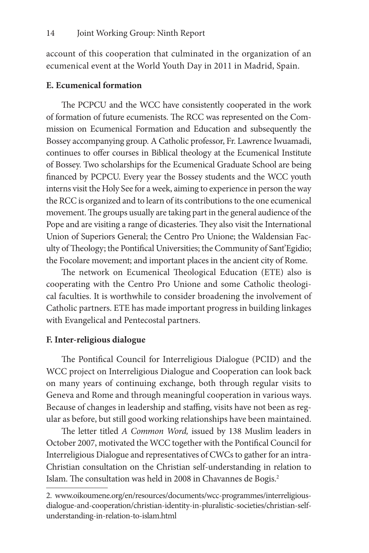account of this cooperation that culminated in the organization of an ecumenical event at the World Youth Day in 2011 in Madrid, Spain.

#### **E. Ecumenical formation**

The PCPCU and the WCC have consistently cooperated in the work of formation of future ecumenists. The RCC was represented on the Commission on Ecumenical Formation and Education and subsequently the Bossey accompanying group. A Catholic professor, Fr. Lawrence Iwuamadi, continues to offer courses in Biblical theology at the Ecumenical Institute of Bossey. Two scholarships for the Ecumenical Graduate School are being financed by PCPCU. Every year the Bossey students and the WCC youth interns visit the Holy See for a week, aiming to experience in person the way the RCC is organized and to learn of its contributions to the one ecumenical movement. The groups usually are taking part in the general audience of the Pope and are visiting a range of dicasteries. They also visit the International Union of Superiors General; the Centro Pro Unione; the Waldensian Faculty of Theology; the Pontifical Universities; the Community of Sant'Egidio; the Focolare movement; and important places in the ancient city of Rome.

The network on Ecumenical Theological Education (ETE) also is cooperating with the Centro Pro Unione and some Catholic theological faculties. It is worthwhile to consider broadening the involvement of Catholic partners. ETE has made important progress in building linkages with Evangelical and Pentecostal partners.

#### **F. Inter-religious dialogue**

The Pontifical Council for Interreligious Dialogue (PCID) and the WCC project on Interreligious Dialogue and Cooperation can look back on many years of continuing exchange, both through regular visits to Geneva and Rome and through meaningful cooperation in various ways. Because of changes in leadership and staffing, visits have not been as regular as before, but still good working relationships have been maintained.

The letter titled *A Common Word,* issued by 138 Muslim leaders in October 2007, motivated the WCC together with the Pontifical Council for Interreligious Dialogue and representatives of CWCs to gather for an intra-Christian consultation on the Christian self-understanding in relation to Islam. The consultation was held in 2008 in Chavannes de Bogis.<sup>2</sup>

<sup>2.</sup> www.oikoumene.org/en/resources/documents/wcc-programmes/interreligiousdialogue-and-cooperation/christian-identity-in-pluralistic-societies/christian-selfunderstanding-in-relation-to-islam.html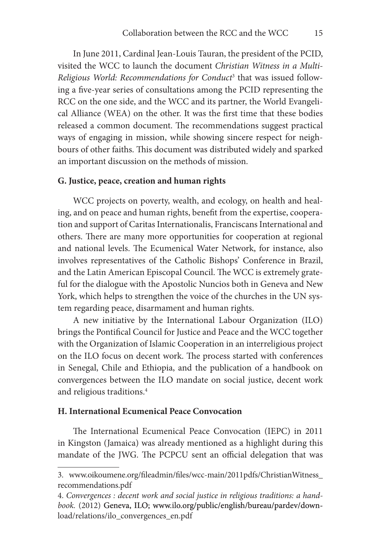In June 2011, Cardinal Jean-Louis Tauran, the president of the PCID, visited the WCC to launch the document *Christian Witness in a Multi-Religious World: Recommendations for Conduct*<sup>3</sup> that was issued following a five-year series of consultations among the PCID representing the RCC on the one side, and the WCC and its partner, the World Evangelical Alliance (WEA) on the other. It was the first time that these bodies released a common document. The recommendations suggest practical ways of engaging in mission, while showing sincere respect for neighbours of other faiths. This document was distributed widely and sparked an important discussion on the methods of mission.

#### **G. Justice, peace, creation and human rights**

WCC projects on poverty, wealth, and ecology, on health and healing, and on peace and human rights, benefit from the expertise, cooperation and support of Caritas Internationalis, Franciscans International and others. There are many more opportunities for cooperation at regional and national levels. The Ecumenical Water Network, for instance, also involves representatives of the Catholic Bishops' Conference in Brazil, and the Latin American Episcopal Council. The WCC is extremely grateful for the dialogue with the Apostolic Nuncios both in Geneva and New York, which helps to strengthen the voice of the churches in the UN system regarding peace, disarmament and human rights.

A new initiative by the International Labour Organization (ILO) brings the Pontifical Council for Justice and Peace and the WCC together with the Organization of Islamic Cooperation in an interreligious project on the ILO focus on decent work. The process started with conferences in Senegal, Chile and Ethiopia, and the publication of a handbook on convergences between the ILO mandate on social justice, decent work and religious traditions.4

#### **H. International Ecumenical Peace Convocation**

The International Ecumenical Peace Convocation (IEPC) in 2011 in Kingston (Jamaica) was already mentioned as a highlight during this mandate of the JWG. The PCPCU sent an official delegation that was

<sup>3.</sup> www.oikoumene.org/fileadmin/files/wcc-main/2011pdfs/ChristianWitness\_ recommendations.pdf

<sup>4.</sup> *Convergences : decent work and social justice in religious traditions: a handbook.* (2012) Geneva, ILO; www.ilo.org/public/english/bureau/pardev/download/relations/ilo\_convergences\_en.pdf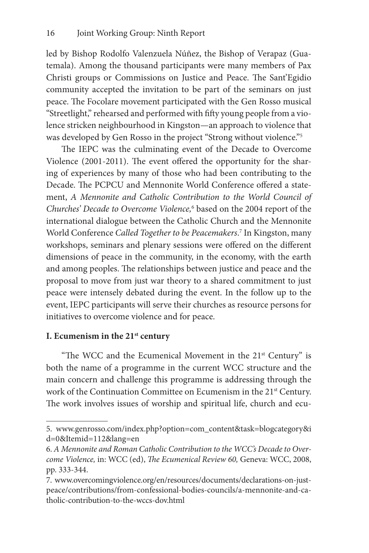led by Bishop Rodolfo Valenzuela Núñez, the Bishop of Verapaz (Guatemala). Among the thousand participants were many members of Pax Christi groups or Commissions on Justice and Peace. The Sant'Egidio community accepted the invitation to be part of the seminars on just peace. The Focolare movement participated with the Gen Rosso musical "Streetlight," rehearsed and performed with fifty young people from a violence stricken neighbourhood in Kingston—an approach to violence that was developed by Gen Rosso in the project "Strong without violence."5

The IEPC was the culminating event of the Decade to Overcome Violence (2001-2011). The event offered the opportunity for the sharing of experiences by many of those who had been contributing to the Decade. The PCPCU and Mennonite World Conference offered a statement, *A Mennonite and Catholic Contribution to the World Council of Churches' Decade to Overcome Violence,*<sup>6</sup> based on the 2004 report of the international dialogue between the Catholic Church and the Mennonite World Conference *Called Together to be Peacemakers*. 7 In Kingston, many workshops, seminars and plenary sessions were offered on the different dimensions of peace in the community, in the economy, with the earth and among peoples. The relationships between justice and peace and the proposal to move from just war theory to a shared commitment to just peace were intensely debated during the event. In the follow up to the event, IEPC participants will serve their churches as resource persons for initiatives to overcome violence and for peace.

### **I. Ecumenism in the 21st century**

"The WCC and the Ecumenical Movement in the  $21<sup>st</sup>$  Century" is both the name of a programme in the current WCC structure and the main concern and challenge this programme is addressing through the work of the Continuation Committee on Ecumenism in the 21<sup>st</sup> Century. The work involves issues of worship and spiritual life, church and ecu-

<sup>5.</sup> www.genrosso.com/index.php?option=com\_content&task=blogcategory&i d=0&Itemid=112&lang=en

<sup>6.</sup> *A Mennonite and Roman Catholic Contribution to the WCC's Decade to Overcome Violence,* in: WCC (ed), *The Ecumenical Review 60,* Geneva: WCC, 2008, pp. 333-344.

<sup>7.</sup> www.overcomingviolence.org/en/resources/documents/declarations-on-justpeace/contributions/from-confessional-bodies-councils/a-mennonite-and-catholic-contribution-to-the-wccs-dov.html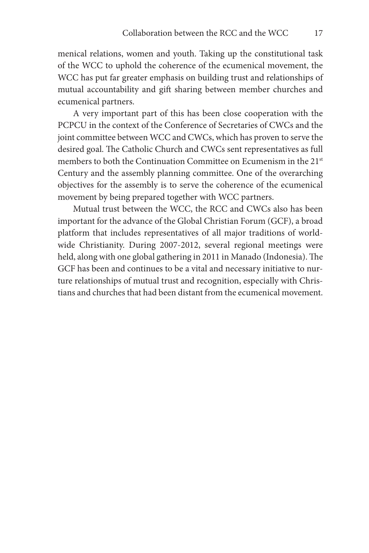menical relations, women and youth. Taking up the constitutional task of the WCC to uphold the coherence of the ecumenical movement, the WCC has put far greater emphasis on building trust and relationships of mutual accountability and gift sharing between member churches and ecumenical partners.

A very important part of this has been close cooperation with the PCPCU in the context of the Conference of Secretaries of CWCs and the joint committee between WCC and CWCs, which has proven to serve the desired goal. The Catholic Church and CWCs sent representatives as full members to both the Continuation Committee on Ecumenism in the 21<sup>st</sup> Century and the assembly planning committee. One of the overarching objectives for the assembly is to serve the coherence of the ecumenical movement by being prepared together with WCC partners.

Mutual trust between the WCC, the RCC and CWCs also has been important for the advance of the Global Christian Forum (GCF), a broad platform that includes representatives of all major traditions of worldwide Christianity. During 2007-2012, several regional meetings were held, along with one global gathering in 2011 in Manado (Indonesia). The GCF has been and continues to be a vital and necessary initiative to nurture relationships of mutual trust and recognition, especially with Christians and churches that had been distant from the ecumenical movement.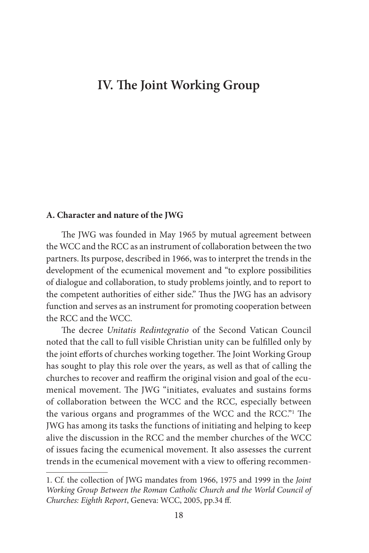### **IV. The Joint Working Group**

#### **A. Character and nature of the JWG**

The JWG was founded in May 1965 by mutual agreement between the WCC and the RCC as an instrument of collaboration between the two partners. Its purpose, described in 1966, was to interpret the trends in the development of the ecumenical movement and "to explore possibilities of dialogue and collaboration, to study problems jointly, and to report to the competent authorities of either side." Thus the JWG has an advisory function and serves as an instrument for promoting cooperation between the RCC and the WCC.

The decree *Unitatis Redintegratio* of the Second Vatican Council noted that the call to full visible Christian unity can be fulfilled only by the joint efforts of churches working together. The Joint Working Group has sought to play this role over the years, as well as that of calling the churches to recover and reaffirm the original vision and goal of the ecumenical movement. The JWG "initiates, evaluates and sustains forms of collaboration between the WCC and the RCC, especially between the various organs and programmes of the WCC and the RCC."1 The JWG has among its tasks the functions of initiating and helping to keep alive the discussion in the RCC and the member churches of the WCC of issues facing the ecumenical movement. It also assesses the current trends in the ecumenical movement with a view to offering recommen-

<sup>1.</sup> Cf. the collection of JWG mandates from 1966, 1975 and 1999 in the *Joint Working Group Between the Roman Catholic Church and the World Council of Churches: Eighth Report*, Geneva: WCC, 2005, pp.34 ff.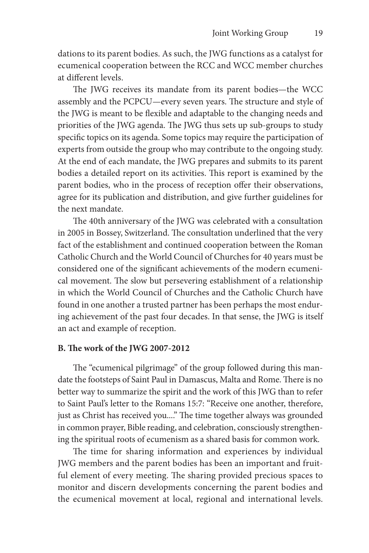dations to its parent bodies. As such, the JWG functions as a catalyst for ecumenical cooperation between the RCC and WCC member churches at different levels.

The JWG receives its mandate from its parent bodies—the WCC assembly and the PCPCU—every seven years. The structure and style of the JWG is meant to be flexible and adaptable to the changing needs and priorities of the JWG agenda. The JWG thus sets up sub-groups to study specific topics on its agenda. Some topics may require the participation of experts from outside the group who may contribute to the ongoing study. At the end of each mandate, the JWG prepares and submits to its parent bodies a detailed report on its activities. This report is examined by the parent bodies, who in the process of reception offer their observations, agree for its publication and distribution, and give further guidelines for the next mandate.

The 40th anniversary of the JWG was celebrated with a consultation in 2005 in Bossey, Switzerland. The consultation underlined that the very fact of the establishment and continued cooperation between the Roman Catholic Church and the World Council of Churches for 40 years must be considered one of the significant achievements of the modern ecumenical movement. The slow but persevering establishment of a relationship in which the World Council of Churches and the Catholic Church have found in one another a trusted partner has been perhaps the most enduring achievement of the past four decades. In that sense, the JWG is itself an act and example of reception.

#### **B. The work of the JWG 2007-2012**

The "ecumenical pilgrimage" of the group followed during this mandate the footsteps of Saint Paul in Damascus, Malta and Rome. There is no better way to summarize the spirit and the work of this JWG than to refer to Saint Paul's letter to the Romans 15:7: "Receive one another, therefore, just as Christ has received you...." The time together always was grounded in common prayer, Bible reading, and celebration, consciously strengthening the spiritual roots of ecumenism as a shared basis for common work.

The time for sharing information and experiences by individual JWG members and the parent bodies has been an important and fruitful element of every meeting. The sharing provided precious spaces to monitor and discern developments concerning the parent bodies and the ecumenical movement at local, regional and international levels.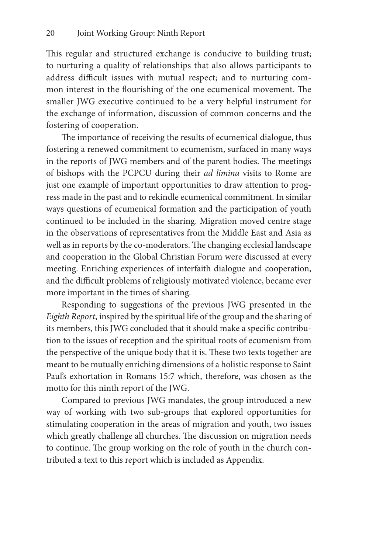This regular and structured exchange is conducive to building trust; to nurturing a quality of relationships that also allows participants to address difficult issues with mutual respect; and to nurturing common interest in the flourishing of the one ecumenical movement. The smaller JWG executive continued to be a very helpful instrument for the exchange of information, discussion of common concerns and the fostering of cooperation.

The importance of receiving the results of ecumenical dialogue, thus fostering a renewed commitment to ecumenism, surfaced in many ways in the reports of JWG members and of the parent bodies. The meetings of bishops with the PCPCU during their *ad limina* visits to Rome are just one example of important opportunities to draw attention to progress made in the past and to rekindle ecumenical commitment. In similar ways questions of ecumenical formation and the participation of youth continued to be included in the sharing. Migration moved centre stage in the observations of representatives from the Middle East and Asia as well as in reports by the co-moderators. The changing ecclesial landscape and cooperation in the Global Christian Forum were discussed at every meeting. Enriching experiences of interfaith dialogue and cooperation, and the difficult problems of religiously motivated violence, became ever more important in the times of sharing.

Responding to suggestions of the previous JWG presented in the *Eighth Report*, inspired by the spiritual life of the group and the sharing of its members, this JWG concluded that it should make a specific contribution to the issues of reception and the spiritual roots of ecumenism from the perspective of the unique body that it is. These two texts together are meant to be mutually enriching dimensions of a holistic response to Saint Paul's exhortation in Romans 15:7 which, therefore, was chosen as the motto for this ninth report of the JWG.

Compared to previous JWG mandates, the group introduced a new way of working with two sub-groups that explored opportunities for stimulating cooperation in the areas of migration and youth, two issues which greatly challenge all churches. The discussion on migration needs to continue. The group working on the role of youth in the church contributed a text to this report which is included as Appendix.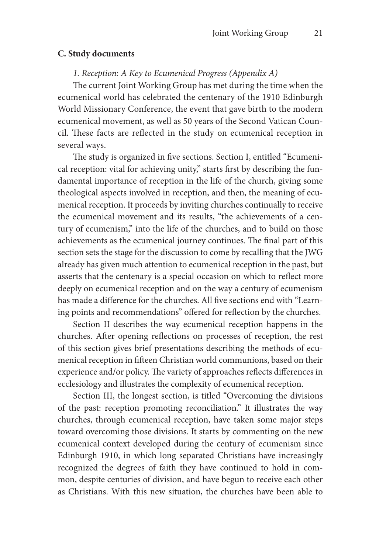#### **C. Study documents**

#### *1. Reception: A Key to Ecumenical Progress (Appendix A)*

The current Joint Working Group has met during the time when the ecumenical world has celebrated the centenary of the 1910 Edinburgh World Missionary Conference, the event that gave birth to the modern ecumenical movement, as well as 50 years of the Second Vatican Council. These facts are reflected in the study on ecumenical reception in several ways.

The study is organized in five sections. Section I, entitled "Ecumenical reception: vital for achieving unity," starts first by describing the fundamental importance of reception in the life of the church, giving some theological aspects involved in reception, and then, the meaning of ecumenical reception. It proceeds by inviting churches continually to receive the ecumenical movement and its results, "the achievements of a century of ecumenism," into the life of the churches, and to build on those achievements as the ecumenical journey continues. The final part of this section sets the stage for the discussion to come by recalling that the JWG already has given much attention to ecumenical reception in the past, but asserts that the centenary is a special occasion on which to reflect more deeply on ecumenical reception and on the way a century of ecumenism has made a difference for the churches. All five sections end with "Learning points and recommendations" offered for reflection by the churches.

Section II describes the way ecumenical reception happens in the churches. After opening reflections on processes of reception, the rest of this section gives brief presentations describing the methods of ecumenical reception in fifteen Christian world communions, based on their experience and/or policy. The variety of approaches reflects differences in ecclesiology and illustrates the complexity of ecumenical reception.

Section III, the longest section, is titled "Overcoming the divisions of the past: reception promoting reconciliation." It illustrates the way churches, through ecumenical reception, have taken some major steps toward overcoming those divisions. It starts by commenting on the new ecumenical context developed during the century of ecumenism since Edinburgh 1910, in which long separated Christians have increasingly recognized the degrees of faith they have continued to hold in common, despite centuries of division, and have begun to receive each other as Christians. With this new situation, the churches have been able to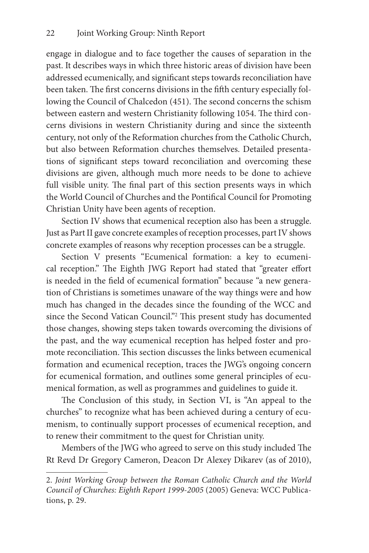engage in dialogue and to face together the causes of separation in the past. It describes ways in which three historic areas of division have been addressed ecumenically, and significant steps towards reconciliation have been taken. The first concerns divisions in the fifth century especially following the Council of Chalcedon (451). The second concerns the schism between eastern and western Christianity following 1054. The third concerns divisions in western Christianity during and since the sixteenth century, not only of the Reformation churches from the Catholic Church, but also between Reformation churches themselves. Detailed presentations of significant steps toward reconciliation and overcoming these divisions are given, although much more needs to be done to achieve full visible unity. The final part of this section presents ways in which the World Council of Churches and the Pontifical Council for Promoting Christian Unity have been agents of reception.

Section IV shows that ecumenical reception also has been a struggle. Just as Part II gave concrete examples of reception processes, part IV shows concrete examples of reasons why reception processes can be a struggle.

Section V presents "Ecumenical formation: a key to ecumenical reception." The Eighth JWG Report had stated that "greater effort is needed in the field of ecumenical formation" because "a new generation of Christians is sometimes unaware of the way things were and how much has changed in the decades since the founding of the WCC and since the Second Vatican Council."2 This present study has documented those changes, showing steps taken towards overcoming the divisions of the past, and the way ecumenical reception has helped foster and promote reconciliation. This section discusses the links between ecumenical formation and ecumenical reception, traces the JWG's ongoing concern for ecumenical formation, and outlines some general principles of ecumenical formation, as well as programmes and guidelines to guide it.

The Conclusion of this study, in Section VI, is "An appeal to the churches" to recognize what has been achieved during a century of ecumenism, to continually support processes of ecumenical reception, and to renew their commitment to the quest for Christian unity.

Members of the JWG who agreed to serve on this study included The Rt Revd Dr Gregory Cameron, Deacon Dr Alexey Dikarev (as of 2010),

<sup>2.</sup> *Joint Working Group between the Roman Catholic Church and the World Council of Churches: Eighth Report 1999-2005* (2005) Geneva: WCC Publications, p. 29.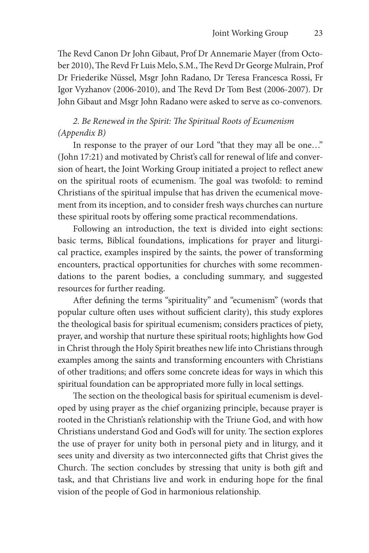The Revd Canon Dr John Gibaut, Prof Dr Annemarie Mayer (from October 2010), The Revd Fr Luis Melo, S.M., The Revd Dr George Mulrain, Prof Dr Friederike Nüssel, Msgr John Radano, Dr Teresa Francesca Rossi, Fr Igor Vyzhanov (2006-2010), and The Revd Dr Tom Best (2006-2007). Dr John Gibaut and Msgr John Radano were asked to serve as co-convenors.

### *2. Be Renewed in the Spirit: The Spiritual Roots of Ecumenism (Appendix B)*

In response to the prayer of our Lord "that they may all be one…" (John 17:21) and motivated by Christ's call for renewal of life and conversion of heart, the Joint Working Group initiated a project to reflect anew on the spiritual roots of ecumenism. The goal was twofold: to remind Christians of the spiritual impulse that has driven the ecumenical movement from its inception, and to consider fresh ways churches can nurture these spiritual roots by offering some practical recommendations.

Following an introduction, the text is divided into eight sections: basic terms, Biblical foundations, implications for prayer and liturgical practice, examples inspired by the saints, the power of transforming encounters, practical opportunities for churches with some recommendations to the parent bodies, a concluding summary, and suggested resources for further reading.

After defining the terms "spirituality" and "ecumenism" (words that popular culture often uses without sufficient clarity), this study explores the theological basis for spiritual ecumenism; considers practices of piety, prayer, and worship that nurture these spiritual roots; highlights how God in Christ through the Holy Spirit breathes new life into Christians through examples among the saints and transforming encounters with Christians of other traditions; and offers some concrete ideas for ways in which this spiritual foundation can be appropriated more fully in local settings.

The section on the theological basis for spiritual ecumenism is developed by using prayer as the chief organizing principle, because prayer is rooted in the Christian's relationship with the Triune God, and with how Christians understand God and God's will for unity. The section explores the use of prayer for unity both in personal piety and in liturgy, and it sees unity and diversity as two interconnected gifts that Christ gives the Church. The section concludes by stressing that unity is both gift and task, and that Christians live and work in enduring hope for the final vision of the people of God in harmonious relationship.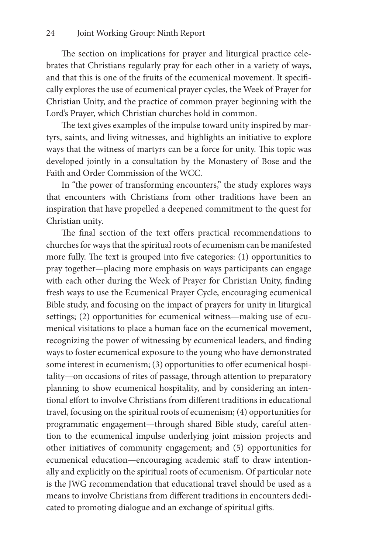The section on implications for prayer and liturgical practice celebrates that Christians regularly pray for each other in a variety of ways, and that this is one of the fruits of the ecumenical movement. It specifically explores the use of ecumenical prayer cycles, the Week of Prayer for Christian Unity, and the practice of common prayer beginning with the Lord's Prayer, which Christian churches hold in common.

The text gives examples of the impulse toward unity inspired by martyrs, saints, and living witnesses, and highlights an initiative to explore ways that the witness of martyrs can be a force for unity. This topic was developed jointly in a consultation by the Monastery of Bose and the Faith and Order Commission of the WCC.

In "the power of transforming encounters," the study explores ways that encounters with Christians from other traditions have been an inspiration that have propelled a deepened commitment to the quest for Christian unity.

The final section of the text offers practical recommendations to churches for ways that the spiritual roots of ecumenism can be manifested more fully. The text is grouped into five categories: (1) opportunities to pray together—placing more emphasis on ways participants can engage with each other during the Week of Prayer for Christian Unity, finding fresh ways to use the Ecumenical Prayer Cycle, encouraging ecumenical Bible study, and focusing on the impact of prayers for unity in liturgical settings; (2) opportunities for ecumenical witness—making use of ecumenical visitations to place a human face on the ecumenical movement, recognizing the power of witnessing by ecumenical leaders, and finding ways to foster ecumenical exposure to the young who have demonstrated some interest in ecumenism; (3) opportunities to offer ecumenical hospitality—on occasions of rites of passage, through attention to preparatory planning to show ecumenical hospitality, and by considering an intentional effort to involve Christians from different traditions in educational travel, focusing on the spiritual roots of ecumenism; (4) opportunities for programmatic engagement—through shared Bible study, careful attention to the ecumenical impulse underlying joint mission projects and other initiatives of community engagement; and (5) opportunities for ecumenical education—encouraging academic staff to draw intentionally and explicitly on the spiritual roots of ecumenism. Of particular note is the JWG recommendation that educational travel should be used as a means to involve Christians from different traditions in encounters dedicated to promoting dialogue and an exchange of spiritual gifts.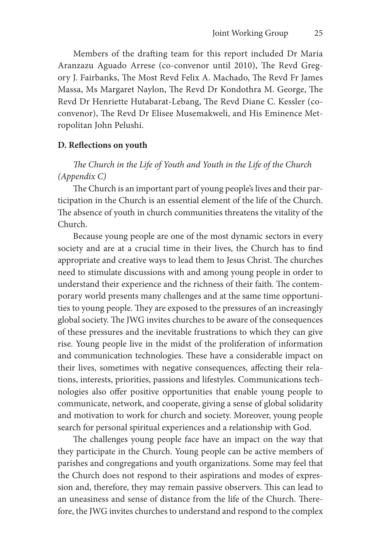Members of the drafting team for this report included Dr Maria Aranzazu Aguado Arrese (co-convenor until 2010), The Revd Gregory J. Fairbanks, The Most Revd Felix A. Machado, The Revd Fr James Massa, Ms Margaret Naylon, The Revd Dr Kondothra M. George, The Revd Dr Henriette Hutabarat-Lebang, The Revd Diane C. Kessler (coconvenor), The Revd Dr Elisee Musemakweli, and His Eminence Metropolitan John Pelushi.

#### **D. Reflections on youth**

### *The Church in the Life of Youth and Youth in the Life of the Church (Appendix C)*

The Church is an important part of young people's lives and their participation in the Church is an essential element of the life of the Church. The absence of youth in church communities threatens the vitality of the Church.

Because young people are one of the most dynamic sectors in every society and are at a crucial time in their lives, the Church has to find appropriate and creative ways to lead them to Jesus Christ. The churches need to stimulate discussions with and among young people in order to understand their experience and the richness of their faith. The contemporary world presents many challenges and at the same time opportunities to young people. They are exposed to the pressures of an increasingly global society. The JWG invites churches to be aware of the consequences of these pressures and the inevitable frustrations to which they can give rise. Young people live in the midst of the proliferation of information and communication technologies. These have a considerable impact on their lives, sometimes with negative consequences, affecting their relations, interests, priorities, passions and lifestyles. Communications technologies also offer positive opportunities that enable young people to communicate, network, and cooperate, giving a sense of global solidarity and motivation to work for church and society. Moreover, young people search for personal spiritual experiences and a relationship with God.

The challenges young people face have an impact on the way that they participate in the Church. Young people can be active members of parishes and congregations and youth organizations. Some may feel that the Church does not respond to their aspirations and modes of expression and, therefore, they may remain passive observers. This can lead to an uneasiness and sense of distance from the life of the Church. Therefore, the JWG invites churches to understand and respond to the complex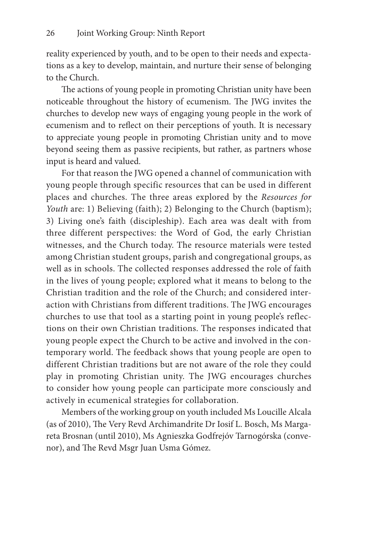reality experienced by youth, and to be open to their needs and expectations as a key to develop, maintain, and nurture their sense of belonging to the Church.

The actions of young people in promoting Christian unity have been noticeable throughout the history of ecumenism. The JWG invites the churches to develop new ways of engaging young people in the work of ecumenism and to reflect on their perceptions of youth. It is necessary to appreciate young people in promoting Christian unity and to move beyond seeing them as passive recipients, but rather, as partners whose input is heard and valued.

For that reason the JWG opened a channel of communication with young people through specific resources that can be used in different places and churches. The three areas explored by the *Resources for Youth* are: 1) Believing (faith); 2) Belonging to the Church (baptism); 3) Living one's faith (discipleship). Each area was dealt with from three different perspectives: the Word of God, the early Christian witnesses, and the Church today. The resource materials were tested among Christian student groups, parish and congregational groups, as well as in schools. The collected responses addressed the role of faith in the lives of young people; explored what it means to belong to the Christian tradition and the role of the Church; and considered interaction with Christians from different traditions. The JWG encourages churches to use that tool as a starting point in young people's reflections on their own Christian traditions. The responses indicated that young people expect the Church to be active and involved in the contemporary world. The feedback shows that young people are open to different Christian traditions but are not aware of the role they could play in promoting Christian unity. The JWG encourages churches to consider how young people can participate more consciously and actively in ecumenical strategies for collaboration.

Members of the working group on youth included Ms Loucille Alcala (as of 2010), The Very Revd Archimandrite Dr Iosif L. Bosch, Ms Margareta Brosnan (until 2010), Ms Agnieszka Godfrejóv Tarnogórska (convenor), and The Revd Msgr Juan Usma Gómez.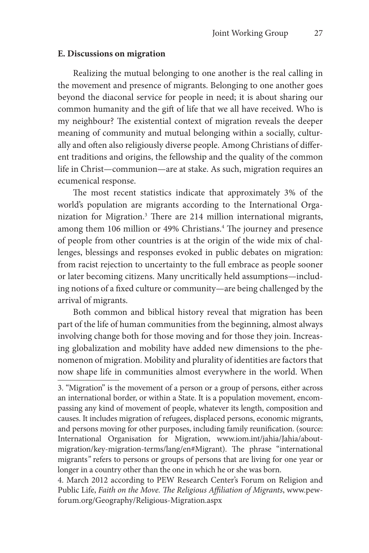#### **E. Discussions on migration**

Realizing the mutual belonging to one another is the real calling in the movement and presence of migrants. Belonging to one another goes beyond the diaconal service for people in need; it is about sharing our common humanity and the gift of life that we all have received. Who is my neighbour? The existential context of migration reveals the deeper meaning of community and mutual belonging within a socially, culturally and often also religiously diverse people. Among Christians of different traditions and origins, the fellowship and the quality of the common life in Christ—communion—are at stake. As such, migration requires an ecumenical response.

The most recent statistics indicate that approximately 3% of the world's population are migrants according to the International Organization for Migration.3 There are 214 million international migrants, among them 106 million or 49% Christians.<sup>4</sup> The journey and presence of people from other countries is at the origin of the wide mix of challenges, blessings and responses evoked in public debates on migration: from racist rejection to uncertainty to the full embrace as people sooner or later becoming citizens. Many uncritically held assumptions—including notions of a fixed culture or community—are being challenged by the arrival of migrants.

Both common and biblical history reveal that migration has been part of the life of human communities from the beginning, almost always involving change both for those moving and for those they join. Increasing globalization and mobility have added new dimensions to the phenomenon of migration. Mobility and plurality of identities are factors that now shape life in communities almost everywhere in the world. When

4. March 2012 according to PEW Research Center's Forum on Religion and Public Life, *Faith on the Move. The Religious Affiliation of Migrants*, www.pewforum.org/Geography/Religious-Migration.aspx

<sup>3. &</sup>quot;Migration" is the movement of a person or a group of persons, either across an international border, or within a State. It is a population movement, encompassing any kind of movement of people, whatever its length, composition and causes. It includes migration of refugees, displaced persons, economic migrants, and persons moving for other purposes, including family reunification. (source: International Organisation for Migration, www.iom.int/jahia/Jahia/aboutmigration/key-migration-terms/lang/en#Migrant). The phrase "international migrants*"* refers to persons or groups of persons that are living for one year or longer in a country other than the one in which he or she was born.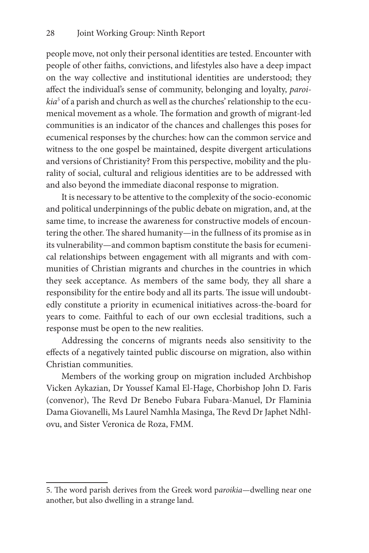people move, not only their personal identities are tested. Encounter with people of other faiths, convictions, and lifestyles also have a deep impact on the way collective and institutional identities are understood; they affect the individual's sense of community, belonging and loyalty, *paroikia5* of a parish and church as well as the churches' relationship to the ecumenical movement as a whole. The formation and growth of migrant-led communities is an indicator of the chances and challenges this poses for ecumenical responses by the churches: how can the common service and witness to the one gospel be maintained, despite divergent articulations and versions of Christianity? From this perspective, mobility and the plurality of social, cultural and religious identities are to be addressed with and also beyond the immediate diaconal response to migration.

It is necessary to be attentive to the complexity of the socio-economic and political underpinnings of the public debate on migration, and, at the same time, to increase the awareness for constructive models of encountering the other. The shared humanity—in the fullness of its promise as in its vulnerability—and common baptism constitute the basis for ecumenical relationships between engagement with all migrants and with communities of Christian migrants and churches in the countries in which they seek acceptance. As members of the same body, they all share a responsibility for the entire body and all its parts. The issue will undoubtedly constitute a priority in ecumenical initiatives across-the-board for years to come. Faithful to each of our own ecclesial traditions, such a response must be open to the new realities.

Addressing the concerns of migrants needs also sensitivity to the effects of a negatively tainted public discourse on migration, also within Christian communities.

Members of the working group on migration included Archbishop Vicken Aykazian, Dr Youssef Kamal El-Hage, Chorbishop John D. Faris (convenor), The Revd Dr Benebo Fubara Fubara-Manuel, Dr Flaminia Dama Giovanelli, Ms Laurel Namhla Masinga, The Revd Dr Japhet Ndhlovu, and Sister Veronica de Roza, FMM.

<sup>5.</sup> The word parish derives from the Greek word p*aroikia—*dwelling near one another, but also dwelling in a strange land.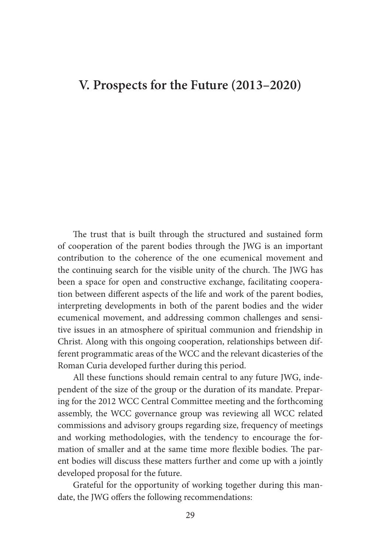### **V. Prospects for the Future (2013–2020)**

The trust that is built through the structured and sustained form of cooperation of the parent bodies through the JWG is an important contribution to the coherence of the one ecumenical movement and the continuing search for the visible unity of the church. The JWG has been a space for open and constructive exchange, facilitating cooperation between different aspects of the life and work of the parent bodies, interpreting developments in both of the parent bodies and the wider ecumenical movement, and addressing common challenges and sensitive issues in an atmosphere of spiritual communion and friendship in Christ. Along with this ongoing cooperation, relationships between different programmatic areas of the WCC and the relevant dicasteries of the Roman Curia developed further during this period.

All these functions should remain central to any future JWG, independent of the size of the group or the duration of its mandate. Preparing for the 2012 WCC Central Committee meeting and the forthcoming assembly, the WCC governance group was reviewing all WCC related commissions and advisory groups regarding size, frequency of meetings and working methodologies, with the tendency to encourage the formation of smaller and at the same time more flexible bodies. The parent bodies will discuss these matters further and come up with a jointly developed proposal for the future.

Grateful for the opportunity of working together during this mandate, the JWG offers the following recommendations: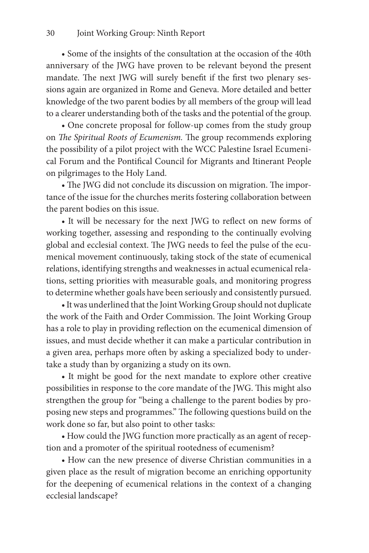• Some of the insights of the consultation at the occasion of the 40th anniversary of the JWG have proven to be relevant beyond the present mandate. The next JWG will surely benefit if the first two plenary sessions again are organized in Rome and Geneva. More detailed and better knowledge of the two parent bodies by all members of the group will lead to a clearer understanding both of the tasks and the potential of the group.

• One concrete proposal for follow-up comes from the study group on *The Spiritual Roots of Ecumenism.* The group recommends exploring the possibility of a pilot project with the WCC Palestine Israel Ecumenical Forum and the Pontifical Council for Migrants and Itinerant People on pilgrimages to the Holy Land.

• The JWG did not conclude its discussion on migration. The importance of the issue for the churches merits fostering collaboration between the parent bodies on this issue.

• It will be necessary for the next JWG to reflect on new forms of working together, assessing and responding to the continually evolving global and ecclesial context. The JWG needs to feel the pulse of the ecumenical movement continuously, taking stock of the state of ecumenical relations, identifying strengths and weaknesses in actual ecumenical relations, setting priorities with measurable goals, and monitoring progress to determine whether goals have been seriously and consistently pursued.

• It was underlined that the Joint Working Group should not duplicate the work of the Faith and Order Commission. The Joint Working Group has a role to play in providing reflection on the ecumenical dimension of issues, and must decide whether it can make a particular contribution in a given area, perhaps more often by asking a specialized body to undertake a study than by organizing a study on its own.

• It might be good for the next mandate to explore other creative possibilities in response to the core mandate of the JWG. This might also strengthen the group for "being a challenge to the parent bodies by proposing new steps and programmes." The following questions build on the work done so far, but also point to other tasks:

• How could the JWG function more practically as an agent of reception and a promoter of the spiritual rootedness of ecumenism?

• How can the new presence of diverse Christian communities in a given place as the result of migration become an enriching opportunity for the deepening of ecumenical relations in the context of a changing ecclesial landscape?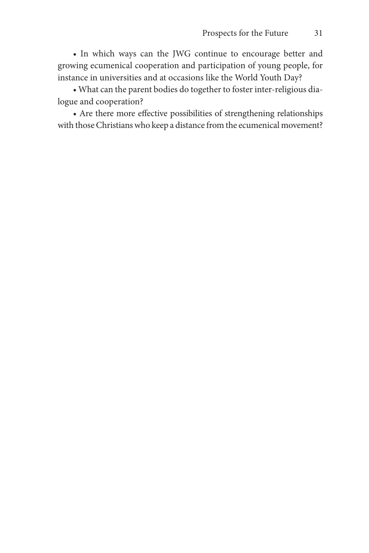• In which ways can the JWG continue to encourage better and growing ecumenical cooperation and participation of young people, for instance in universities and at occasions like the World Youth Day?

• What can the parent bodies do together to foster inter-religious dialogue and cooperation?

• Are there more effective possibilities of strengthening relationships with those Christians who keep a distance from the ecumenical movement?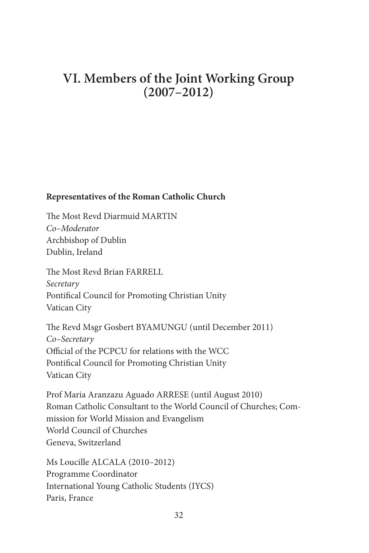# **VI. Members of the Joint Working Group (2007–2012)**

### **Representatives of the Roman Catholic Church**

The Most Revd Diarmuid MARTIN *Co–Moderator* Archbishop of Dublin Dublin, Ireland

The Most Revd Brian FARRELL *Secretary* Pontifical Council for Promoting Christian Unity Vatican City

The Revd Msgr Gosbert BYAMUNGU (until December 2011) *Co–Secretary* Official of the PCPCU for relations with the WCC Pontifical Council for Promoting Christian Unity Vatican City

Prof Maria Aranzazu Aguado ARRESE (until August 2010) Roman Catholic Consultant to the World Council of Churches; Commission for World Mission and Evangelism World Council of Churches Geneva, Switzerland

Ms Loucille ALCALA (2010–2012) Programme Coordinator International Young Catholic Students (IYCS) Paris, France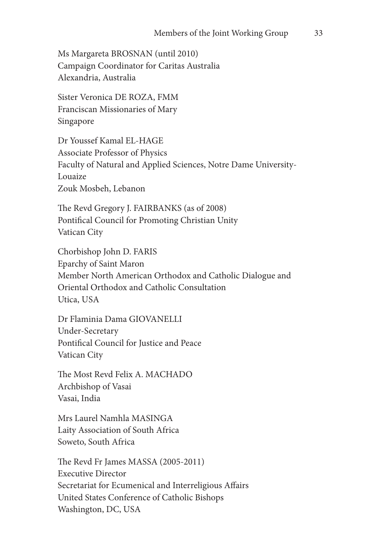Ms Margareta BROSNAN (until 2010) Campaign Coordinator for Caritas Australia Alexandria, Australia

Sister Veronica DE ROZA, FMM Franciscan Missionaries of Mary Singapore

Dr Youssef Kamal EL-HAGE Associate Professor of Physics Faculty of Natural and Applied Sciences, Notre Dame University-Louaize Zouk Mosbeh, Lebanon

The Revd Gregory J. FAIRBANKS (as of 2008) Pontifical Council for Promoting Christian Unity Vatican City

Chorbishop John D. FARIS Eparchy of Saint Maron Member North American Orthodox and Catholic Dialogue and Oriental Orthodox and Catholic Consultation Utica, USA

Dr Flaminia Dama GIOVANELLI Under-Secretary Pontifical Council for Justice and Peace Vatican City

The Most Revd Felix A. MACHADO Archbishop of Vasai Vasai, India

Mrs Laurel Namhla MASINGA Laity Association of South Africa Soweto, South Africa

The Revd Fr James MASSA (2005-2011) Executive Director Secretariat for Ecumenical and Interreligious Affairs United States Conference of Catholic Bishops Washington, DC, USA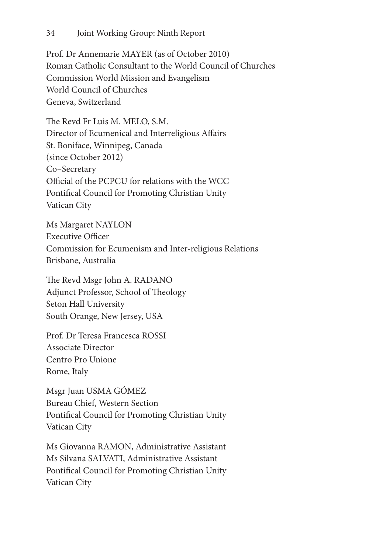Prof. Dr Annemarie MAYER (as of October 2010) Roman Catholic Consultant to the World Council of Churches Commission World Mission and Evangelism World Council of Churches Geneva, Switzerland

The Revd Fr Luis M. MELO, S.M. Director of Ecumenical and Interreligious Affairs St. Boniface, Winnipeg, Canada (since October 2012) Co–Secretary Official of the PCPCU for relations with the WCC Pontifical Council for Promoting Christian Unity Vatican City

Ms Margaret NAYLON Executive Officer Commission for Ecumenism and Inter-religious Relations Brisbane, Australia

The Revd Msgr John A. RADANO Adjunct Professor, School of Theology Seton Hall University South Orange, New Jersey, USA

Prof. Dr Teresa Francesca ROSSI Associate Director Centro Pro Unione Rome, Italy

Msgr Juan USMA GÓMEZ Bureau Chief, Western Section Pontifical Council for Promoting Christian Unity Vatican City

Ms Giovanna RAMON, Administrative Assistant Ms Silvana SALVATI, Administrative Assistant Pontifical Council for Promoting Christian Unity Vatican City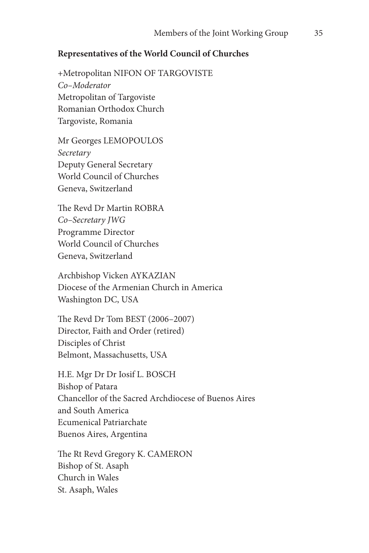#### **Representatives of the World Council of Churches**

+Metropolitan NIFON OF TARGOVISTE *Co–Moderator* Metropolitan of Targoviste Romanian Orthodox Church Targoviste, Romania

Mr Georges LEMOPOULOS *Secretary* Deputy General Secretary World Council of Churches Geneva, Switzerland

The Revd Dr Martin ROBRA *Co–Secretary JWG* Programme Director World Council of Churches Geneva, Switzerland

Archbishop Vicken AYKAZIAN Diocese of the Armenian Church in America Washington DC, USA

The Revd Dr Tom BEST (2006–2007) Director, Faith and Order (retired) Disciples of Christ Belmont, Massachusetts, USA

H.E. Mgr Dr Dr Iosif L. BOSCH Bishop of Patara Chancellor of the Sacred Archdiocese of Buenos Aires and South America Ecumenical Patriarchate Buenos Aires, Argentina

The Rt Revd Gregory K. CAMERON Bishop of St. Asaph Church in Wales St. Asaph, Wales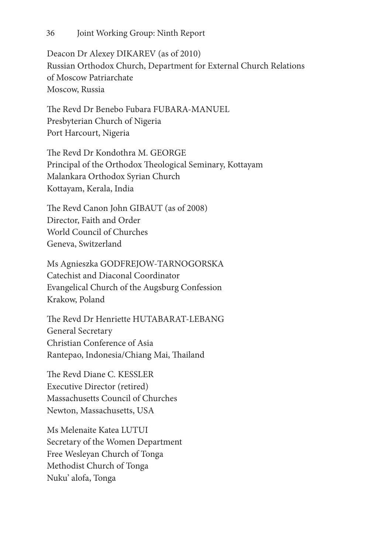Deacon Dr Alexey DIKAREV (as of 2010) Russian Orthodox Church, Department for External Church Relations of Moscow Patriarchate Moscow, Russia

The Revd Dr Benebo Fubara FUBARA-MANUEL Presbyterian Church of Nigeria Port Harcourt, Nigeria

The Revd Dr Kondothra M. GEORGE Principal of the Orthodox Theological Seminary, Kottayam Malankara Orthodox Syrian Church Kottayam, Kerala, India

The Revd Canon John GIBAUT (as of 2008) Director, Faith and Order World Council of Churches Geneva, Switzerland

Ms Agnieszka GODFREJOW-TARNOGORSKA Catechist and Diaconal Coordinator Evangelical Church of the Augsburg Confession Krakow, Poland

The Revd Dr Henriette HUTABARAT-LEBANG General Secretary Christian Conference of Asia Rantepao, Indonesia/Chiang Mai, Thailand

The Revd Diane C. KESSLER Executive Director (retired) Massachusetts Council of Churches Newton, Massachusetts, USA

Ms Melenaite Katea LUTUI Secretary of the Women Department Free Wesleyan Church of Tonga Methodist Church of Tonga Nuku' alofa, Tonga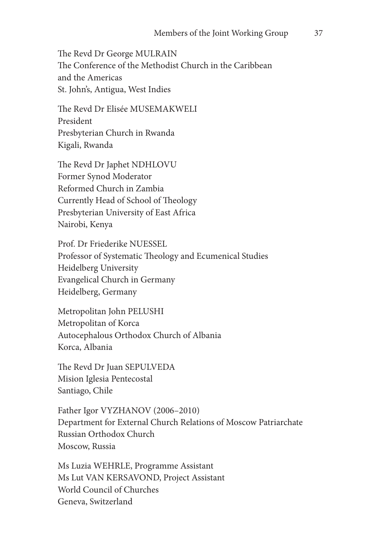The Revd Dr George MULRAIN The Conference of the Methodist Church in the Caribbean and the Americas St. John's, Antigua, West Indies

The Revd Dr Elisée MUSEMAKWELI President Presbyterian Church in Rwanda Kigali, Rwanda

The Revd Dr Japhet NDHLOVU Former Synod Moderator Reformed Church in Zambia Currently Head of School of Theology Presbyterian University of East Africa Nairobi, Kenya

Prof. Dr Friederike NUESSEL Professor of Systematic Theology and Ecumenical Studies Heidelberg University Evangelical Church in Germany Heidelberg, Germany

Metropolitan John PELUSHI Metropolitan of Korca Autocephalous Orthodox Church of Albania Korca, Albania

The Revd Dr Juan SEPULVEDA Mision Iglesia Pentecostal Santiago, Chile

Father Igor VYZHANOV (2006–2010) Department for External Church Relations of Moscow Patriarchate Russian Orthodox Church Moscow, Russia

Ms Luzia WEHRLE, Programme Assistant Ms Lut VAN KERSAVOND, Project Assistant World Council of Churches Geneva, Switzerland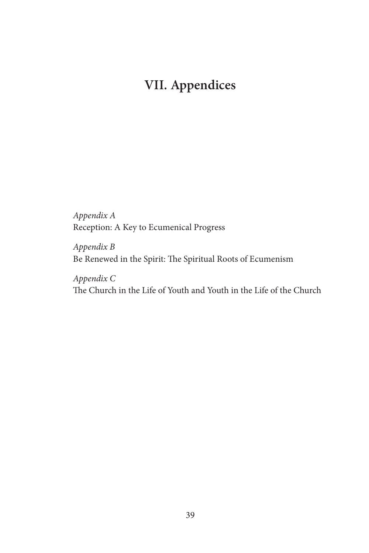# **VII. Appendices**

*Appendix A* Reception: A Key to Ecumenical Progress

*Appendix B* Be Renewed in the Spirit: The Spiritual Roots of Ecumenism

*Appendix C* The Church in the Life of Youth and Youth in the Life of the Church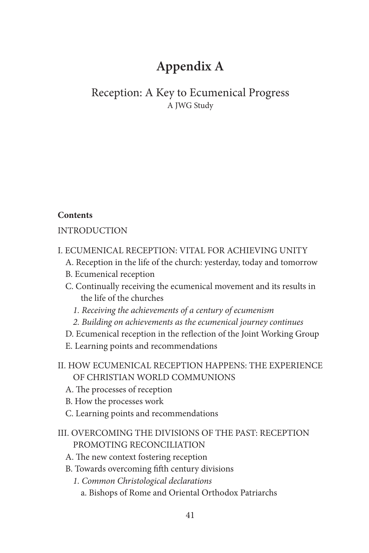# **Appendix A**

# Reception: A Key to Ecumenical Progress A JWG Study

# **Contents**

# INTRODUCTION

- I. ECUMENICAL RECEPTION: VITAL FOR ACHIEVING UNITY
	- A. Reception in the life of the church: yesterday, today and tomorrow
	- B. Ecumenical reception
	- C. Continually receiving the ecumenical movement and its results in the life of the churches
		- *1. Receiving the achievements of a century of ecumenism*
		- *2. Building on achievements as the ecumenical journey continues*
	- D. Ecumenical reception in the reflection of the Joint Working Group
	- E. Learning points and recommendations
- II. HOW ECUMENICAL RECEPTION HAPPENS: THE EXPERIENCE OF CHRISTIAN WORLD COMMUNIONS
	- A. The processes of reception
	- B. How the processes work
	- C. Learning points and recommendations
- III. OVERCOMING THE DIVISIONS OF THE PAST: RECEPTION PROMOTING RECONCILIATION
	- A. The new context fostering reception
	- B. Towards overcoming fifth century divisions
		- *1. Common Christological declarations*
			- a. Bishops of Rome and Oriental Orthodox Patriarchs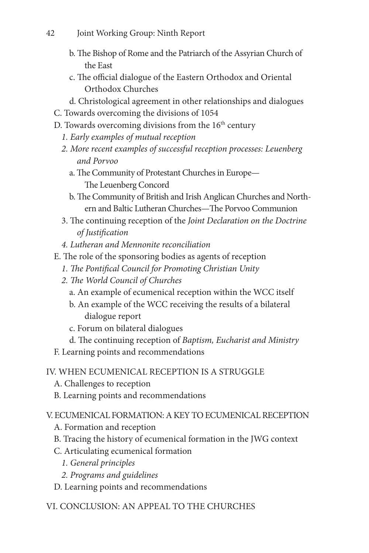- b. The Bishop of Rome and the Patriarch of the Assyrian Church of the East
- c. The official dialogue of the Eastern Orthodox and Oriental Orthodox Churches
- d. Christological agreement in other relationships and dialogues
- C. Towards overcoming the divisions of 1054
- D. Towards overcoming divisions from the  $16<sup>th</sup>$  century
	- *1. Early examples of mutual reception*
	- *2. More recent examples of successful reception processes: Leuenberg and Porvoo*
		- a. The Community of Protestant Churches in Europe— The Leuenberg Concord
		- b. The Community of British and Irish Anglican Churches and Northern and Baltic Lutheran Churches—The Porvoo Communion
	- 3. The continuing reception of the *Joint Declaration on the Doctrine of Justification*
	- *4. Lutheran and Mennonite reconciliation*
- E. The role of the sponsoring bodies as agents of reception
	- *1. The Pontifical Council for Promoting Christian Unity*
	- *2. The World Council of Churches*
		- a. An example of ecumenical reception within the WCC itself
		- b. An example of the WCC receiving the results of a bilateral dialogue report
		- c. Forum on bilateral dialogues
		- d. The continuing reception of *Baptism, Eucharist and Ministry*
- F. Learning points and recommendations

# IV. WHEN ECUMENICAL RECEPTION IS A STRUGGLE

- A. Challenges to reception
- B. Learning points and recommendations

# V. ECUMENICAL FORMATION: A KEY TO ECUMENICAL RECEPTION

- A. Formation and reception
- B. Tracing the history of ecumenical formation in the JWG context
- C. Articulating ecumenical formation
	- *1. General principles*
	- *2. Programs and guidelines*
- D. Learning points and recommendations

# VI. CONCLUSION: AN APPEAL TO THE CHURCHES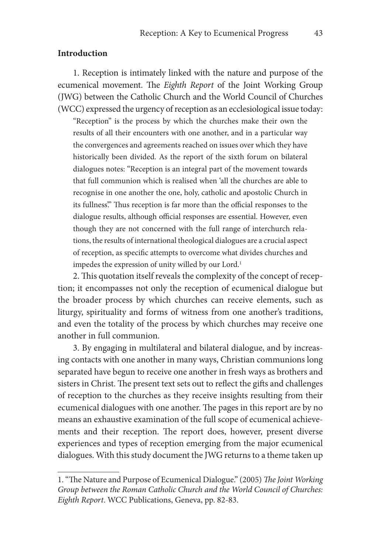#### **Introduction**

1. Reception is intimately linked with the nature and purpose of the ecumenical movement. The *Eighth Report* of the Joint Working Group (JWG) between the Catholic Church and the World Council of Churches (WCC) expressed the urgency of reception as an ecclesiological issue today:

"Reception" is the process by which the churches make their own the results of all their encounters with one another, and in a particular way the convergences and agreements reached on issues over which they have historically been divided. As the report of the sixth forum on bilateral dialogues notes: "Reception is an integral part of the movement towards that full communion which is realised when 'all the churches are able to recognise in one another the one, holy, catholic and apostolic Church in its fullness'." Thus reception is far more than the official responses to the dialogue results, although official responses are essential. However, even though they are not concerned with the full range of interchurch relations, the results of international theological dialogues are a crucial aspect of reception, as specific attempts to overcome what divides churches and impedes the expression of unity willed by our Lord.<sup>1</sup>

2. This quotation itself reveals the complexity of the concept of reception; it encompasses not only the reception of ecumenical dialogue but the broader process by which churches can receive elements, such as liturgy, spirituality and forms of witness from one another's traditions, and even the totality of the process by which churches may receive one another in full communion.

3. By engaging in multilateral and bilateral dialogue, and by increasing contacts with one another in many ways, Christian communions long separated have begun to receive one another in fresh ways as brothers and sisters in Christ. The present text sets out to reflect the gifts and challenges of reception to the churches as they receive insights resulting from their ecumenical dialogues with one another. The pages in this report are by no means an exhaustive examination of the full scope of ecumenical achievements and their reception. The report does, however, present diverse experiences and types of reception emerging from the major ecumenical dialogues. With this study document the JWG returns to a theme taken up

<sup>1. &</sup>quot;The Nature and Purpose of Ecumenical Dialogue." (2005) *The Joint Working Group between the Roman Catholic Church and the World Council of Churches: Eighth Report*. WCC Publications, Geneva, pp. 82-83.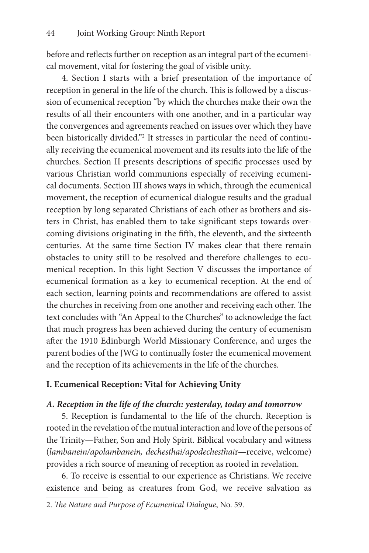before and reflects further on reception as an integral part of the ecumenical movement, vital for fostering the goal of visible unity.

4. Section I starts with a brief presentation of the importance of reception in general in the life of the church. This is followed by a discussion of ecumenical reception "by which the churches make their own the results of all their encounters with one another, and in a particular way the convergences and agreements reached on issues over which they have been historically divided."2 It stresses in particular the need of continually receiving the ecumenical movement and its results into the life of the churches. Section II presents descriptions of specific processes used by various Christian world communions especially of receiving ecumenical documents. Section III shows ways in which, through the ecumenical movement, the reception of ecumenical dialogue results and the gradual reception by long separated Christians of each other as brothers and sisters in Christ, has enabled them to take significant steps towards overcoming divisions originating in the fifth, the eleventh, and the sixteenth centuries. At the same time Section IV makes clear that there remain obstacles to unity still to be resolved and therefore challenges to ecumenical reception. In this light Section V discusses the importance of ecumenical formation as a key to ecumenical reception. At the end of each section, learning points and recommendations are offered to assist the churches in receiving from one another and receiving each other. The text concludes with "An Appeal to the Churches" to acknowledge the fact that much progress has been achieved during the century of ecumenism after the 1910 Edinburgh World Missionary Conference, and urges the parent bodies of the JWG to continually foster the ecumenical movement and the reception of its achievements in the life of the churches.

# **I. Ecumenical Reception: Vital for Achieving Unity**

### *A. Reception in the life of the church: yesterday, today and tomorrow*

5. Reception is fundamental to the life of the church. Reception is rooted in the revelation of the mutual interaction and love of the persons of the Trinity—Father, Son and Holy Spirit. Biblical vocabulary and witness (*lambanein/apolambanein, dechesthai/apodechesthai*r—receive, welcome) provides a rich source of meaning of reception as rooted in revelation.

6. To receive is essential to our experience as Christians. We receive existence and being as creatures from God, we receive salvation as

<sup>2.</sup> *The Nature and Purpose of Ecumenical Dialogue*, No. 59.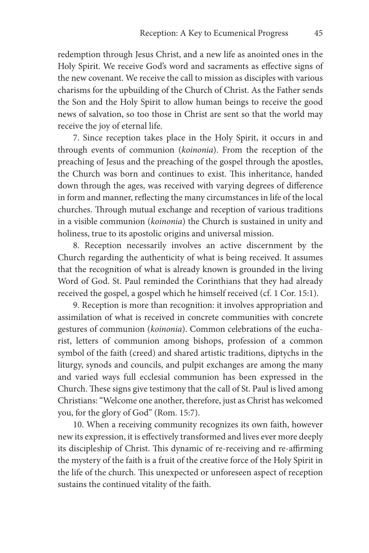redemption through Jesus Christ, and a new life as anointed ones in the Holy Spirit. We receive God's word and sacraments as effective signs of the new covenant. We receive the call to mission as disciples with various charisms for the upbuilding of the Church of Christ. As the Father sends the Son and the Holy Spirit to allow human beings to receive the good news of salvation, so too those in Christ are sent so that the world may receive the joy of eternal life.

7. Since reception takes place in the Holy Spirit, it occurs in and through events of communion (*koinonia*). From the reception of the preaching of Jesus and the preaching of the gospel through the apostles, the Church was born and continues to exist. This inheritance, handed down through the ages, was received with varying degrees of difference in form and manner, reflecting the many circumstances in life of the local churches. Through mutual exchange and reception of various traditions in a visible communion (*koinonia*) the Church is sustained in unity and holiness, true to its apostolic origins and universal mission.

8. Reception necessarily involves an active discernment by the Church regarding the authenticity of what is being received. It assumes that the recognition of what is already known is grounded in the living Word of God. St. Paul reminded the Corinthians that they had already received the gospel, a gospel which he himself received (cf. 1 Cor. 15:1).

9. Reception is more than recognition: it involves appropriation and assimilation of what is received in concrete communities with concrete gestures of communion (*koinonia*). Common celebrations of the eucharist, letters of communion among bishops, profession of a common symbol of the faith (creed) and shared artistic traditions, diptychs in the liturgy, synods and councils, and pulpit exchanges are among the many and varied ways full ecclesial communion has been expressed in the Church. These signs give testimony that the call of St. Paul is lived among Christians: "Welcome one another, therefore, just as Christ has welcomed you, for the glory of God" (Rom. 15:7).

10. When a receiving community recognizes its own faith, however new its expression, it is effectively transformed and lives ever more deeply its discipleship of Christ. This dynamic of re-receiving and re-affirming the mystery of the faith is a fruit of the creative force of the Holy Spirit in the life of the church. This unexpected or unforeseen aspect of reception sustains the continued vitality of the faith.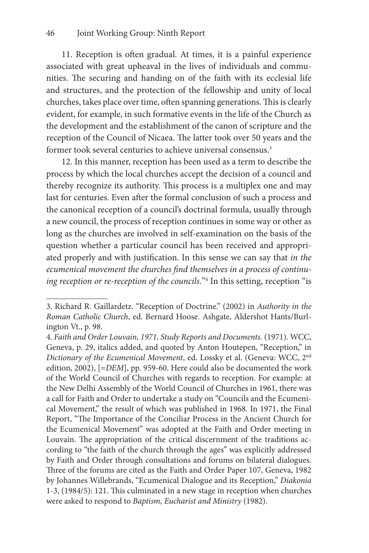11. Reception is often gradual. At times, it is a painful experience associated with great upheaval in the lives of individuals and communities. The securing and handing on of the faith with its ecclesial life and structures, and the protection of the fellowship and unity of local churches, takes place over time, often spanning generations. This is clearly evident, for example, in such formative events in the life of the Church as the development and the establishment of the canon of scripture and the reception of the Council of Nicaea. The latter took over 50 years and the former took several centuries to achieve universal consensus.<sup>3</sup>

12. In this manner, reception has been used as a term to describe the process by which the local churches accept the decision of a council and thereby recognize its authority. This process is a multiplex one and may last for centuries. Even after the formal conclusion of such a process and the canonical reception of a council's doctrinal formula, usually through a new council, the process of reception continues in some way or other as long as the churches are involved in self-examination on the basis of the question whether a particular council has been received and appropriated properly and with justification. In this sense we can say that *in the ecumenical movement the churches find themselves in a process of continuing reception or re-reception of the councils.*"4 In this setting, reception "is

<sup>3.</sup> Richard R. Gaillardetz. "Reception of Doctrine." (2002) in *Authority in the Roman Catholic Church*, ed. Bernard Hoose. Ashgate, Aldershot Hants/Burlington Vt., p. 98.

<sup>4.</sup> *Faith and Order Louvain, 1971, Study Reports and Documents.* (1971). WCC, Geneva, p. 29, italics added, and quoted by Anton Houtepen, "Reception," in *Dictionary of the Ecumenical Movement*, ed. Lossky et al. (Geneva: WCC, 2nd edition, 2002), [=*DEM*], pp. 959-60. Here could also be documented the work of the World Council of Churches with regards to reception. For example: at the New Delhi Assembly of the World Council of Churches in 1961, there was a call for Faith and Order to undertake a study on "Councils and the Ecumenical Movement," the result of which was published in 1968. In 1971, the Final Report, "The Importance of the Conciliar Process in the Ancient Church for the Ecumenical Movement" was adopted at the Faith and Order meeting in Louvain. The appropriation of the critical discernment of the traditions according to "the faith of the church through the ages" was explicitly addressed by Faith and Order through consultations and forums on bilateral dialogues. Three of the forums are cited as the Faith and Order Paper 107, Geneva, 1982 by Johannes Willebrands, "Ecumenical Dialogue and its Reception," *Diakonia* 1-3, (1984/5): 121. This culminated in a new stage in reception when churches were asked to respond to *Baptism, Eucharist and Ministry* (1982).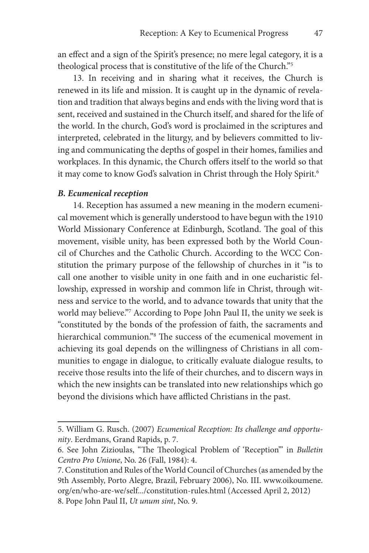an effect and a sign of the Spirit's presence; no mere legal category, it is a theological process that is constitutive of the life of the Church."5

13. In receiving and in sharing what it receives, the Church is renewed in its life and mission. It is caught up in the dynamic of revelation and tradition that always begins and ends with the living word that is sent, received and sustained in the Church itself, and shared for the life of the world. In the church, God's word is proclaimed in the scriptures and interpreted, celebrated in the liturgy, and by believers committed to living and communicating the depths of gospel in their homes, families and workplaces. In this dynamic, the Church offers itself to the world so that it may come to know God's salvation in Christ through the Holy Spirit.<sup>6</sup>

#### *B. Ecumenical reception*

14. Reception has assumed a new meaning in the modern ecumenical movement which is generally understood to have begun with the 1910 World Missionary Conference at Edinburgh, Scotland. The goal of this movement, visible unity, has been expressed both by the World Council of Churches and the Catholic Church. According to the WCC Constitution the primary purpose of the fellowship of churches in it "is to call one another to visible unity in one faith and in one eucharistic fellowship, expressed in worship and common life in Christ, through witness and service to the world, and to advance towards that unity that the world may believe."7 According to Pope John Paul II, the unity we seek is "constituted by the bonds of the profession of faith, the sacraments and hierarchical communion."8 The success of the ecumenical movement in achieving its goal depends on the willingness of Christians in all communities to engage in dialogue, to critically evaluate dialogue results, to receive those results into the life of their churches, and to discern ways in which the new insights can be translated into new relationships which go beyond the divisions which have afflicted Christians in the past.

<sup>5.</sup> William G. Rusch. (2007) *Ecumenical Reception: Its challenge and opportunity*. Eerdmans, Grand Rapids, p. 7.

<sup>6.</sup> See John Zizioulas, "The Theological Problem of 'Reception'" in *Bulletin Centro Pro Unione*, No. 26 (Fall, 1984): 4.

<sup>7.</sup> Constitution and Rules of the World Council of Churches (as amended by the 9th Assembly, Porto Alegre, Brazil, February 2006), No. III. www.oikoumene. org/en/who-are-we/self.../constitution-rules.html (Accessed April 2, 2012) 8. Pope John Paul II, *Ut unum sint*, No. 9.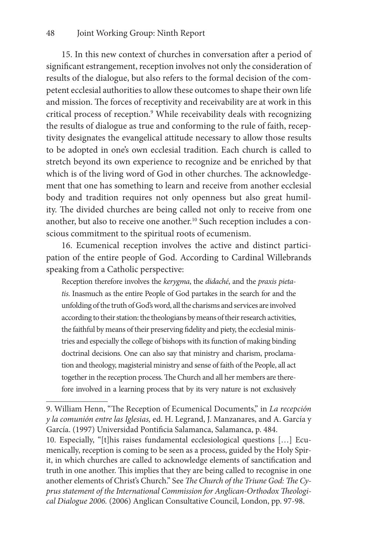15. In this new context of churches in conversation after a period of significant estrangement, reception involves not only the consideration of results of the dialogue, but also refers to the formal decision of the competent ecclesial authorities to allow these outcomes to shape their own life and mission. The forces of receptivity and receivability are at work in this critical process of reception.9 While receivability deals with recognizing the results of dialogue as true and conforming to the rule of faith, receptivity designates the evangelical attitude necessary to allow those results to be adopted in one's own ecclesial tradition. Each church is called to stretch beyond its own experience to recognize and be enriched by that which is of the living word of God in other churches. The acknowledgement that one has something to learn and receive from another ecclesial body and tradition requires not only openness but also great humility. The divided churches are being called not only to receive from one another, but also to receive one another.<sup>10</sup> Such reception includes a conscious commitment to the spiritual roots of ecumenism.

16. Ecumenical reception involves the active and distinct participation of the entire people of God. According to Cardinal Willebrands speaking from a Catholic perspective:

Reception therefore involves the *kerygma*, the *didaché*, and the *praxis pietatis*. Inasmuch as the entire People of God partakes in the search for and the unfolding of the truth of God's word, all the charisms and services are involved according to their station: the theologians by means of their research activities, the faithful by means of their preserving fidelity and piety, the ecclesial ministries and especially the college of bishops with its function of making binding doctrinal decisions. One can also say that ministry and charism, proclamation and theology, magisterial ministry and sense of faith of the People, all act together in the reception process. The Church and all her members are therefore involved in a learning process that by its very nature is not exclusively

<sup>9.</sup> William Henn, "The Reception of Ecumenical Documents," in *La recepción y la comunión entre las Iglesias,* ed. H. Legrand, J. Manzanares, and A. García y García. (1997) Universidad Pontificia Salamanca, Salamanca, p. 484.

<sup>10.</sup> Especially, "[t]his raises fundamental ecclesiological questions […] Ecumenically, reception is coming to be seen as a process, guided by the Holy Spirit, in which churches are called to acknowledge elements of sanctification and truth in one another. This implies that they are being called to recognise in one another elements of Christ's Church." See *The Church of the Triune God: The Cyprus statement of the International Commission for Anglican-Orthodox Theological Dialogue 2006.* (2006) Anglican Consultative Council, London, pp. 97-98.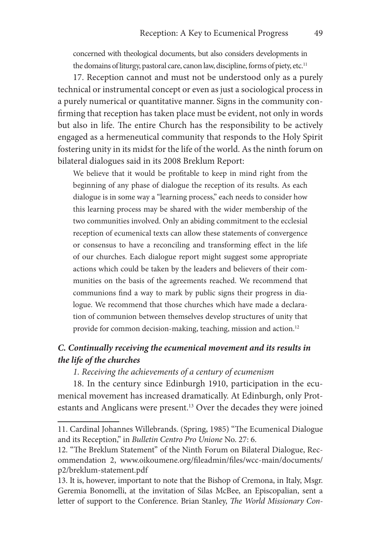concerned with theological documents, but also considers developments in the domains of liturgy, pastoral care, canon law, discipline, forms of piety, etc.<sup>11</sup>

17. Reception cannot and must not be understood only as a purely technical or instrumental concept or even as just a sociological process in a purely numerical or quantitative manner. Signs in the community confirming that reception has taken place must be evident, not only in words but also in life. The entire Church has the responsibility to be actively engaged as a hermeneutical community that responds to the Holy Spirit fostering unity in its midst for the life of the world. As the ninth forum on bilateral dialogues said in its 2008 Breklum Report:

We believe that it would be profitable to keep in mind right from the beginning of any phase of dialogue the reception of its results. As each dialogue is in some way a "learning process," each needs to consider how this learning process may be shared with the wider membership of the two communities involved. Only an abiding commitment to the ecclesial reception of ecumenical texts can allow these statements of convergence or consensus to have a reconciling and transforming effect in the life of our churches. Each dialogue report might suggest some appropriate actions which could be taken by the leaders and believers of their communities on the basis of the agreements reached. We recommend that communions find a way to mark by public signs their progress in dialogue. We recommend that those churches which have made a declaration of communion between themselves develop structures of unity that provide for common decision-making, teaching, mission and action.<sup>12</sup>

# *C. Continually receiving the ecumenical movement and its results in the life of the churches*

#### *1. Receiving the achievements of a century of ecumenism*

18. In the century since Edinburgh 1910, participation in the ecumenical movement has increased dramatically. At Edinburgh, only Protestants and Anglicans were present.<sup>13</sup> Over the decades they were joined

<sup>11.</sup> Cardinal Johannes Willebrands. (Spring, 1985) "The Ecumenical Dialogue and its Reception," in *Bulletin Centro Pro Unione* No. 27: 6.

<sup>12. &</sup>quot;The Breklum Statement" of the Ninth Forum on Bilateral Dialogue, Recommendation 2, www.oikoumene.org/fileadmin/files/wcc-main/documents/ p2/breklum-statement.pdf

<sup>13.</sup> It is, however, important to note that the Bishop of Cremona, in Italy, Msgr. Geremia Bonomelli, at the invitation of Silas McBee, an Episcopalian, sent a letter of support to the Conference. Brian Stanley, *The World Missionary Con-*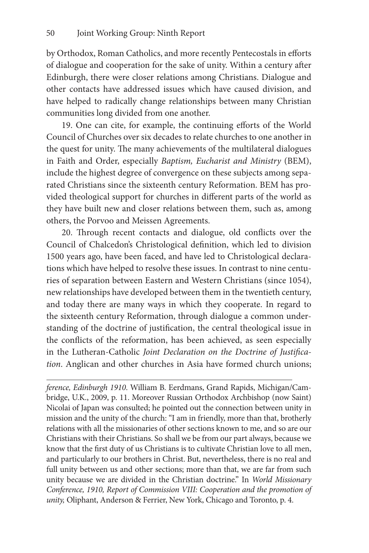by Orthodox, Roman Catholics, and more recently Pentecostals in efforts of dialogue and cooperation for the sake of unity. Within a century after Edinburgh, there were closer relations among Christians. Dialogue and other contacts have addressed issues which have caused division, and have helped to radically change relationships between many Christian communities long divided from one another.

19. One can cite, for example, the continuing efforts of the World Council of Churches over six decades to relate churches to one another in the quest for unity. The many achievements of the multilateral dialogues in Faith and Order, especially *Baptism, Eucharist and Ministry* (BEM), include the highest degree of convergence on these subjects among separated Christians since the sixteenth century Reformation. BEM has provided theological support for churches in different parts of the world as they have built new and closer relations between them, such as, among others, the Porvoo and Meissen Agreements.

20. Through recent contacts and dialogue, old conflicts over the Council of Chalcedon's Christological definition, which led to division 1500 years ago, have been faced, and have led to Christological declarations which have helped to resolve these issues. In contrast to nine centuries of separation between Eastern and Western Christians (since 1054), new relationships have developed between them in the twentieth century, and today there are many ways in which they cooperate. In regard to the sixteenth century Reformation, through dialogue a common understanding of the doctrine of justification, the central theological issue in the conflicts of the reformation, has been achieved, as seen especially in the Lutheran-Catholic *Joint Declaration on the Doctrine of Justification*. Anglican and other churches in Asia have formed church unions;

*ference, Edinburgh 1910*. William B. Eerdmans, Grand Rapids, Michigan/Cambridge, U.K., 2009, p. 11. Moreover Russian Orthodox Archbishop (now Saint) Nicolai of Japan was consulted; he pointed out the connection between unity in mission and the unity of the church: "I am in friendly, more than that, brotherly relations with all the missionaries of other sections known to me, and so are our Christians with their Christians. So shall we be from our part always, because we know that the first duty of us Christians is to cultivate Christian love to all men, and particularly to our brothers in Christ. But, nevertheless, there is no real and full unity between us and other sections; more than that, we are far from such unity because we are divided in the Christian doctrine." In *World Missionary Conference, 1910, Report of Commission VIII: Cooperation and the promotion of unity,* Oliphant, Anderson & Ferrier, New York, Chicago and Toronto, p. 4.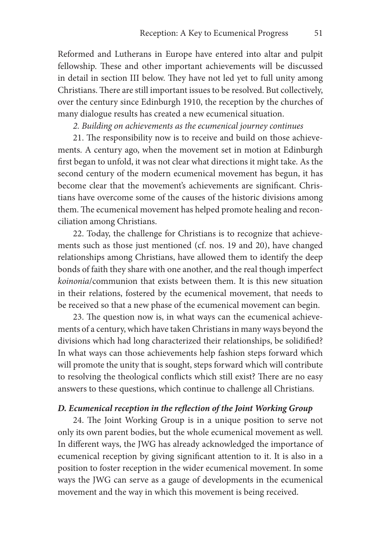Reformed and Lutherans in Europe have entered into altar and pulpit fellowship. These and other important achievements will be discussed in detail in section III below. They have not led yet to full unity among Christians. There are still important issues to be resolved. But collectively, over the century since Edinburgh 1910, the reception by the churches of many dialogue results has created a new ecumenical situation.

*2. Building on achievements as the ecumenical journey continues*

21. The responsibility now is to receive and build on those achievements. A century ago, when the movement set in motion at Edinburgh first began to unfold, it was not clear what directions it might take. As the second century of the modern ecumenical movement has begun, it has become clear that the movement's achievements are significant. Christians have overcome some of the causes of the historic divisions among them. The ecumenical movement has helped promote healing and reconciliation among Christians.

22. Today, the challenge for Christians is to recognize that achievements such as those just mentioned (cf. nos. 19 and 20), have changed relationships among Christians, have allowed them to identify the deep bonds of faith they share with one another, and the real though imperfect *koinonia*/communion that exists between them. It is this new situation in their relations, fostered by the ecumenical movement, that needs to be received so that a new phase of the ecumenical movement can begin.

23. The question now is, in what ways can the ecumenical achievements of a century, which have taken Christians in many ways beyond the divisions which had long characterized their relationships, be solidified? In what ways can those achievements help fashion steps forward which will promote the unity that is sought, steps forward which will contribute to resolving the theological conflicts which still exist? There are no easy answers to these questions, which continue to challenge all Christians.

#### *D. Ecumenical reception in the reflection of the Joint Working Group*

24. The Joint Working Group is in a unique position to serve not only its own parent bodies, but the whole ecumenical movement as well. In different ways, the JWG has already acknowledged the importance of ecumenical reception by giving significant attention to it. It is also in a position to foster reception in the wider ecumenical movement. In some ways the JWG can serve as a gauge of developments in the ecumenical movement and the way in which this movement is being received.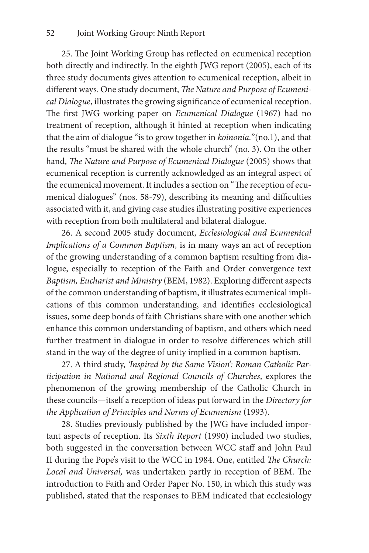25. The Joint Working Group has reflected on ecumenical reception both directly and indirectly. In the eighth JWG report (2005), each of its three study documents gives attention to ecumenical reception, albeit in different ways. One study document, *The Nature and Purpose of Ecumenical Dialogue*, illustrates the growing significance of ecumenical reception. The first JWG working paper on *Ecumenical Dialogue* (1967) had no treatment of reception, although it hinted at reception when indicating that the aim of dialogue "is to grow together in *koinonia.*"(no.1), and that the results "must be shared with the whole church" (no. 3). On the other hand, *The Nature and Purpose of Ecumenical Dialogue* (2005) shows that ecumenical reception is currently acknowledged as an integral aspect of the ecumenical movement. It includes a section on "The reception of ecumenical dialogues" (nos. 58-79), describing its meaning and difficulties associated with it, and giving case studies illustrating positive experiences with reception from both multilateral and bilateral dialogue.

26. A second 2005 study document, *Ecclesiological and Ecumenical Implications of a Common Baptism,* is in many ways an act of reception of the growing understanding of a common baptism resulting from dialogue, especially to reception of the Faith and Order convergence text *Baptism, Eucharist and Ministry* (BEM, 1982). Exploring different aspects of the common understanding of baptism, it illustrates ecumenical implications of this common understanding, and identifies ecclesiological issues, some deep bonds of faith Christians share with one another which enhance this common understanding of baptism, and others which need further treatment in dialogue in order to resolve differences which still stand in the way of the degree of unity implied in a common baptism.

27. A third study, *'Inspired by the Same Vision': Roman Catholic Participation in National and Regional Councils of Churches*, explores the phenomenon of the growing membership of the Catholic Church in these councils—itself a reception of ideas put forward in the *Directory for the Application of Principles and Norms of Ecumenism* (1993).

28. Studies previously published by the JWG have included important aspects of reception. Its *Sixth Report* (1990) included two studies, both suggested in the conversation between WCC staff and John Paul II during the Pope's visit to the WCC in 1984. One, entitled *The Church: Local and Universal,* was undertaken partly in reception of BEM. The introduction to Faith and Order Paper No. 150, in which this study was published, stated that the responses to BEM indicated that ecclesiology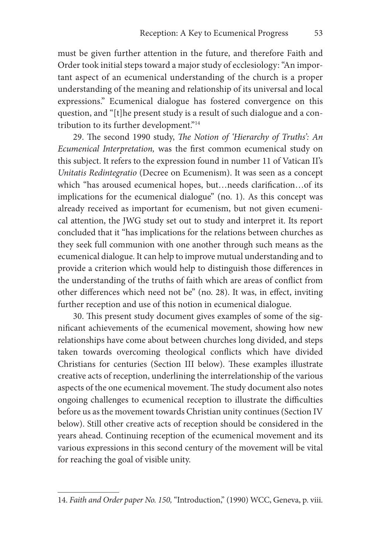must be given further attention in the future, and therefore Faith and Order took initial steps toward a major study of ecclesiology: "An important aspect of an ecumenical understanding of the church is a proper understanding of the meaning and relationship of its universal and local expressions." Ecumenical dialogue has fostered convergence on this question, and "[t]he present study is a result of such dialogue and a contribution to its further development."14

29. The second 1990 study, *The Notion of 'Hierarchy of Truths': An Ecumenical Interpretation,* was the first common ecumenical study on this subject. It refers to the expression found in number 11 of Vatican II's *Unitatis Redintegratio* (Decree on Ecumenism). It was seen as a concept which "has aroused ecumenical hopes, but…needs clarification…of its implications for the ecumenical dialogue" (no. 1). As this concept was already received as important for ecumenism, but not given ecumenical attention, the JWG study set out to study and interpret it. Its report concluded that it "has implications for the relations between churches as they seek full communion with one another through such means as the ecumenical dialogue. It can help to improve mutual understanding and to provide a criterion which would help to distinguish those differences in the understanding of the truths of faith which are areas of conflict from other differences which need not be" (no. 28). It was, in effect, inviting further reception and use of this notion in ecumenical dialogue.

30. This present study document gives examples of some of the significant achievements of the ecumenical movement, showing how new relationships have come about between churches long divided, and steps taken towards overcoming theological conflicts which have divided Christians for centuries (Section III below). These examples illustrate creative acts of reception, underlining the interrelationship of the various aspects of the one ecumenical movement. The study document also notes ongoing challenges to ecumenical reception to illustrate the difficulties before us as the movement towards Christian unity continues (Section IV below). Still other creative acts of reception should be considered in the years ahead. Continuing reception of the ecumenical movement and its various expressions in this second century of the movement will be vital for reaching the goal of visible unity.

<sup>14.</sup> *Faith and Order paper No. 150,* "Introduction," (1990) WCC, Geneva, p. viii.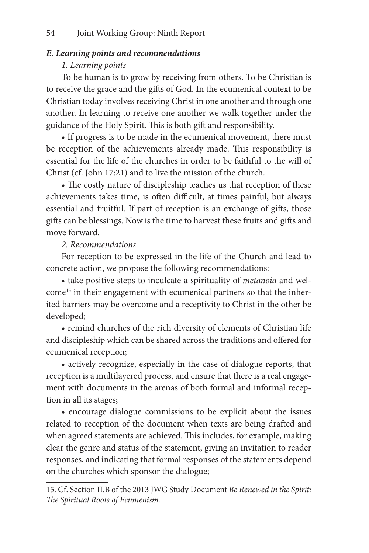# *E. Learning points and recommendations*

### *1. Learning points*

To be human is to grow by receiving from others. To be Christian is to receive the grace and the gifts of God. In the ecumenical context to be Christian today involves receiving Christ in one another and through one another. In learning to receive one another we walk together under the guidance of the Holy Spirit. This is both gift and responsibility.

• If progress is to be made in the ecumenical movement, there must be reception of the achievements already made. This responsibility is essential for the life of the churches in order to be faithful to the will of Christ (cf. John 17:21) and to live the mission of the church.

• The costly nature of discipleship teaches us that reception of these achievements takes time, is often difficult, at times painful, but always essential and fruitful. If part of reception is an exchange of gifts, those gifts can be blessings. Now is the time to harvest these fruits and gifts and move forward.

# *2. Recommendations*

For reception to be expressed in the life of the Church and lead to concrete action, we propose the following recommendations:

• take positive steps to inculcate a spirituality of *metanoia* and welcome<sup>15</sup> in their engagement with ecumenical partners so that the inherited barriers may be overcome and a receptivity to Christ in the other be developed;

• remind churches of the rich diversity of elements of Christian life and discipleship which can be shared across the traditions and offered for ecumenical reception;

• actively recognize, especially in the case of dialogue reports, that reception is a multilayered process, and ensure that there is a real engagement with documents in the arenas of both formal and informal reception in all its stages;

• encourage dialogue commissions to be explicit about the issues related to reception of the document when texts are being drafted and when agreed statements are achieved. This includes, for example, making clear the genre and status of the statement, giving an invitation to reader responses, and indicating that formal responses of the statements depend on the churches which sponsor the dialogue;

<sup>15.</sup> Cf. Section II.B of the 2013 JWG Study Document *Be Renewed in the Spirit: The Spiritual Roots of Ecumenism.*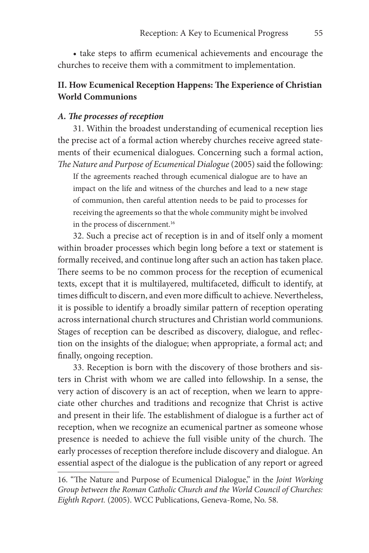• take steps to affirm ecumenical achievements and encourage the churches to receive them with a commitment to implementation.

# **II. How Ecumenical Reception Happens: The Experience of Christian World Communions**

#### *A. The processes of reception*

31. Within the broadest understanding of ecumenical reception lies the precise act of a formal action whereby churches receive agreed statements of their ecumenical dialogues. Concerning such a formal action, *The Nature and Purpose of Ecumenical Dialogue* (2005) said the following:

If the agreements reached through ecumenical dialogue are to have an impact on the life and witness of the churches and lead to a new stage of communion, then careful attention needs to be paid to processes for receiving the agreements so that the whole community might be involved in the process of discernment.<sup>16</sup>

32. Such a precise act of reception is in and of itself only a moment within broader processes which begin long before a text or statement is formally received, and continue long after such an action has taken place. There seems to be no common process for the reception of ecumenical texts, except that it is multilayered, multifaceted, difficult to identify, at times difficult to discern, and even more difficult to achieve. Nevertheless, it is possible to identify a broadly similar pattern of reception operating across international church structures and Christian world communions. Stages of reception can be described as discovery, dialogue, and reflection on the insights of the dialogue; when appropriate, a formal act; and finally, ongoing reception.

33. Reception is born with the discovery of those brothers and sisters in Christ with whom we are called into fellowship. In a sense, the very action of discovery is an act of reception, when we learn to appreciate other churches and traditions and recognize that Christ is active and present in their life. The establishment of dialogue is a further act of reception, when we recognize an ecumenical partner as someone whose presence is needed to achieve the full visible unity of the church. The early processes of reception therefore include discovery and dialogue. An essential aspect of the dialogue is the publication of any report or agreed

<sup>16. &</sup>quot;The Nature and Purpose of Ecumenical Dialogue," in the *Joint Working Group between the Roman Catholic Church and the World Council of Churches: Eighth Report.* (2005). WCC Publications, Geneva-Rome, No. 58.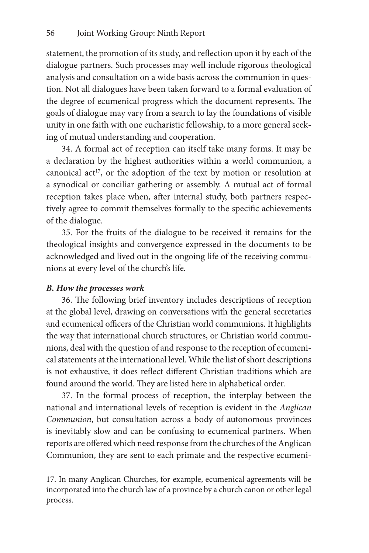statement, the promotion of its study, and reflection upon it by each of the dialogue partners. Such processes may well include rigorous theological analysis and consultation on a wide basis across the communion in question. Not all dialogues have been taken forward to a formal evaluation of the degree of ecumenical progress which the document represents. The goals of dialogue may vary from a search to lay the foundations of visible unity in one faith with one eucharistic fellowship, to a more general seeking of mutual understanding and cooperation.

34. A formal act of reception can itself take many forms. It may be a declaration by the highest authorities within a world communion, a canonical act<sup>17</sup>, or the adoption of the text by motion or resolution at a synodical or conciliar gathering or assembly. A mutual act of formal reception takes place when, after internal study, both partners respectively agree to commit themselves formally to the specific achievements of the dialogue.

35. For the fruits of the dialogue to be received it remains for the theological insights and convergence expressed in the documents to be acknowledged and lived out in the ongoing life of the receiving communions at every level of the church's life*.*

### *B. How the processes work*

36. The following brief inventory includes descriptions of reception at the global level, drawing on conversations with the general secretaries and ecumenical officers of the Christian world communions. It highlights the way that international church structures, or Christian world communions, deal with the question of and response to the reception of ecumenical statements at the international level. While the list of short descriptions is not exhaustive, it does reflect different Christian traditions which are found around the world. They are listed here in alphabetical order.

37. In the formal process of reception, the interplay between the national and international levels of reception is evident in the *Anglican Communion*, but consultation across a body of autonomous provinces is inevitably slow and can be confusing to ecumenical partners. When reports are offered which need response from the churches of the Anglican Communion, they are sent to each primate and the respective ecumeni-

<sup>17.</sup> In many Anglican Churches, for example, ecumenical agreements will be incorporated into the church law of a province by a church canon or other legal process.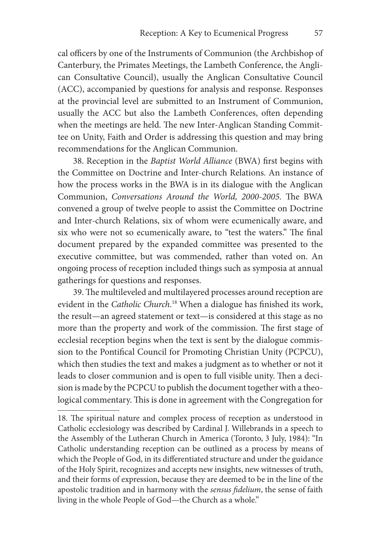cal officers by one of the Instruments of Communion (the Archbishop of Canterbury, the Primates Meetings, the Lambeth Conference, the Anglican Consultative Council), usually the Anglican Consultative Council (ACC), accompanied by questions for analysis and response. Responses at the provincial level are submitted to an Instrument of Communion, usually the ACC but also the Lambeth Conferences, often depending when the meetings are held. The new Inter-Anglican Standing Committee on Unity, Faith and Order is addressing this question and may bring recommendations for the Anglican Communion.

38. Reception in the *Baptist World Alliance* (BWA) first begins with the Committee on Doctrine and Inter-church Relations. An instance of how the process works in the BWA is in its dialogue with the Anglican Communion, *Conversations Around the World, 2000-2005.* The BWA convened a group of twelve people to assist the Committee on Doctrine and Inter-church Relations, six of whom were ecumenically aware, and six who were not so ecumenically aware, to "test the waters." The final document prepared by the expanded committee was presented to the executive committee, but was commended, rather than voted on. An ongoing process of reception included things such as symposia at annual gatherings for questions and responses.

39. The multileveled and multilayered processes around reception are evident in the *Catholic Church*. 18 When a dialogue has finished its work, the result—an agreed statement or text—is considered at this stage as no more than the property and work of the commission. The first stage of ecclesial reception begins when the text is sent by the dialogue commission to the Pontifical Council for Promoting Christian Unity (PCPCU), which then studies the text and makes a judgment as to whether or not it leads to closer communion and is open to full visible unity. Then a decision is made by the PCPCU to publish the document together with a theological commentary. This is done in agreement with the Congregation for

<sup>18.</sup> The spiritual nature and complex process of reception as understood in Catholic ecclesiology was described by Cardinal J. Willebrands in a speech to the Assembly of the Lutheran Church in America (Toronto, 3 July, 1984): "In Catholic understanding reception can be outlined as a process by means of which the People of God, in its differentiated structure and under the guidance of the Holy Spirit, recognizes and accepts new insights, new witnesses of truth, and their forms of expression, because they are deemed to be in the line of the apostolic tradition and in harmony with the *sensus fidelium*, the sense of faith living in the whole People of God—the Church as a whole."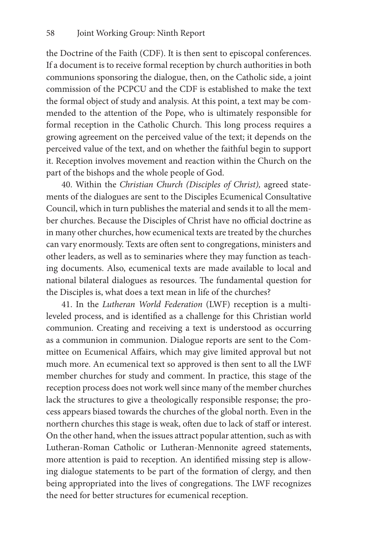the Doctrine of the Faith (CDF). It is then sent to episcopal conferences. If a document is to receive formal reception by church authorities in both communions sponsoring the dialogue, then, on the Catholic side, a joint commission of the PCPCU and the CDF is established to make the text the formal object of study and analysis. At this point, a text may be commended to the attention of the Pope, who is ultimately responsible for formal reception in the Catholic Church. This long process requires a growing agreement on the perceived value of the text; it depends on the perceived value of the text, and on whether the faithful begin to support it. Reception involves movement and reaction within the Church on the part of the bishops and the whole people of God.

40. Within the *Christian Church (Disciples of Christ),* agreed statements of the dialogues are sent to the Disciples Ecumenical Consultative Council, which in turn publishes the material and sends it to all the member churches. Because the Disciples of Christ have no official doctrine as in many other churches, how ecumenical texts are treated by the churches can vary enormously. Texts are often sent to congregations, ministers and other leaders, as well as to seminaries where they may function as teaching documents. Also, ecumenical texts are made available to local and national bilateral dialogues as resources. The fundamental question for the Disciples is, what does a text mean in life of the churches?

41. In the *Lutheran World Federation* (LWF) reception is a multileveled process, and is identified as a challenge for this Christian world communion. Creating and receiving a text is understood as occurring as a communion in communion. Dialogue reports are sent to the Committee on Ecumenical Affairs, which may give limited approval but not much more. An ecumenical text so approved is then sent to all the LWF member churches for study and comment. In practice, this stage of the reception process does not work well since many of the member churches lack the structures to give a theologically responsible response; the process appears biased towards the churches of the global north. Even in the northern churches this stage is weak, often due to lack of staff or interest. On the other hand, when the issues attract popular attention, such as with Lutheran-Roman Catholic or Lutheran-Mennonite agreed statements, more attention is paid to reception. An identified missing step is allowing dialogue statements to be part of the formation of clergy, and then being appropriated into the lives of congregations. The LWF recognizes the need for better structures for ecumenical reception.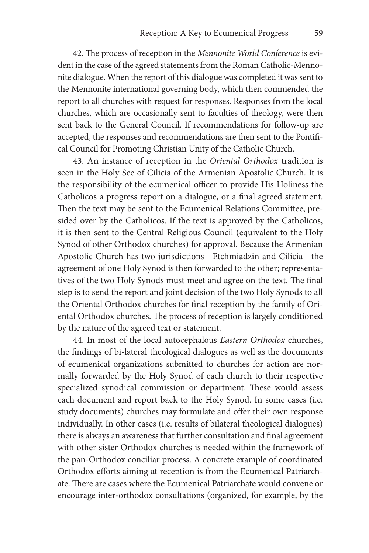42. The process of reception in the *Mennonite World Conference* is evident in the case of the agreed statements from the Roman Catholic-Mennonite dialogue. When the report of this dialogue was completed it was sent to the Mennonite international governing body, which then commended the report to all churches with request for responses. Responses from the local churches, which are occasionally sent to faculties of theology, were then sent back to the General Council. If recommendations for follow-up are accepted, the responses and recommendations are then sent to the Pontifical Council for Promoting Christian Unity of the Catholic Church.

43. An instance of reception in the *Oriental Orthodox* tradition is seen in the Holy See of Cilicia of the Armenian Apostolic Church. It is the responsibility of the ecumenical officer to provide His Holiness the Catholicos a progress report on a dialogue, or a final agreed statement. Then the text may be sent to the Ecumenical Relations Committee, presided over by the Catholicos. If the text is approved by the Catholicos, it is then sent to the Central Religious Council (equivalent to the Holy Synod of other Orthodox churches) for approval. Because the Armenian Apostolic Church has two jurisdictions—Etchmiadzin and Cilicia—the agreement of one Holy Synod is then forwarded to the other; representatives of the two Holy Synods must meet and agree on the text. The final step is to send the report and joint decision of the two Holy Synods to all the Oriental Orthodox churches for final reception by the family of Oriental Orthodox churches. The process of reception is largely conditioned by the nature of the agreed text or statement.

44. In most of the local autocephalous *Eastern Orthodox* churches, the findings of bi-lateral theological dialogues as well as the documents of ecumenical organizations submitted to churches for action are normally forwarded by the Holy Synod of each church to their respective specialized synodical commission or department. These would assess each document and report back to the Holy Synod. In some cases (i.e. study documents) churches may formulate and offer their own response individually. In other cases (i.e. results of bilateral theological dialogues) there is always an awareness that further consultation and final agreement with other sister Orthodox churches is needed within the framework of the pan-Orthodox conciliar process. A concrete example of coordinated Orthodox efforts aiming at reception is from the Ecumenical Patriarchate. There are cases where the Ecumenical Patriarchate would convene or encourage inter-orthodox consultations (organized, for example, by the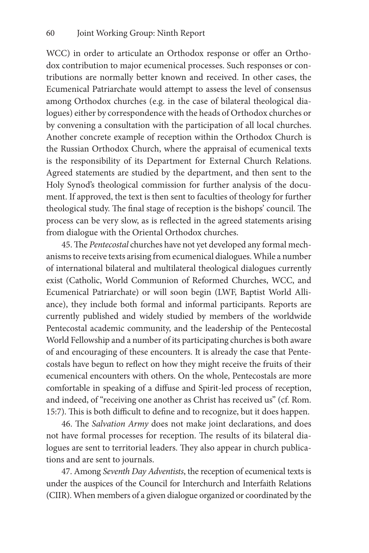WCC) in order to articulate an Orthodox response or offer an Orthodox contribution to major ecumenical processes. Such responses or contributions are normally better known and received. In other cases, the Ecumenical Patriarchate would attempt to assess the level of consensus among Orthodox churches (e.g. in the case of bilateral theological dialogues) either by correspondence with the heads of Orthodox churches or by convening a consultation with the participation of all local churches. Another concrete example of reception within the Orthodox Church is the Russian Orthodox Church, where the appraisal of ecumenical texts is the responsibility of its Department for External Church Relations. Agreed statements are studied by the department, and then sent to the Holy Synod's theological commission for further analysis of the document. If approved, the text is then sent to faculties of theology for further theological study. The final stage of reception is the bishops' council. The process can be very slow, as is reflected in the agreed statements arising from dialogue with the Oriental Orthodox churches.

45. The *Pentecostal* churches have not yet developed any formal mechanisms to receive texts arising from ecumenical dialogues. While a number of international bilateral and multilateral theological dialogues currently exist (Catholic, World Communion of Reformed Churches, WCC, and Ecumenical Patriarchate) or will soon begin (LWF, Baptist World Alliance), they include both formal and informal participants. Reports are currently published and widely studied by members of the worldwide Pentecostal academic community, and the leadership of the Pentecostal World Fellowship and a number of its participating churches is both aware of and encouraging of these encounters. It is already the case that Pentecostals have begun to reflect on how they might receive the fruits of their ecumenical encounters with others. On the whole, Pentecostals are more comfortable in speaking of a diffuse and Spirit-led process of reception, and indeed, of "receiving one another as Christ has received us" (cf. Rom. 15:7). This is both difficult to define and to recognize, but it does happen.

46. The *Salvation Army* does not make joint declarations, and does not have formal processes for reception. The results of its bilateral dialogues are sent to territorial leaders. They also appear in church publications and are sent to journals.

47. Among *Seventh Day Adventists*, the reception of ecumenical texts is under the auspices of the Council for Interchurch and Interfaith Relations (CIIR). When members of a given dialogue organized or coordinated by the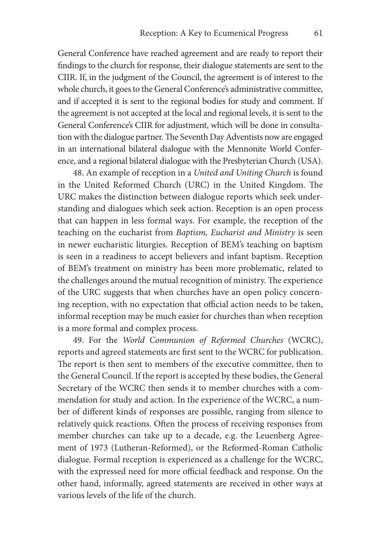General Conference have reached agreement and are ready to report their findings to the church for response, their dialogue statements are sent to the CIIR. If, in the judgment of the Council, the agreement is of interest to the whole church, it goes to the General Conference's administrative committee, and if accepted it is sent to the regional bodies for study and comment. If the agreement is not accepted at the local and regional levels, it is sent to the General Conference's CIIR for adjustment, which will be done in consultation with the dialogue partner. The Seventh Day Adventists now are engaged in an international bilateral dialogue with the Mennonite World Conference, and a regional bilateral dialogue with the Presbyterian Church (USA).

48. An example of reception in a *United and Uniting Church* is found in the United Reformed Church (URC) in the United Kingdom. The URC makes the distinction between dialogue reports which seek understanding and dialogues which seek action. Reception is an open process that can happen in less formal ways. For example, the reception of the teaching on the eucharist from *Baptism, Eucharist and Ministry* is seen in newer eucharistic liturgies. Reception of BEM's teaching on baptism is seen in a readiness to accept believers and infant baptism. Reception of BEM's treatment on ministry has been more problematic, related to the challenges around the mutual recognition of ministry. The experience of the URC suggests that when churches have an open policy concerning reception, with no expectation that official action needs to be taken, informal reception may be much easier for churches than when reception is a more formal and complex process.

49. For the *World Communion of Reformed Churches* (WCRC), reports and agreed statements are first sent to the WCRC for publication. The report is then sent to members of the executive committee, then to the General Council. If the report is accepted by these bodies, the General Secretary of the WCRC then sends it to member churches with a commendation for study and action. In the experience of the WCRC, a number of different kinds of responses are possible, ranging from silence to relatively quick reactions. Often the process of receiving responses from member churches can take up to a decade, e.g. the Leuenberg Agreement of 1973 (Lutheran-Reformed), or the Reformed-Roman Catholic dialogue. Formal reception is experienced as a challenge for the WCRC, with the expressed need for more official feedback and response. On the other hand, informally, agreed statements are received in other ways at various levels of the life of the church.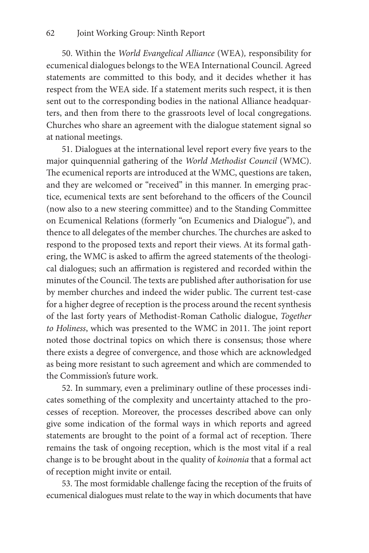50. Within the *World Evangelical Alliance* (WEA)*,* responsibility for ecumenical dialogues belongs to the WEA International Council. Agreed statements are committed to this body, and it decides whether it has respect from the WEA side. If a statement merits such respect, it is then sent out to the corresponding bodies in the national Alliance headquarters, and then from there to the grassroots level of local congregations. Churches who share an agreement with the dialogue statement signal so at national meetings.

51. Dialogues at the international level report every five years to the major quinquennial gathering of the *World Methodist Council* (WMC). The ecumenical reports are introduced at the WMC, questions are taken, and they are welcomed or "received" in this manner. In emerging practice, ecumenical texts are sent beforehand to the officers of the Council (now also to a new steering committee) and to the Standing Committee on Ecumenical Relations (formerly "on Ecumenics and Dialogue"), and thence to all delegates of the member churches. The churches are asked to respond to the proposed texts and report their views. At its formal gathering, the WMC is asked to affirm the agreed statements of the theological dialogues; such an affirmation is registered and recorded within the minutes of the Council. The texts are published after authorisation for use by member churches and indeed the wider public. The current test-case for a higher degree of reception is the process around the recent synthesis of the last forty years of Methodist-Roman Catholic dialogue, *Together to Holiness*, which was presented to the WMC in 2011. The joint report noted those doctrinal topics on which there is consensus; those where there exists a degree of convergence, and those which are acknowledged as being more resistant to such agreement and which are commended to the Commission's future work.

52. In summary, even a preliminary outline of these processes indicates something of the complexity and uncertainty attached to the processes of reception. Moreover, the processes described above can only give some indication of the formal ways in which reports and agreed statements are brought to the point of a formal act of reception. There remains the task of ongoing reception, which is the most vital if a real change is to be brought about in the quality of *koinonia* that a formal act of reception might invite or entail.

53. The most formidable challenge facing the reception of the fruits of ecumenical dialogues must relate to the way in which documents that have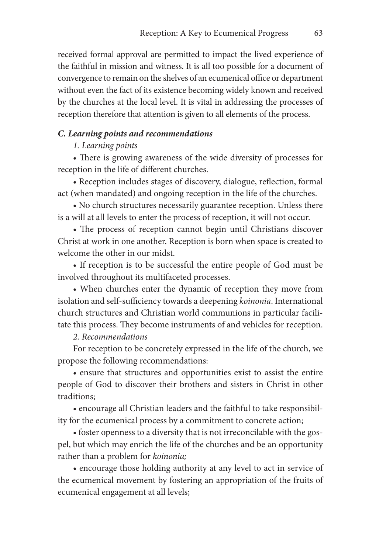received formal approval are permitted to impact the lived experience of the faithful in mission and witness. It is all too possible for a document of convergence to remain on the shelves of an ecumenical office or department without even the fact of its existence becoming widely known and received by the churches at the local level. It is vital in addressing the processes of reception therefore that attention is given to all elements of the process.

#### *C. Learning points and recommendations*

#### *1. Learning points*

• There is growing awareness of the wide diversity of processes for reception in the life of different churches.

• Reception includes stages of discovery, dialogue, reflection, formal act (when mandated) and ongoing reception in the life of the churches.

• No church structures necessarily guarantee reception. Unless there is a will at all levels to enter the process of reception, it will not occur.

• The process of reception cannot begin until Christians discover Christ at work in one another. Reception is born when space is created to welcome the other in our midst.

• If reception is to be successful the entire people of God must be involved throughout its multifaceted processes.

• When churches enter the dynamic of reception they move from isolation and self-sufficiency towards a deepening *koinonia*. International church structures and Christian world communions in particular facilitate this process. They become instruments of and vehicles for reception.

#### *2. Recommendations*

For reception to be concretely expressed in the life of the church, we propose the following recommendations:

• ensure that structures and opportunities exist to assist the entire people of God to discover their brothers and sisters in Christ in other traditions;

• encourage all Christian leaders and the faithful to take responsibility for the ecumenical process by a commitment to concrete action;

• foster openness to a diversity that is not irreconcilable with the gospel, but which may enrich the life of the churches and be an opportunity rather than a problem for *koinonia;*

• encourage those holding authority at any level to act in service of the ecumenical movement by fostering an appropriation of the fruits of ecumenical engagement at all levels;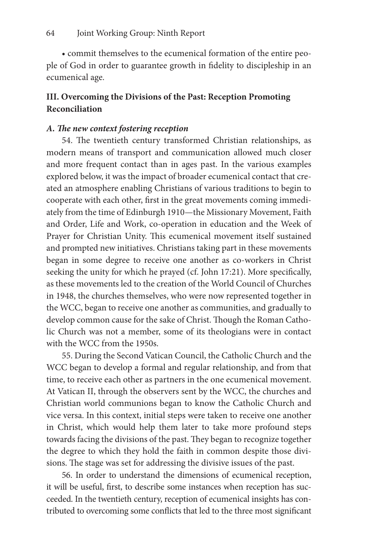• commit themselves to the ecumenical formation of the entire people of God in order to guarantee growth in fidelity to discipleship in an ecumenical age.

# **III. Overcoming the Divisions of the Past: Reception Promoting Reconciliation**

#### *A. The new context fostering reception*

54. The twentieth century transformed Christian relationships, as modern means of transport and communication allowed much closer and more frequent contact than in ages past. In the various examples explored below, it was the impact of broader ecumenical contact that created an atmosphere enabling Christians of various traditions to begin to cooperate with each other, first in the great movements coming immediately from the time of Edinburgh 1910—the Missionary Movement, Faith and Order, Life and Work, co-operation in education and the Week of Prayer for Christian Unity. This ecumenical movement itself sustained and prompted new initiatives. Christians taking part in these movements began in some degree to receive one another as co-workers in Christ seeking the unity for which he prayed (cf. John 17:21). More specifically, as these movements led to the creation of the World Council of Churches in 1948, the churches themselves, who were now represented together in the WCC, began to receive one another as communities, and gradually to develop common cause for the sake of Christ. Though the Roman Catholic Church was not a member, some of its theologians were in contact with the WCC from the 1950s.

55. During the Second Vatican Council, the Catholic Church and the WCC began to develop a formal and regular relationship, and from that time, to receive each other as partners in the one ecumenical movement. At Vatican II, through the observers sent by the WCC, the churches and Christian world communions began to know the Catholic Church and vice versa. In this context, initial steps were taken to receive one another in Christ, which would help them later to take more profound steps towards facing the divisions of the past. They began to recognize together the degree to which they hold the faith in common despite those divisions. The stage was set for addressing the divisive issues of the past.

56. In order to understand the dimensions of ecumenical reception, it will be useful, first, to describe some instances when reception has succeeded. In the twentieth century, reception of ecumenical insights has contributed to overcoming some conflicts that led to the three most significant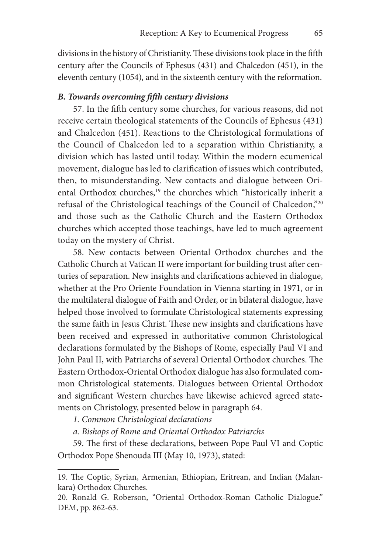divisions in the history of Christianity. These divisions took place in the fifth century after the Councils of Ephesus (431) and Chalcedon (451), in the eleventh century (1054), and in the sixteenth century with the reformation.

#### *B. Towards overcoming fifth century divisions*

57. In the fifth century some churches, for various reasons, did not receive certain theological statements of the Councils of Ephesus (431) and Chalcedon (451). Reactions to the Christological formulations of the Council of Chalcedon led to a separation within Christianity, a division which has lasted until today. Within the modern ecumenical movement, dialogue has led to clarification of issues which contributed, then, to misunderstanding. New contacts and dialogue between Oriental Orthodox churches,<sup>19</sup> the churches which "historically inherit a refusal of the Christological teachings of the Council of Chalcedon,"20 and those such as the Catholic Church and the Eastern Orthodox churches which accepted those teachings, have led to much agreement today on the mystery of Christ.

58. New contacts between Oriental Orthodox churches and the Catholic Church at Vatican II were important for building trust after centuries of separation. New insights and clarifications achieved in dialogue, whether at the Pro Oriente Foundation in Vienna starting in 1971, or in the multilateral dialogue of Faith and Order, or in bilateral dialogue, have helped those involved to formulate Christological statements expressing the same faith in Jesus Christ. These new insights and clarifications have been received and expressed in authoritative common Christological declarations formulated by the Bishops of Rome, especially Paul VI and John Paul II, with Patriarchs of several Oriental Orthodox churches. The Eastern Orthodox-Oriental Orthodox dialogue has also formulated common Christological statements. Dialogues between Oriental Orthodox and significant Western churches have likewise achieved agreed statements on Christology, presented below in paragraph 64.

*1. Common Christological declarations*

*a. Bishops of Rome and Oriental Orthodox Patriarchs*

59. The first of these declarations, between Pope Paul VI and Coptic Orthodox Pope Shenouda III (May 10, 1973), stated:

<sup>19.</sup> The Coptic, Syrian, Armenian, Ethiopian, Eritrean, and Indian (Malankara) Orthodox Churches.

<sup>20.</sup> Ronald G. Roberson, "Oriental Orthodox-Roman Catholic Dialogue." DEM, pp. 862-63.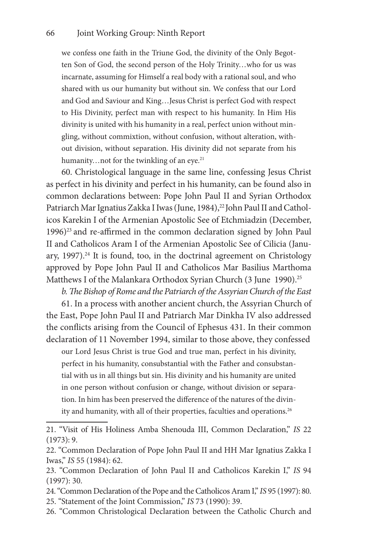we confess one faith in the Triune God, the divinity of the Only Begotten Son of God, the second person of the Holy Trinity…who for us was incarnate, assuming for Himself a real body with a rational soul, and who shared with us our humanity but without sin. We confess that our Lord and God and Saviour and King…Jesus Christ is perfect God with respect to His Divinity, perfect man with respect to his humanity. In Him His divinity is united with his humanity in a real, perfect union without mingling, without commixtion, without confusion, without alteration, without division, without separation. His divinity did not separate from his humanity...not for the twinkling of an eye.<sup>21</sup>

60. Christological language in the same line, confessing Jesus Christ as perfect in his divinity and perfect in his humanity, can be found also in common declarations between: Pope John Paul II and Syrian Orthodox Patriarch Mar Ignatius Zakka I Iwas (June, 1984),<sup>22</sup> John Paul II and Catholicos Karekin I of the Armenian Apostolic See of Etchmiadzin (December, 1996)<sup>23</sup> and re-affirmed in the common declaration signed by John Paul II and Catholicos Aram I of the Armenian Apostolic See of Cilicia (January,  $1997$ ).<sup>24</sup> It is found, too, in the doctrinal agreement on Christology approved by Pope John Paul II and Catholicos Mar Basilius Marthoma Matthews I of the Malankara Orthodox Syrian Church (3 June 1990).<sup>25</sup>

*b. The Bishop of Rome and the Patriarch of the Assyrian Church of the East*

61. In a process with another ancient church, the Assyrian Church of the East, Pope John Paul II and Patriarch Mar Dinkha IV also addressed the conflicts arising from the Council of Ephesus 431. In their common declaration of 11 November 1994, similar to those above, they confessed

our Lord Jesus Christ is true God and true man, perfect in his divinity, perfect in his humanity, consubstantial with the Father and consubstantial with us in all things but sin. His divinity and his humanity are united in one person without confusion or change, without division or separation. In him has been preserved the difference of the natures of the divinity and humanity, with all of their properties, faculties and operations.<sup>26</sup>

<sup>21. &</sup>quot;Visit of His Holiness Amba Shenouda III, Common Declaration," *IS* 22 (1973): 9.

<sup>22. &</sup>quot;Common Declaration of Pope John Paul II and HH Mar Ignatius Zakka I Iwas," *IS* 55 (1984): 62.

<sup>23. &</sup>quot;Common Declaration of John Paul II and Catholicos Karekin I," *IS* 94 (1997): 30.

<sup>24. &</sup>quot;Common Declaration of the Pope and the Catholicos Aram I," *IS* 95 (1997): 80. 25. "Statement of the Joint Commission," *IS* 73 (1990): 39.

<sup>26. &</sup>quot;Common Christological Declaration between the Catholic Church and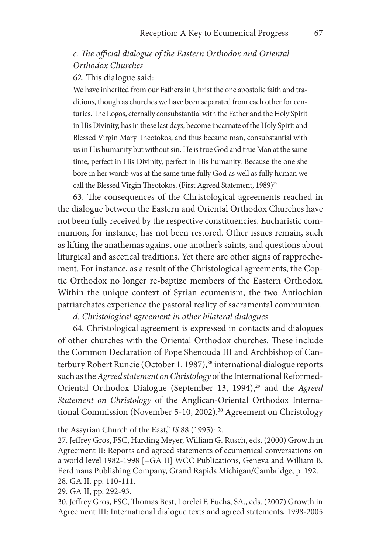# *c. The official dialogue of the Eastern Orthodox and Oriental Orthodox Churches*

62. This dialogue said:

We have inherited from our Fathers in Christ the one apostolic faith and traditions, though as churches we have been separated from each other for centuries. The Logos, eternally consubstantial with the Father and the Holy Spirit in His Divinity, has in these last days, become incarnate of the Holy Spirit and Blessed Virgin Mary Theotokos, and thus became man, consubstantial with us in His humanity but without sin. He is true God and true Man at the same time, perfect in His Divinity, perfect in His humanity. Because the one she bore in her womb was at the same time fully God as well as fully human we call the Blessed Virgin Theotokos. (First Agreed Statement, 1989)<sup>27</sup>

63. The consequences of the Christological agreements reached in the dialogue between the Eastern and Oriental Orthodox Churches have not been fully received by the respective constituencies. Eucharistic communion, for instance, has not been restored. Other issues remain, such as lifting the anathemas against one another's saints, and questions about liturgical and ascetical traditions. Yet there are other signs of rapprochement. For instance, as a result of the Christological agreements, the Coptic Orthodox no longer re-baptize members of the Eastern Orthodox. Within the unique context of Syrian ecumenism, the two Antiochian patriarchates experience the pastoral reality of sacramental communion.

*d. Christological agreement in other bilateral dialogues*

64. Christological agreement is expressed in contacts and dialogues of other churches with the Oriental Orthodox churches. These include the Common Declaration of Pope Shenouda III and Archbishop of Canterbury Robert Runcie (October 1, 1987),<sup>28</sup> international dialogue reports such as the *Agreed statement on Christology* of the International Reformed-Oriental Orthodox Dialogue (September 13, 1994),<sup>29</sup> and the *Agreed Statement on Christology* of the Anglican-Oriental Orthodox International Commission (November 5-10, 2002).<sup>30</sup> Agreement on Christology

the Assyrian Church of the East," *IS* 88 (1995): 2.

<sup>27.</sup> Jeffrey Gros, FSC, Harding Meyer, William G. Rusch, eds. (2000) Growth in Agreement II: Reports and agreed statements of ecumenical conversations on a world level 1982-1998 [=GA II] WCC Publications, Geneva and William B. Eerdmans Publishing Company, Grand Rapids Michigan/Cambridge, p. 192. 28. GA II, pp. 110-111.

<sup>29.</sup> GA II, pp. 292-93.

<sup>30.</sup> Jeffrey Gros, FSC, Thomas Best, Lorelei F. Fuchs, SA., eds. (2007) Growth in Agreement III: International dialogue texts and agreed statements, 1998-2005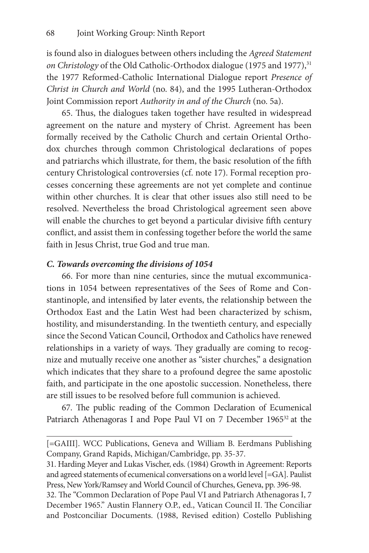is found also in dialogues between others including the *Agreed Statement on Christology* of the Old Catholic-Orthodox dialogue (1975 and 1977),<sup>31</sup> the 1977 Reformed-Catholic International Dialogue report *Presence of Christ in Church and World* (no. 84), and the 1995 Lutheran-Orthodox Joint Commission report *Authority in and of the Church* (no. 5a).

65. Thus, the dialogues taken together have resulted in widespread agreement on the nature and mystery of Christ. Agreement has been formally received by the Catholic Church and certain Oriental Orthodox churches through common Christological declarations of popes and patriarchs which illustrate, for them, the basic resolution of the fifth century Christological controversies (cf. note 17). Formal reception processes concerning these agreements are not yet complete and continue within other churches. It is clear that other issues also still need to be resolved. Nevertheless the broad Christological agreement seen above will enable the churches to get beyond a particular divisive fifth century conflict, and assist them in confessing together before the world the same faith in Jesus Christ, true God and true man.

#### *C. Towards overcoming the divisions of 1054*

66. For more than nine centuries, since the mutual excommunications in 1054 between representatives of the Sees of Rome and Constantinople, and intensified by later events, the relationship between the Orthodox East and the Latin West had been characterized by schism, hostility, and misunderstanding. In the twentieth century, and especially since the Second Vatican Council, Orthodox and Catholics have renewed relationships in a variety of ways. They gradually are coming to recognize and mutually receive one another as "sister churches," a designation which indicates that they share to a profound degree the same apostolic faith, and participate in the one apostolic succession. Nonetheless, there are still issues to be resolved before full communion is achieved.

67. The public reading of the Common Declaration of Ecumenical Patriarch Athenagoras I and Pope Paul VI on 7 December 1965<sup>32</sup> at the

<sup>[=</sup>GAIII]. WCC Publications, Geneva and William B. Eerdmans Publishing Company, Grand Rapids, Michigan/Cambridge, pp. 35-37.

<sup>31.</sup> Harding Meyer and Lukas Vischer, eds. (1984) Growth in Agreement: Reports and agreed statements of ecumenical conversations on a world level [=GA]. Paulist Press, New York/Ramsey and World Council of Churches, Geneva, pp. 396-98.

<sup>32.</sup> The "Common Declaration of Pope Paul VI and Patriarch Athenagoras I, 7 December 1965." Austin Flannery O.P., ed., Vatican Council II. The Conciliar and Postconciliar Documents. (1988, Revised edition) Costello Publishing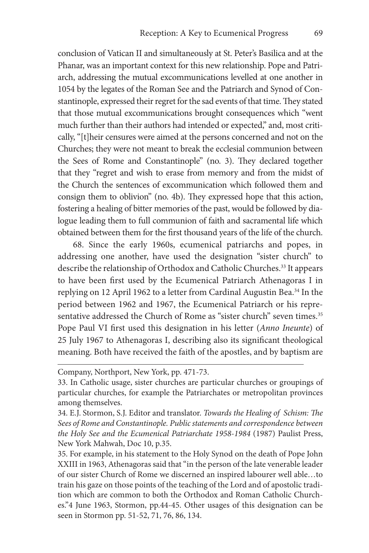conclusion of Vatican II and simultaneously at St. Peter's Basilica and at the Phanar, was an important context for this new relationship. Pope and Patriarch, addressing the mutual excommunications levelled at one another in 1054 by the legates of the Roman See and the Patriarch and Synod of Constantinople, expressed their regret for the sad events of that time. They stated that those mutual excommunications brought consequences which "went much further than their authors had intended or expected," and, most critically, "[t]heir censures were aimed at the persons concerned and not on the Churches; they were not meant to break the ecclesial communion between the Sees of Rome and Constantinople" (no. 3). They declared together that they "regret and wish to erase from memory and from the midst of the Church the sentences of excommunication which followed them and consign them to oblivion" (no. 4b). They expressed hope that this action, fostering a healing of bitter memories of the past, would be followed by dialogue leading them to full communion of faith and sacramental life which obtained between them for the first thousand years of the life of the church.

68. Since the early 1960s, ecumenical patriarchs and popes, in addressing one another, have used the designation "sister church" to describe the relationship of Orthodox and Catholic Churches.<sup>33</sup> It appears to have been first used by the Ecumenical Patriarch Athenagoras I in replying on 12 April 1962 to a letter from Cardinal Augustin Bea.<sup>34</sup> In the period between 1962 and 1967, the Ecumenical Patriarch or his representative addressed the Church of Rome as "sister church" seven times.<sup>35</sup> Pope Paul VI first used this designation in his letter (*Anno Ineunte*) of 25 July 1967 to Athenagoras I, describing also its significant theological meaning. Both have received the faith of the apostles, and by baptism are

Company, Northport, New York, pp. 471-73.

<sup>33.</sup> In Catholic usage, sister churches are particular churches or groupings of particular churches, for example the Patriarchates or metropolitan provinces among themselves.

<sup>34.</sup> E.J. Stormon, S.J. Editor and translator. *Towards the Healing of Schism: The Sees of Rome and Constantinople. Public statements and correspondence between the Holy See and the Ecumenical Patriarchate 1958-1984* (1987) Paulist Press, New York Mahwah, Doc 10, p.35.

<sup>35.</sup> For example, in his statement to the Holy Synod on the death of Pope John XXIII in 1963, Athenagoras said that "in the person of the late venerable leader of our sister Church of Rome we discerned an inspired labourer well able…to train his gaze on those points of the teaching of the Lord and of apostolic tradition which are common to both the Orthodox and Roman Catholic Churches."4 June 1963, Stormon, pp.44-45. Other usages of this designation can be seen in Stormon pp. 51-52, 71, 76, 86, 134.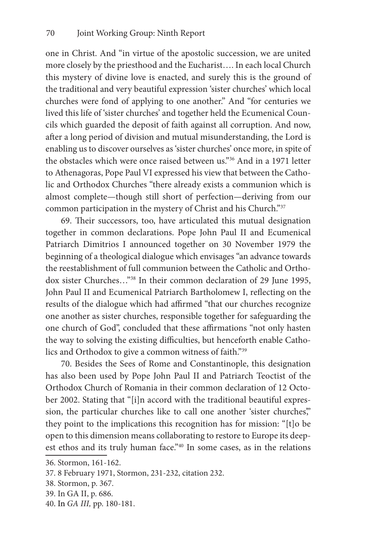one in Christ. And "in virtue of the apostolic succession, we are united more closely by the priesthood and the Eucharist…. In each local Church this mystery of divine love is enacted, and surely this is the ground of the traditional and very beautiful expression 'sister churches' which local churches were fond of applying to one another." And "for centuries we lived this life of 'sister churches' and together held the Ecumenical Councils which guarded the deposit of faith against all corruption. And now, after a long period of division and mutual misunderstanding, the Lord is enabling us to discover ourselves as 'sister churches' once more, in spite of the obstacles which were once raised between us."36 And in a 1971 letter to Athenagoras, Pope Paul VI expressed his view that between the Catholic and Orthodox Churches "there already exists a communion which is almost complete—though still short of perfection—deriving from our common participation in the mystery of Christ and his Church."37

69. Their successors, too, have articulated this mutual designation together in common declarations. Pope John Paul II and Ecumenical Patriarch Dimitrios I announced together on 30 November 1979 the beginning of a theological dialogue which envisages "an advance towards the reestablishment of full communion between the Catholic and Orthodox sister Churches…"38 In their common declaration of 29 June 1995, John Paul II and Ecumenical Patriarch Bartholomew I, reflecting on the results of the dialogue which had affirmed "that our churches recognize one another as sister churches, responsible together for safeguarding the one church of God", concluded that these affirmations "not only hasten the way to solving the existing difficulties, but henceforth enable Catholics and Orthodox to give a common witness of faith."39

70. Besides the Sees of Rome and Constantinople, this designation has also been used by Pope John Paul II and Patriarch Teoctist of the Orthodox Church of Romania in their common declaration of 12 October 2002. Stating that "[i]n accord with the traditional beautiful expression, the particular churches like to call one another 'sister churches" they point to the implications this recognition has for mission: "[t]o be open to this dimension means collaborating to restore to Europe its deepest ethos and its truly human face."40 In some cases, as in the relations

40. In *GA III,* pp. 180-181.

<sup>36.</sup> Stormon, 161-162.

<sup>37. 8</sup> February 1971, Stormon, 231-232, citation 232.

<sup>38.</sup> Stormon, p. 367.

<sup>39.</sup> In GA II, p. 686.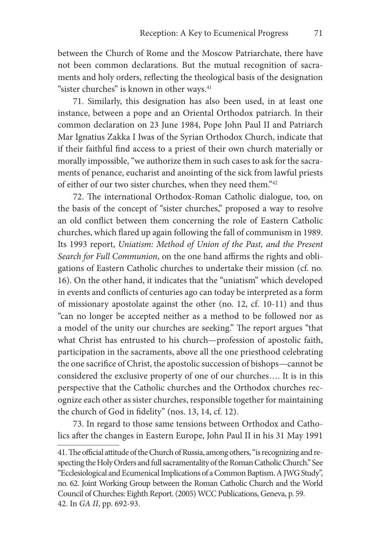between the Church of Rome and the Moscow Patriarchate, there have not been common declarations. But the mutual recognition of sacraments and holy orders, reflecting the theological basis of the designation "sister churches" is known in other ways.<sup>41</sup>

71. Similarly, this designation has also been used, in at least one instance, between a pope and an Oriental Orthodox patriarch. In their common declaration on 23 June 1984, Pope John Paul II and Patriarch Mar Ignatius Zakka I Iwas of the Syrian Orthodox Church, indicate that if their faithful find access to a priest of their own church materially or morally impossible, "we authorize them in such cases to ask for the sacraments of penance, eucharist and anointing of the sick from lawful priests of either of our two sister churches, when they need them."42

72. The international Orthodox-Roman Catholic dialogue, too, on the basis of the concept of "sister churches," proposed a way to resolve an old conflict between them concerning the role of Eastern Catholic churches, which flared up again following the fall of communism in 1989. Its 1993 report, *Uniatism: Method of Union of the Past, and the Present Search for Full Communion*, on the one hand affirms the rights and obligations of Eastern Catholic churches to undertake their mission (cf. no. 16). On the other hand, it indicates that the "uniatism" which developed in events and conflicts of centuries ago can today be interpreted as a form of missionary apostolate against the other (no. 12, cf. 10-11) and thus "can no longer be accepted neither as a method to be followed nor as a model of the unity our churches are seeking." The report argues "that what Christ has entrusted to his church—profession of apostolic faith, participation in the sacraments, above all the one priesthood celebrating the one sacrifice of Christ, the apostolic succession of bishops—cannot be considered the exclusive property of one of our churches…. It is in this perspective that the Catholic churches and the Orthodox churches recognize each other as sister churches, responsible together for maintaining the church of God in fidelity" (nos. 13, 14, cf. 12).

73. In regard to those same tensions between Orthodox and Catholics after the changes in Eastern Europe, John Paul II in his 31 May 1991

<sup>41.</sup> The official attitude of the Church of Russia, among others, "is recognizing and respecting the Holy Orders and full sacramentality of the Roman Catholic Church." See "Ecclesiological and Ecumenical Implications of a Common Baptism. A JWG Study", no. 62. Joint Working Group between the Roman Catholic Church and the World Council of Churches: Eighth Report. (2005) WCC Publications, Geneva, p. 59. 42. In *GA II*, pp. 692-93.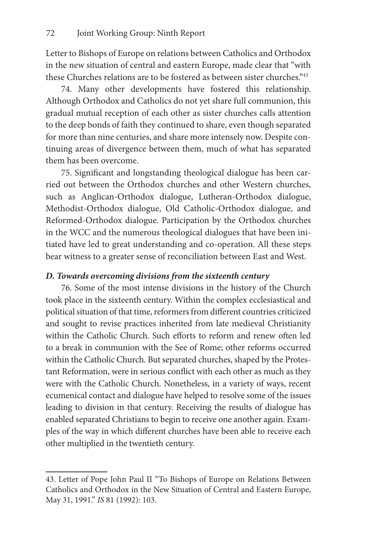Letter to Bishops of Europe on relations between Catholics and Orthodox in the new situation of central and eastern Europe, made clear that "with these Churches relations are to be fostered as between sister churches."43

74. Many other developments have fostered this relationship. Although Orthodox and Catholics do not yet share full communion, this gradual mutual reception of each other as sister churches calls attention to the deep bonds of faith they continued to share, even though separated for more than nine centuries, and share more intensely now. Despite continuing areas of divergence between them, much of what has separated them has been overcome.

75. Significant and longstanding theological dialogue has been carried out between the Orthodox churches and other Western churches, such as Anglican-Orthodox dialogue, Lutheran-Orthodox dialogue, Methodist-Orthodox dialogue, Old Catholic-Orthodox dialogue, and Reformed-Orthodox dialogue. Participation by the Orthodox churches in the WCC and the numerous theological dialogues that have been initiated have led to great understanding and co-operation. All these steps bear witness to a greater sense of reconciliation between East and West.

# *D. Towards overcoming divisions from the sixteenth century*

76. Some of the most intense divisions in the history of the Church took place in the sixteenth century. Within the complex ecclesiastical and political situation of that time, reformers from different countries criticized and sought to revise practices inherited from late medieval Christianity within the Catholic Church. Such efforts to reform and renew often led to a break in communion with the See of Rome; other reforms occurred within the Catholic Church. But separated churches, shaped by the Protestant Reformation, were in serious conflict with each other as much as they were with the Catholic Church. Nonetheless, in a variety of ways, recent ecumenical contact and dialogue have helped to resolve some of the issues leading to division in that century. Receiving the results of dialogue has enabled separated Christians to begin to receive one another again. Examples of the way in which different churches have been able to receive each other multiplied in the twentieth century.

<sup>43.</sup> Letter of Pope John Paul II "To Bishops of Europe on Relations Between Catholics and Orthodox in the New Situation of Central and Eastern Europe, May 31, 1991." *IS* 81 (1992): 103.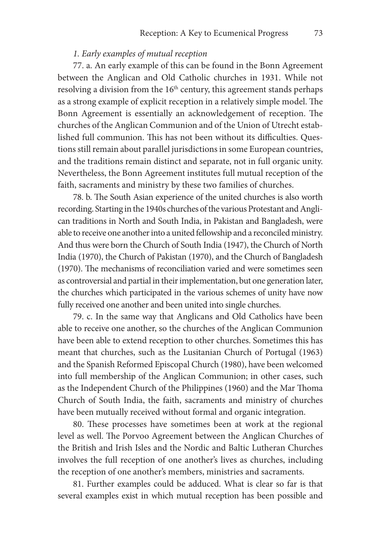# *1. Early examples of mutual reception*

77. a. An early example of this can be found in the Bonn Agreement between the Anglican and Old Catholic churches in 1931. While not resolving a division from the 16<sup>th</sup> century, this agreement stands perhaps as a strong example of explicit reception in a relatively simple model. The Bonn Agreement is essentially an acknowledgement of reception. The churches of the Anglican Communion and of the Union of Utrecht established full communion. This has not been without its difficulties. Questions still remain about parallel jurisdictions in some European countries, and the traditions remain distinct and separate, not in full organic unity. Nevertheless, the Bonn Agreement institutes full mutual reception of the faith, sacraments and ministry by these two families of churches.

78. b. The South Asian experience of the united churches is also worth recording. Starting in the 1940s churches of the various Protestant and Anglican traditions in North and South India, in Pakistan and Bangladesh, were able to receive one another into a united fellowship and a reconciled ministry. And thus were born the Church of South India (1947), the Church of North India (1970), the Church of Pakistan (1970), and the Church of Bangladesh (1970). The mechanisms of reconciliation varied and were sometimes seen as controversial and partial in their implementation, but one generation later, the churches which participated in the various schemes of unity have now fully received one another and been united into single churches.

79. c. In the same way that Anglicans and Old Catholics have been able to receive one another, so the churches of the Anglican Communion have been able to extend reception to other churches. Sometimes this has meant that churches, such as the Lusitanian Church of Portugal (1963) and the Spanish Reformed Episcopal Church (1980), have been welcomed into full membership of the Anglican Communion; in other cases, such as the Independent Church of the Philippines (1960) and the Mar Thoma Church of South India, the faith, sacraments and ministry of churches have been mutually received without formal and organic integration.

80. These processes have sometimes been at work at the regional level as well. The Porvoo Agreement between the Anglican Churches of the British and Irish Isles and the Nordic and Baltic Lutheran Churches involves the full reception of one another's lives as churches, including the reception of one another's members, ministries and sacraments.

81. Further examples could be adduced. What is clear so far is that several examples exist in which mutual reception has been possible and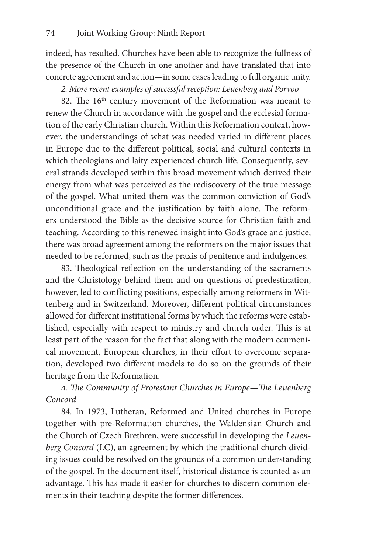indeed, has resulted. Churches have been able to recognize the fullness of the presence of the Church in one another and have translated that into concrete agreement and action—in some cases leading to full organic unity.

*2. More recent examples of successful reception: Leuenberg and Porvoo*

82. The 16<sup>th</sup> century movement of the Reformation was meant to renew the Church in accordance with the gospel and the ecclesial formation of the early Christian church. Within this Reformation context, however, the understandings of what was needed varied in different places in Europe due to the different political, social and cultural contexts in which theologians and laity experienced church life. Consequently, several strands developed within this broad movement which derived their energy from what was perceived as the rediscovery of the true message of the gospel. What united them was the common conviction of God's unconditional grace and the justification by faith alone. The reformers understood the Bible as the decisive source for Christian faith and teaching. According to this renewed insight into God's grace and justice, there was broad agreement among the reformers on the major issues that needed to be reformed, such as the praxis of penitence and indulgences.

83. Theological reflection on the understanding of the sacraments and the Christology behind them and on questions of predestination, however, led to conflicting positions, especially among reformers in Wittenberg and in Switzerland. Moreover, different political circumstances allowed for different institutional forms by which the reforms were established, especially with respect to ministry and church order. This is at least part of the reason for the fact that along with the modern ecumenical movement, European churches, in their effort to overcome separation, developed two different models to do so on the grounds of their heritage from the Reformation.

# *a. The Community of Protestant Churches in Europe—The Leuenberg Concord*

84. In 1973, Lutheran, Reformed and United churches in Europe together with pre-Reformation churches, the Waldensian Church and the Church of Czech Brethren, were successful in developing the *Leuenberg Concord* (LC), an agreement by which the traditional church dividing issues could be resolved on the grounds of a common understanding of the gospel. In the document itself, historical distance is counted as an advantage. This has made it easier for churches to discern common elements in their teaching despite the former differences.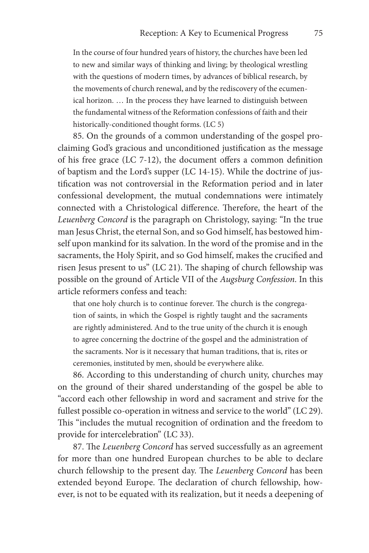In the course of four hundred years of history, the churches have been led to new and similar ways of thinking and living; by theological wrestling with the questions of modern times, by advances of biblical research, by the movements of church renewal, and by the rediscovery of the ecumenical horizon. … In the process they have learned to distinguish between the fundamental witness of the Reformation confessions of faith and their historically-conditioned thought forms. (LC 5)

85. On the grounds of a common understanding of the gospel proclaiming God's gracious and unconditioned justification as the message of his free grace (LC 7-12), the document offers a common definition of baptism and the Lord's supper (LC 14-15). While the doctrine of justification was not controversial in the Reformation period and in later confessional development, the mutual condemnations were intimately connected with a Christological difference. Therefore, the heart of the *Leuenberg Concord* is the paragraph on Christology, saying: "In the true man Jesus Christ, the eternal Son, and so God himself, has bestowed himself upon mankind for its salvation. In the word of the promise and in the sacraments, the Holy Spirit, and so God himself, makes the crucified and risen Jesus present to us" (LC 21). The shaping of church fellowship was possible on the ground of Article VII of the *Augsburg Confession*. In this article reformers confess and teach:

that one holy church is to continue forever. The church is the congregation of saints, in which the Gospel is rightly taught and the sacraments are rightly administered. And to the true unity of the church it is enough to agree concerning the doctrine of the gospel and the administration of the sacraments. Nor is it necessary that human traditions, that is, rites or ceremonies, instituted by men, should be everywhere alike.

86. According to this understanding of church unity, churches may on the ground of their shared understanding of the gospel be able to "accord each other fellowship in word and sacrament and strive for the fullest possible co-operation in witness and service to the world" (LC 29). This "includes the mutual recognition of ordination and the freedom to provide for intercelebration" (LC 33).

87. The *Leuenberg Concord* has served successfully as an agreement for more than one hundred European churches to be able to declare church fellowship to the present day. The *Leuenberg Concord* has been extended beyond Europe. The declaration of church fellowship, however, is not to be equated with its realization, but it needs a deepening of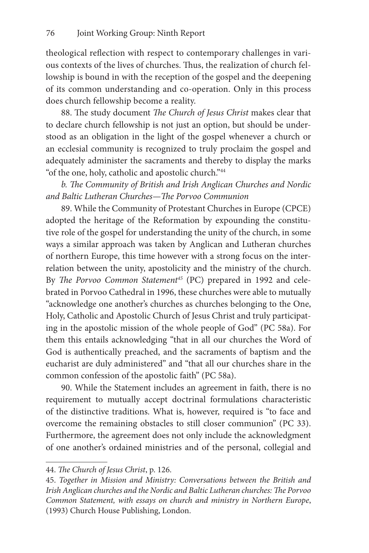theological reflection with respect to contemporary challenges in various contexts of the lives of churches. Thus, the realization of church fellowship is bound in with the reception of the gospel and the deepening of its common understanding and co-operation. Only in this process does church fellowship become a reality.

88. The study document *The Church of Jesus Christ* makes clear that to declare church fellowship is not just an option, but should be understood as an obligation in the light of the gospel whenever a church or an ecclesial community is recognized to truly proclaim the gospel and adequately administer the sacraments and thereby to display the marks "of the one, holy, catholic and apostolic church."44

*b. The Community of British and Irish Anglican Churches and Nordic and Baltic Lutheran Churches—The Porvoo Communion*

89. While the Community of Protestant Churches in Europe (CPCE) adopted the heritage of the Reformation by expounding the constitutive role of the gospel for understanding the unity of the church, in some ways a similar approach was taken by Anglican and Lutheran churches of northern Europe, this time however with a strong focus on the interrelation between the unity, apostolicity and the ministry of the church. By *The Porvoo Common Statement45* (PC) prepared in 1992 and celebrated in Porvoo Cathedral in 1996, these churches were able to mutually "acknowledge one another's churches as churches belonging to the One, Holy, Catholic and Apostolic Church of Jesus Christ and truly participating in the apostolic mission of the whole people of God" (PC 58a). For them this entails acknowledging "that in all our churches the Word of God is authentically preached, and the sacraments of baptism and the eucharist are duly administered" and "that all our churches share in the common confession of the apostolic faith" (PC 58a).

90. While the Statement includes an agreement in faith, there is no requirement to mutually accept doctrinal formulations characteristic of the distinctive traditions. What is, however, required is "to face and overcome the remaining obstacles to still closer communion" (PC 33). Furthermore, the agreement does not only include the acknowledgment of one another's ordained ministries and of the personal, collegial and

<sup>44.</sup> *The Church of Jesus Christ*, p. 126.

<sup>45.</sup> *Together in Mission and Ministry: Conversations between the British and Irish Anglican churches and the Nordic and Baltic Lutheran churches: The Porvoo Common Statement, with essays on church and ministry in Northern Europe*, (1993) Church House Publishing, London.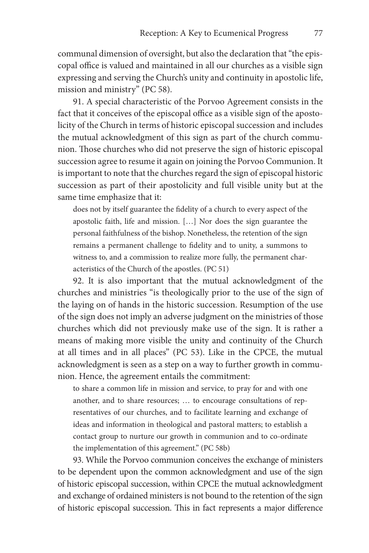communal dimension of oversight, but also the declaration that "the episcopal office is valued and maintained in all our churches as a visible sign expressing and serving the Church's unity and continuity in apostolic life, mission and ministry" (PC 58).

91. A special characteristic of the Porvoo Agreement consists in the fact that it conceives of the episcopal office as a visible sign of the apostolicity of the Church in terms of historic episcopal succession and includes the mutual acknowledgment of this sign as part of the church communion. Those churches who did not preserve the sign of historic episcopal succession agree to resume it again on joining the Porvoo Communion. It is important to note that the churches regard the sign of episcopal historic succession as part of their apostolicity and full visible unity but at the same time emphasize that it:

does not by itself guarantee the fidelity of a church to every aspect of the apostolic faith, life and mission. […] Nor does the sign guarantee the personal faithfulness of the bishop. Nonetheless, the retention of the sign remains a permanent challenge to fidelity and to unity, a summons to witness to, and a commission to realize more fully, the permanent characteristics of the Church of the apostles. (PC 51)

92. It is also important that the mutual acknowledgment of the churches and ministries "is theologically prior to the use of the sign of the laying on of hands in the historic succession. Resumption of the use of the sign does not imply an adverse judgment on the ministries of those churches which did not previously make use of the sign. It is rather a means of making more visible the unity and continuity of the Church at all times and in all places" (PC 53). Like in the CPCE, the mutual acknowledgment is seen as a step on a way to further growth in communion. Hence, the agreement entails the commitment:

to share a common life in mission and service, to pray for and with one another, and to share resources; … to encourage consultations of representatives of our churches, and to facilitate learning and exchange of ideas and information in theological and pastoral matters; to establish a contact group to nurture our growth in communion and to co-ordinate the implementation of this agreement." (PC 58b)

93. While the Porvoo communion conceives the exchange of ministers to be dependent upon the common acknowledgment and use of the sign of historic episcopal succession, within CPCE the mutual acknowledgment and exchange of ordained ministers is not bound to the retention of the sign of historic episcopal succession. This in fact represents a major difference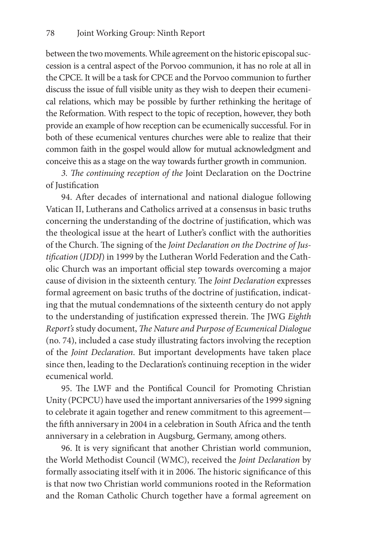between the two movements. While agreement on the historic episcopal succession is a central aspect of the Porvoo communion, it has no role at all in the CPCE. It will be a task for CPCE and the Porvoo communion to further discuss the issue of full visible unity as they wish to deepen their ecumenical relations, which may be possible by further rethinking the heritage of the Reformation. With respect to the topic of reception, however, they both provide an example of how reception can be ecumenically successful. For in both of these ecumenical ventures churches were able to realize that their common faith in the gospel would allow for mutual acknowledgment and conceive this as a stage on the way towards further growth in communion.

*3. The continuing reception of the* Joint Declaration on the Doctrine of Justification

94. After decades of international and national dialogue following Vatican II, Lutherans and Catholics arrived at a consensus in basic truths concerning the understanding of the doctrine of justification, which was the theological issue at the heart of Luther's conflict with the authorities of the Church. The signing of the *Joint Declaration on the Doctrine of Justification* (*JDDJ*) in 1999 by the Lutheran World Federation and the Catholic Church was an important official step towards overcoming a major cause of division in the sixteenth century. The *Joint Declaration* expresses formal agreement on basic truths of the doctrine of justification, indicating that the mutual condemnations of the sixteenth century do not apply to the understanding of justification expressed therein. The JWG *Eighth Report's* study document, *The Nature and Purpose of Ecumenical Dialogue*  (no. 74), included a case study illustrating factors involving the reception of the *Joint Declaration*. But important developments have taken place since then, leading to the Declaration's continuing reception in the wider ecumenical world.

95. The LWF and the Pontifical Council for Promoting Christian Unity (PCPCU) have used the important anniversaries of the 1999 signing to celebrate it again together and renew commitment to this agreement the fifth anniversary in 2004 in a celebration in South Africa and the tenth anniversary in a celebration in Augsburg, Germany, among others.

96. It is very significant that another Christian world communion, the World Methodist Council (WMC), received the *Joint Declaration* by formally associating itself with it in 2006. The historic significance of this is that now two Christian world communions rooted in the Reformation and the Roman Catholic Church together have a formal agreement on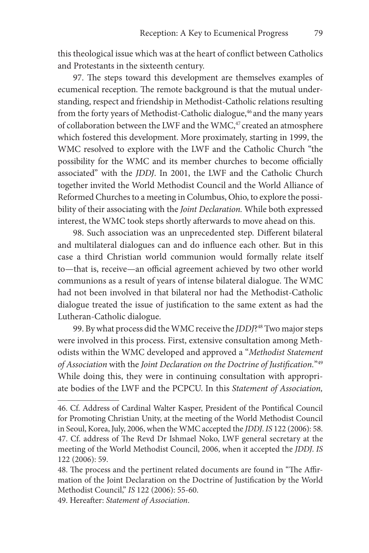this theological issue which was at the heart of conflict between Catholics and Protestants in the sixteenth century.

97. The steps toward this development are themselves examples of ecumenical reception. The remote background is that the mutual understanding, respect and friendship in Methodist-Catholic relations resulting from the forty years of Methodist-Catholic dialogue,<sup>46</sup> and the many years of collaboration between the LWF and the WMC,<sup>47</sup> created an atmosphere which fostered this development. More proximately, starting in 1999, the WMC resolved to explore with the LWF and the Catholic Church "the possibility for the WMC and its member churches to become officially associated" with the *JDDJ*. In 2001, the LWF and the Catholic Church together invited the World Methodist Council and the World Alliance of Reformed Churches to a meeting in Columbus, Ohio, to explore the possibility of their associating with the *Joint Declaration.* While both expressed interest, the WMC took steps shortly afterwards to move ahead on this.

98. Such association was an unprecedented step. Different bilateral and multilateral dialogues can and do influence each other. But in this case a third Christian world communion would formally relate itself to—that is, receive—an official agreement achieved by two other world communions as a result of years of intense bilateral dialogue. The WMC had not been involved in that bilateral nor had the Methodist-Catholic dialogue treated the issue of justification to the same extent as had the Lutheran-Catholic dialogue.

99. By what process did the WMC receive the *JDDJ*?48 Two major steps were involved in this process. First, extensive consultation among Methodists within the WMC developed and approved a "*Methodist Statement of Association* with the *Joint Declaration on the Doctrine of Justification.*"49 While doing this, they were in continuing consultation with appropriate bodies of the LWF and the PCPCU. In this *Statement of Association,* 

49. Hereafter: *Statement of Association*.

<sup>46.</sup> Cf. Address of Cardinal Walter Kasper, President of the Pontifical Council for Promoting Christian Unity, at the meeting of the World Methodist Council in Seoul, Korea, July, 2006, when the WMC accepted the *JDDJ*. *IS* 122 (2006): 58. 47. Cf. address of The Revd Dr Ishmael Noko, LWF general secretary at the meeting of the World Methodist Council, 2006, when it accepted the *JDDJ*. *IS* 122 (2006): 59.

<sup>48.</sup> The process and the pertinent related documents are found in "The Affirmation of the Joint Declaration on the Doctrine of Justification by the World Methodist Council," *IS* 122 (2006): 55-60.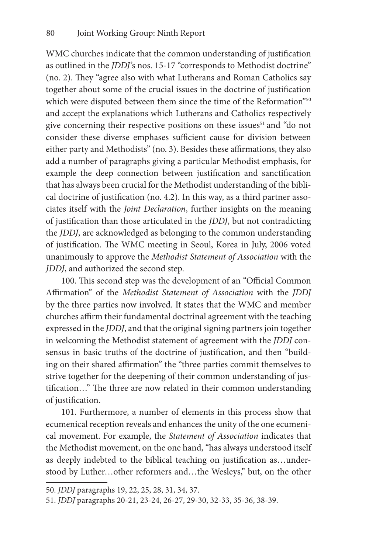WMC churches indicate that the common understanding of justification as outlined in the *JDDJ'*s nos. 15-17 "corresponds to Methodist doctrine" (no. 2). They "agree also with what Lutherans and Roman Catholics say together about some of the crucial issues in the doctrine of justification which were disputed between them since the time of the Reformation"50 and accept the explanations which Lutherans and Catholics respectively give concerning their respective positions on these issues<sup>51</sup> and "do not consider these diverse emphases sufficient cause for division between either party and Methodists" (no. 3). Besides these affirmations, they also add a number of paragraphs giving a particular Methodist emphasis, for example the deep connection between justification and sanctification that has always been crucial for the Methodist understanding of the biblical doctrine of justification (no. 4.2). In this way, as a third partner associates itself with the *Joint Declaration*, further insights on the meaning of justification than those articulated in the *JDDJ*, but not contradicting the *JDDJ*, are acknowledged as belonging to the common understanding of justification. The WMC meeting in Seoul, Korea in July, 2006 voted unanimously to approve the *Methodist Statement of Association* with the *JDDJ*, and authorized the second step.

100. This second step was the development of an "Official Common Affirmation" of the *Methodist Statement of Association* with the *JDDJ* by the three parties now involved. It states that the WMC and member churches affirm their fundamental doctrinal agreement with the teaching expressed in the *JDDJ*, and that the original signing partners join together in welcoming the Methodist statement of agreement with the *JDDJ* consensus in basic truths of the doctrine of justification, and then "building on their shared affirmation" the "three parties commit themselves to strive together for the deepening of their common understanding of justification…" The three are now related in their common understanding of justification.

101. Furthermore, a number of elements in this process show that ecumenical reception reveals and enhances the unity of the one ecumenical movement. For example, the *Statement of Association* indicates that the Methodist movement, on the one hand, "has always understood itself as deeply indebted to the biblical teaching on justification as…understood by Luther…other reformers and…the Wesleys," but, on the other

<sup>50.</sup> *JDDJ* paragraphs 19, 22, 25, 28, 31, 34, 37.

<sup>51.</sup> *JDDJ* paragraphs 20-21, 23-24, 26-27, 29-30, 32-33, 35-36, 38-39.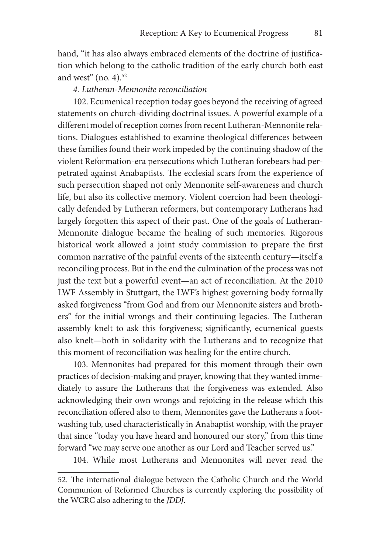hand, "it has also always embraced elements of the doctrine of justification which belong to the catholic tradition of the early church both east and west" (no. 4). $52$ 

# *4. Lutheran-Mennonite reconciliation*

102. Ecumenical reception today goes beyond the receiving of agreed statements on church-dividing doctrinal issues. A powerful example of a different model of reception comes from recent Lutheran-Mennonite relations. Dialogues established to examine theological differences between these families found their work impeded by the continuing shadow of the violent Reformation-era persecutions which Lutheran forebears had perpetrated against Anabaptists. The ecclesial scars from the experience of such persecution shaped not only Mennonite self-awareness and church life, but also its collective memory. Violent coercion had been theologically defended by Lutheran reformers, but contemporary Lutherans had largely forgotten this aspect of their past. One of the goals of Lutheran-Mennonite dialogue became the healing of such memories. Rigorous historical work allowed a joint study commission to prepare the first common narrative of the painful events of the sixteenth century—itself a reconciling process. But in the end the culmination of the process was not just the text but a powerful event—an act of reconciliation. At the 2010 LWF Assembly in Stuttgart, the LWF's highest governing body formally asked forgiveness "from God and from our Mennonite sisters and brothers" for the initial wrongs and their continuing legacies. The Lutheran assembly knelt to ask this forgiveness; significantly, ecumenical guests also knelt—both in solidarity with the Lutherans and to recognize that this moment of reconciliation was healing for the entire church.

103. Mennonites had prepared for this moment through their own practices of decision-making and prayer, knowing that they wanted immediately to assure the Lutherans that the forgiveness was extended. Also acknowledging their own wrongs and rejoicing in the release which this reconciliation offered also to them, Mennonites gave the Lutherans a footwashing tub, used characteristically in Anabaptist worship, with the prayer that since "today you have heard and honoured our story," from this time forward "we may serve one another as our Lord and Teacher served us."

104. While most Lutherans and Mennonites will never read the

<sup>52.</sup> The international dialogue between the Catholic Church and the World Communion of Reformed Churches is currently exploring the possibility of the WCRC also adhering to the *JDDJ*.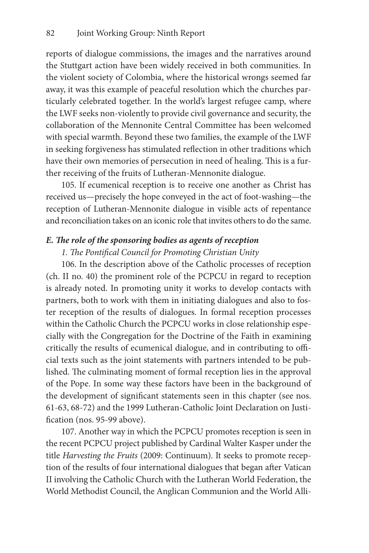reports of dialogue commissions, the images and the narratives around the Stuttgart action have been widely received in both communities. In the violent society of Colombia, where the historical wrongs seemed far away, it was this example of peaceful resolution which the churches particularly celebrated together. In the world's largest refugee camp, where the LWF seeks non-violently to provide civil governance and security, the collaboration of the Mennonite Central Committee has been welcomed with special warmth. Beyond these two families, the example of the LWF in seeking forgiveness has stimulated reflection in other traditions which have their own memories of persecution in need of healing. This is a further receiving of the fruits of Lutheran-Mennonite dialogue.

105. If ecumenical reception is to receive one another as Christ has received us—precisely the hope conveyed in the act of foot-washing—the reception of Lutheran-Mennonite dialogue in visible acts of repentance and reconciliation takes on an iconic role that invites others to do the same.

### *E. The role of the sponsoring bodies as agents of reception*

# *1. The Pontifical Council for Promoting Christian Unity*

106. In the description above of the Catholic processes of reception (ch. II no. 40) the prominent role of the PCPCU in regard to reception is already noted. In promoting unity it works to develop contacts with partners, both to work with them in initiating dialogues and also to foster reception of the results of dialogues. In formal reception processes within the Catholic Church the PCPCU works in close relationship especially with the Congregation for the Doctrine of the Faith in examining critically the results of ecumenical dialogue, and in contributing to official texts such as the joint statements with partners intended to be published. The culminating moment of formal reception lies in the approval of the Pope. In some way these factors have been in the background of the development of significant statements seen in this chapter (see nos. 61-63, 68-72) and the 1999 Lutheran-Catholic Joint Declaration on Justification (nos. 95-99 above).

107. Another way in which the PCPCU promotes reception is seen in the recent PCPCU project published by Cardinal Walter Kasper under the title *Harvesting the Fruits* (2009: Continuum). It seeks to promote reception of the results of four international dialogues that began after Vatican II involving the Catholic Church with the Lutheran World Federation, the World Methodist Council, the Anglican Communion and the World Alli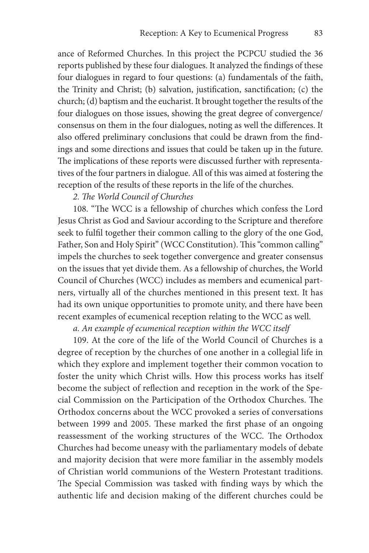ance of Reformed Churches. In this project the PCPCU studied the 36 reports published by these four dialogues. It analyzed the findings of these four dialogues in regard to four questions: (a) fundamentals of the faith, the Trinity and Christ; (b) salvation, justification, sanctification; (c) the church; (d) baptism and the eucharist. It brought together the results of the four dialogues on those issues, showing the great degree of convergence/ consensus on them in the four dialogues, noting as well the differences. It also offered preliminary conclusions that could be drawn from the findings and some directions and issues that could be taken up in the future. The implications of these reports were discussed further with representatives of the four partners in dialogue. All of this was aimed at fostering the reception of the results of these reports in the life of the churches.

# *2. The World Council of Churches*

108. "The WCC is a fellowship of churches which confess the Lord Jesus Christ as God and Saviour according to the Scripture and therefore seek to fulfil together their common calling to the glory of the one God, Father, Son and Holy Spirit" (WCC Constitution). This "common calling" impels the churches to seek together convergence and greater consensus on the issues that yet divide them. As a fellowship of churches, the World Council of Churches (WCC) includes as members and ecumenical partners, virtually all of the churches mentioned in this present text. It has had its own unique opportunities to promote unity, and there have been recent examples of ecumenical reception relating to the WCC as well.

# *a. An example of ecumenical reception within the WCC itself*

109. At the core of the life of the World Council of Churches is a degree of reception by the churches of one another in a collegial life in which they explore and implement together their common vocation to foster the unity which Christ wills. How this process works has itself become the subject of reflection and reception in the work of the Special Commission on the Participation of the Orthodox Churches. The Orthodox concerns about the WCC provoked a series of conversations between 1999 and 2005. These marked the first phase of an ongoing reassessment of the working structures of the WCC. The Orthodox Churches had become uneasy with the parliamentary models of debate and majority decision that were more familiar in the assembly models of Christian world communions of the Western Protestant traditions. The Special Commission was tasked with finding ways by which the authentic life and decision making of the different churches could be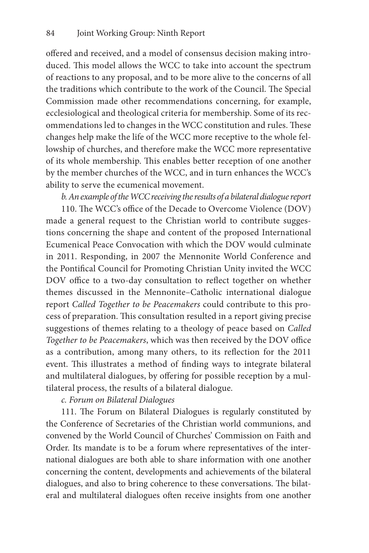offered and received, and a model of consensus decision making introduced. This model allows the WCC to take into account the spectrum of reactions to any proposal, and to be more alive to the concerns of all the traditions which contribute to the work of the Council. The Special Commission made other recommendations concerning, for example, ecclesiological and theological criteria for membership. Some of its recommendations led to changes in the WCC constitution and rules. These changes help make the life of the WCC more receptive to the whole fellowship of churches, and therefore make the WCC more representative of its whole membership. This enables better reception of one another by the member churches of the WCC, and in turn enhances the WCC's ability to serve the ecumenical movement.

*b. An example of the WCC receiving the results of a bilateral dialogue report*

110. The WCC's office of the Decade to Overcome Violence (DOV) made a general request to the Christian world to contribute suggestions concerning the shape and content of the proposed International Ecumenical Peace Convocation with which the DOV would culminate in 2011. Responding, in 2007 the Mennonite World Conference and the Pontifical Council for Promoting Christian Unity invited the WCC DOV office to a two-day consultation to reflect together on whether themes discussed in the Mennonite–Catholic international dialogue report *Called Together to be Peacemakers* could contribute to this process of preparation. This consultation resulted in a report giving precise suggestions of themes relating to a theology of peace based on *Called Together to be Peacemakers*, which was then received by the DOV office as a contribution, among many others, to its reflection for the 2011 event. This illustrates a method of finding ways to integrate bilateral and multilateral dialogues, by offering for possible reception by a multilateral process, the results of a bilateral dialogue.

*c. Forum on Bilateral Dialogues*

111. The Forum on Bilateral Dialogues is regularly constituted by the Conference of Secretaries of the Christian world communions, and convened by the World Council of Churches' Commission on Faith and Order. Its mandate is to be a forum where representatives of the international dialogues are both able to share information with one another concerning the content, developments and achievements of the bilateral dialogues, and also to bring coherence to these conversations. The bilateral and multilateral dialogues often receive insights from one another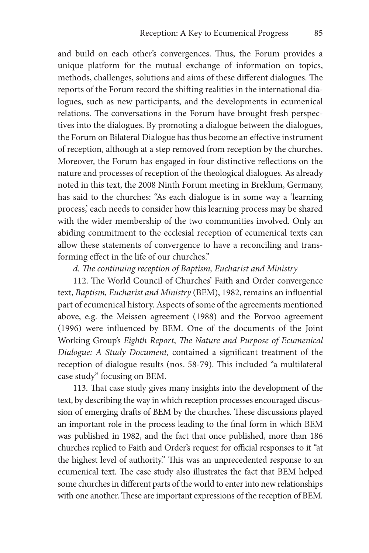and build on each other's convergences. Thus, the Forum provides a unique platform for the mutual exchange of information on topics, methods, challenges, solutions and aims of these different dialogues. The reports of the Forum record the shifting realities in the international dialogues, such as new participants, and the developments in ecumenical relations. The conversations in the Forum have brought fresh perspectives into the dialogues. By promoting a dialogue between the dialogues, the Forum on Bilateral Dialogue has thus become an effective instrument of reception, although at a step removed from reception by the churches. Moreover, the Forum has engaged in four distinctive reflections on the nature and processes of reception of the theological dialogues. As already noted in this text, the 2008 Ninth Forum meeting in Breklum, Germany, has said to the churches: "As each dialogue is in some way a 'learning process,' each needs to consider how this learning process may be shared with the wider membership of the two communities involved. Only an abiding commitment to the ecclesial reception of ecumenical texts can allow these statements of convergence to have a reconciling and transforming effect in the life of our churches."

*d. The continuing reception of Baptism, Eucharist and Ministry*

112. The World Council of Churches' Faith and Order convergence text, *Baptism, Eucharist and Ministry* (BEM), 1982, remains an influential part of ecumenical history. Aspects of some of the agreements mentioned above, e.g. the Meissen agreement (1988) and the Porvoo agreement (1996) were influenced by BEM. One of the documents of the Joint Working Group's *Eighth Report*, *The Nature and Purpose of Ecumenical Dialogue: A Study Document*, contained a significant treatment of the reception of dialogue results (nos. 58-79). This included "a multilateral case study" focusing on BEM.

113. That case study gives many insights into the development of the text, by describing the way in which reception processes encouraged discussion of emerging drafts of BEM by the churches. These discussions played an important role in the process leading to the final form in which BEM was published in 1982, and the fact that once published, more than 186 churches replied to Faith and Order's request for official responses to it "at the highest level of authority." This was an unprecedented response to an ecumenical text. The case study also illustrates the fact that BEM helped some churches in different parts of the world to enter into new relationships with one another. These are important expressions of the reception of BEM.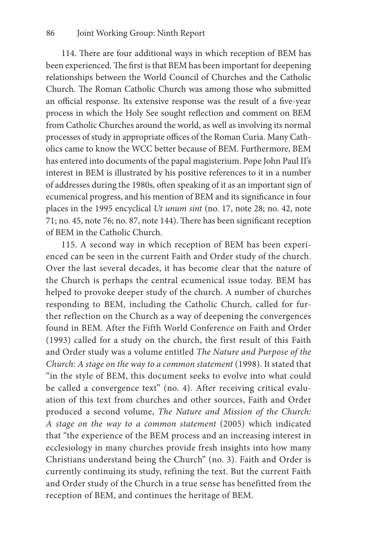114. There are four additional ways in which reception of BEM has been experienced. The first is that BEM has been important for deepening relationships between the World Council of Churches and the Catholic Church. The Roman Catholic Church was among those who submitted an official response. Its extensive response was the result of a five-year process in which the Holy See sought reflection and comment on BEM from Catholic Churches around the world, as well as involving its normal processes of study in appropriate offices of the Roman Curia. Many Catholics came to know the WCC better because of BEM. Furthermore, BEM has entered into documents of the papal magisterium. Pope John Paul II's interest in BEM is illustrated by his positive references to it in a number of addresses during the 1980s, often speaking of it as an important sign of ecumenical progress, and his mention of BEM and its significance in four places in the 1995 encyclical *Ut unum sint* (no. 17, note 28; no. 42, note 71; no. 45, note 76; no. 87, note 144). There has been significant reception of BEM in the Catholic Church.

115. A second way in which reception of BEM has been experienced can be seen in the current Faith and Order study of the church. Over the last several decades, it has become clear that the nature of the Church is perhaps the central ecumenical issue today. BEM has helped to provoke deeper study of the church. A number of churches responding to BEM, including the Catholic Church, called for further reflection on the Church as a way of deepening the convergences found in BEM. After the Fifth World Conference on Faith and Order (1993) called for a study on the church, the first result of this Faith and Order study was a volume entitled *The Nature and Purpose of the Church: A stage on the way to a common statement* (1998). It stated that "in the style of BEM, this document seeks to evolve into what could be called a convergence text" (no. 4). After receiving critical evaluation of this text from churches and other sources, Faith and Order produced a second volume, *The Nature and Mission of the Church: A stage on the way to a common statement* (2005) which indicated that "the experience of the BEM process and an increasing interest in ecclesiology in many churches provide fresh insights into how many Christians understand being the Church" (no. 3). Faith and Order is currently continuing its study, refining the text. But the current Faith and Order study of the Church in a true sense has benefitted from the reception of BEM, and continues the heritage of BEM.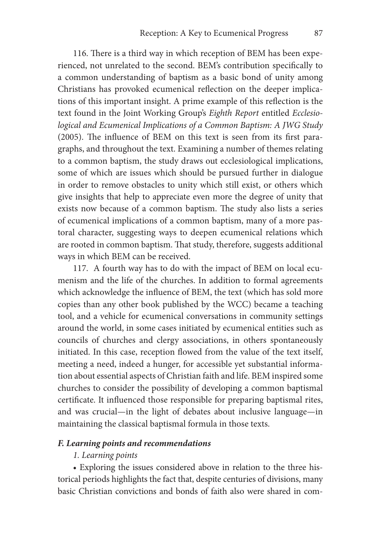116. There is a third way in which reception of BEM has been experienced, not unrelated to the second. BEM's contribution specifically to a common understanding of baptism as a basic bond of unity among Christians has provoked ecumenical reflection on the deeper implications of this important insight. A prime example of this reflection is the text found in the Joint Working Group's *Eighth Report* entitled *Ecclesiological and Ecumenical Implications of a Common Baptism: A JWG Study* (2005). The influence of BEM on this text is seen from its first paragraphs, and throughout the text. Examining a number of themes relating to a common baptism, the study draws out ecclesiological implications, some of which are issues which should be pursued further in dialogue in order to remove obstacles to unity which still exist, or others which give insights that help to appreciate even more the degree of unity that exists now because of a common baptism. The study also lists a series of ecumenical implications of a common baptism, many of a more pastoral character, suggesting ways to deepen ecumenical relations which are rooted in common baptism. That study, therefore, suggests additional ways in which BEM can be received.

117. A fourth way has to do with the impact of BEM on local ecumenism and the life of the churches. In addition to formal agreements which acknowledge the influence of BEM, the text (which has sold more copies than any other book published by the WCC) became a teaching tool, and a vehicle for ecumenical conversations in community settings around the world, in some cases initiated by ecumenical entities such as councils of churches and clergy associations, in others spontaneously initiated. In this case, reception flowed from the value of the text itself, meeting a need, indeed a hunger, for accessible yet substantial information about essential aspects of Christian faith and life. BEM inspired some churches to consider the possibility of developing a common baptismal certificate. It influenced those responsible for preparing baptismal rites, and was crucial—in the light of debates about inclusive language—in maintaining the classical baptismal formula in those texts.

## *F. Learning points and recommendations*

#### *1. Learning points*

• Exploring the issues considered above in relation to the three historical periods highlights the fact that, despite centuries of divisions, many basic Christian convictions and bonds of faith also were shared in com-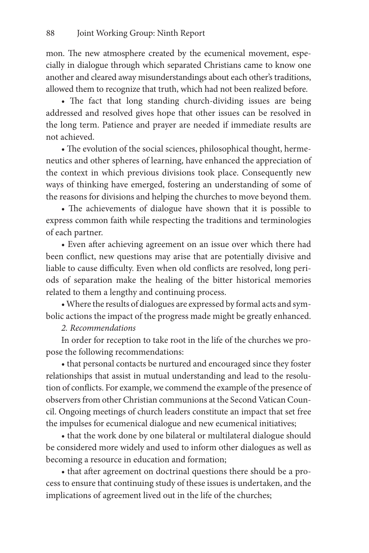mon. The new atmosphere created by the ecumenical movement, especially in dialogue through which separated Christians came to know one another and cleared away misunderstandings about each other's traditions, allowed them to recognize that truth, which had not been realized before.

• The fact that long standing church-dividing issues are being addressed and resolved gives hope that other issues can be resolved in the long term. Patience and prayer are needed if immediate results are not achieved.

• The evolution of the social sciences, philosophical thought, hermeneutics and other spheres of learning, have enhanced the appreciation of the context in which previous divisions took place. Consequently new ways of thinking have emerged, fostering an understanding of some of the reasons for divisions and helping the churches to move beyond them.

• The achievements of dialogue have shown that it is possible to express common faith while respecting the traditions and terminologies of each partner.

• Even after achieving agreement on an issue over which there had been conflict, new questions may arise that are potentially divisive and liable to cause difficulty. Even when old conflicts are resolved, long periods of separation make the healing of the bitter historical memories related to them a lengthy and continuing process.

• Where the results of dialogues are expressed by formal acts and symbolic actions the impact of the progress made might be greatly enhanced.

# *2. Recommendations*

In order for reception to take root in the life of the churches we propose the following recommendations:

• that personal contacts be nurtured and encouraged since they foster relationships that assist in mutual understanding and lead to the resolution of conflicts. For example, we commend the example of the presence of observers from other Christian communions at the Second Vatican Council. Ongoing meetings of church leaders constitute an impact that set free the impulses for ecumenical dialogue and new ecumenical initiatives;

• that the work done by one bilateral or multilateral dialogue should be considered more widely and used to inform other dialogues as well as becoming a resource in education and formation;

• that after agreement on doctrinal questions there should be a process to ensure that continuing study of these issues is undertaken, and the implications of agreement lived out in the life of the churches;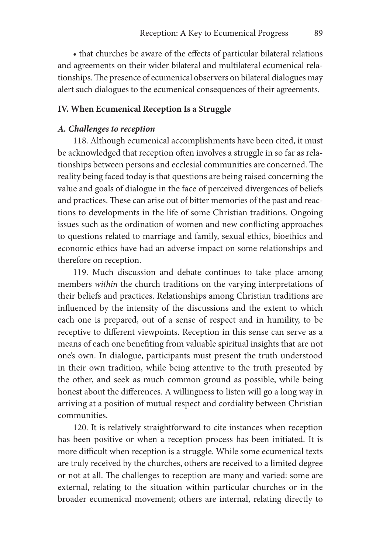• that churches be aware of the effects of particular bilateral relations and agreements on their wider bilateral and multilateral ecumenical relationships. The presence of ecumenical observers on bilateral dialogues may alert such dialogues to the ecumenical consequences of their agreements.

## **IV. When Ecumenical Reception Is a Struggle**

#### *A. Challenges to reception*

118. Although ecumenical accomplishments have been cited, it must be acknowledged that reception often involves a struggle in so far as relationships between persons and ecclesial communities are concerned. The reality being faced today is that questions are being raised concerning the value and goals of dialogue in the face of perceived divergences of beliefs and practices. These can arise out of bitter memories of the past and reactions to developments in the life of some Christian traditions. Ongoing issues such as the ordination of women and new conflicting approaches to questions related to marriage and family, sexual ethics, bioethics and economic ethics have had an adverse impact on some relationships and therefore on reception.

119. Much discussion and debate continues to take place among members *within* the church traditions on the varying interpretations of their beliefs and practices. Relationships among Christian traditions are influenced by the intensity of the discussions and the extent to which each one is prepared, out of a sense of respect and in humility, to be receptive to different viewpoints. Reception in this sense can serve as a means of each one benefiting from valuable spiritual insights that are not one's own. In dialogue, participants must present the truth understood in their own tradition, while being attentive to the truth presented by the other, and seek as much common ground as possible, while being honest about the differences. A willingness to listen will go a long way in arriving at a position of mutual respect and cordiality between Christian communities.

120. It is relatively straightforward to cite instances when reception has been positive or when a reception process has been initiated. It is more difficult when reception is a struggle. While some ecumenical texts are truly received by the churches, others are received to a limited degree or not at all. The challenges to reception are many and varied: some are external, relating to the situation within particular churches or in the broader ecumenical movement; others are internal, relating directly to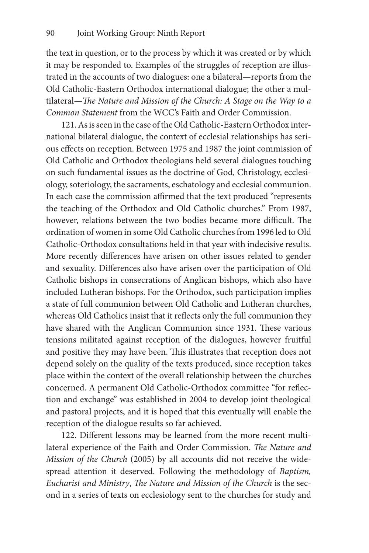the text in question, or to the process by which it was created or by which it may be responded to. Examples of the struggles of reception are illustrated in the accounts of two dialogues: one a bilateral—reports from the Old Catholic-Eastern Orthodox international dialogue; the other a multilateral—*The Nature and Mission of the Church: A Stage on the Way to a Common Statement* from the WCC's Faith and Order Commission.

121. As is seen in the case of the Old Catholic-Eastern Orthodox international bilateral dialogue, the context of ecclesial relationships has serious effects on reception. Between 1975 and 1987 the joint commission of Old Catholic and Orthodox theologians held several dialogues touching on such fundamental issues as the doctrine of God, Christology, ecclesiology, soteriology, the sacraments, eschatology and ecclesial communion. In each case the commission affirmed that the text produced "represents the teaching of the Orthodox and Old Catholic churches." From 1987, however, relations between the two bodies became more difficult. The ordination of women in some Old Catholic churches from 1996 led to Old Catholic-Orthodox consultations held in that year with indecisive results. More recently differences have arisen on other issues related to gender and sexuality. Differences also have arisen over the participation of Old Catholic bishops in consecrations of Anglican bishops, which also have included Lutheran bishops. For the Orthodox, such participation implies a state of full communion between Old Catholic and Lutheran churches, whereas Old Catholics insist that it reflects only the full communion they have shared with the Anglican Communion since 1931. These various tensions militated against reception of the dialogues, however fruitful and positive they may have been. This illustrates that reception does not depend solely on the quality of the texts produced, since reception takes place within the context of the overall relationship between the churches concerned. A permanent Old Catholic-Orthodox committee "for reflection and exchange" was established in 2004 to develop joint theological and pastoral projects, and it is hoped that this eventually will enable the reception of the dialogue results so far achieved.

122. Different lessons may be learned from the more recent multilateral experience of the Faith and Order Commission. *The Nature and Mission of the Church* (2005) by all accounts did not receive the widespread attention it deserved. Following the methodology of *Baptism, Eucharist and Ministry*, *The Nature and Mission of the Church* is the second in a series of texts on ecclesiology sent to the churches for study and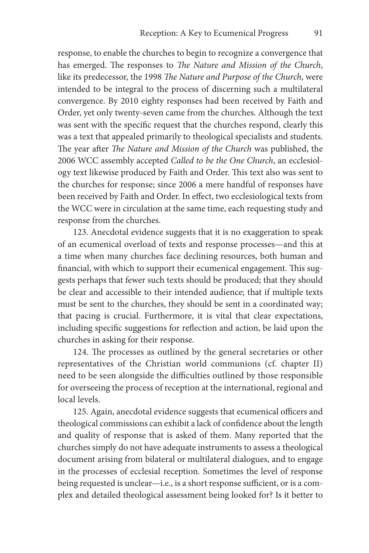response, to enable the churches to begin to recognize a convergence that has emerged. The responses to *The Nature and Mission of the Church*, like its predecessor, the 1998 *The Nature and Purpose of the Church*, were intended to be integral to the process of discerning such a multilateral convergence. By 2010 eighty responses had been received by Faith and Order, yet only twenty-seven came from the churches. Although the text was sent with the specific request that the churches respond, clearly this was a text that appealed primarily to theological specialists and students. The year after *The Nature and Mission of the Church* was published, the 2006 WCC assembly accepted *Called to be the One Church*, an ecclesiology text likewise produced by Faith and Order. This text also was sent to the churches for response; since 2006 a mere handful of responses have been received by Faith and Order. In effect, two ecclesiological texts from the WCC were in circulation at the same time, each requesting study and response from the churches.

123. Anecdotal evidence suggests that it is no exaggeration to speak of an ecumenical overload of texts and response processes—and this at a time when many churches face declining resources, both human and financial, with which to support their ecumenical engagement. This suggests perhaps that fewer such texts should be produced; that they should be clear and accessible to their intended audience; that if multiple texts must be sent to the churches, they should be sent in a coordinated way; that pacing is crucial. Furthermore, it is vital that clear expectations, including specific suggestions for reflection and action, be laid upon the churches in asking for their response.

124. The processes as outlined by the general secretaries or other representatives of the Christian world communions (cf. chapter II) need to be seen alongside the difficulties outlined by those responsible for overseeing the process of reception at the international, regional and local levels.

125. Again, anecdotal evidence suggests that ecumenical officers and theological commissions can exhibit a lack of confidence about the length and quality of response that is asked of them. Many reported that the churches simply do not have adequate instruments to assess a theological document arising from bilateral or multilateral dialogues, and to engage in the processes of ecclesial reception. Sometimes the level of response being requested is unclear—i.e., is a short response sufficient, or is a complex and detailed theological assessment being looked for? Is it better to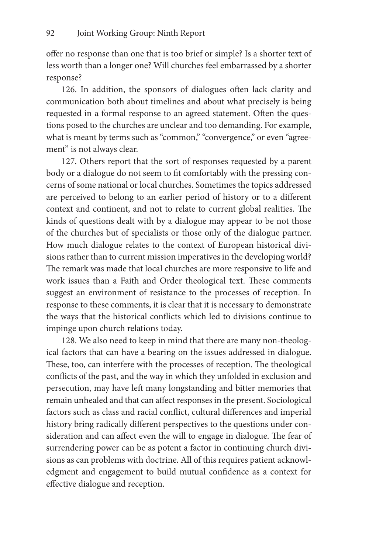offer no response than one that is too brief or simple? Is a shorter text of less worth than a longer one? Will churches feel embarrassed by a shorter response?

126. In addition, the sponsors of dialogues often lack clarity and communication both about timelines and about what precisely is being requested in a formal response to an agreed statement. Often the questions posed to the churches are unclear and too demanding. For example, what is meant by terms such as "common," "convergence," or even "agreement" is not always clear.

127. Others report that the sort of responses requested by a parent body or a dialogue do not seem to fit comfortably with the pressing concerns of some national or local churches. Sometimes the topics addressed are perceived to belong to an earlier period of history or to a different context and continent, and not to relate to current global realities. The kinds of questions dealt with by a dialogue may appear to be not those of the churches but of specialists or those only of the dialogue partner. How much dialogue relates to the context of European historical divisions rather than to current mission imperatives in the developing world? The remark was made that local churches are more responsive to life and work issues than a Faith and Order theological text. These comments suggest an environment of resistance to the processes of reception. In response to these comments, it is clear that it is necessary to demonstrate the ways that the historical conflicts which led to divisions continue to impinge upon church relations today.

128. We also need to keep in mind that there are many non-theological factors that can have a bearing on the issues addressed in dialogue. These, too, can interfere with the processes of reception. The theological conflicts of the past, and the way in which they unfolded in exclusion and persecution, may have left many longstanding and bitter memories that remain unhealed and that can affect responses in the present. Sociological factors such as class and racial conflict, cultural differences and imperial history bring radically different perspectives to the questions under consideration and can affect even the will to engage in dialogue. The fear of surrendering power can be as potent a factor in continuing church divisions as can problems with doctrine. All of this requires patient acknowledgment and engagement to build mutual confidence as a context for effective dialogue and reception.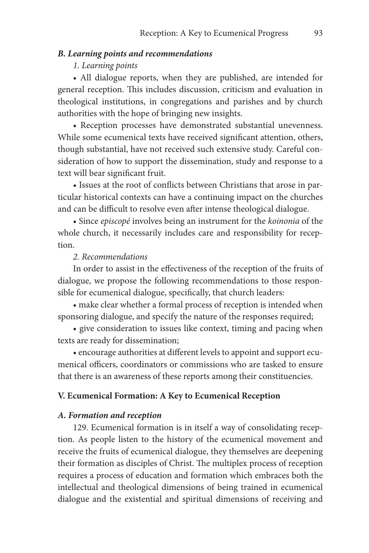# *B. Learning points and recommendations*

# *1. Learning points*

• All dialogue reports, when they are published, are intended for general reception. This includes discussion, criticism and evaluation in theological institutions, in congregations and parishes and by church authorities with the hope of bringing new insights.

• Reception processes have demonstrated substantial unevenness. While some ecumenical texts have received significant attention, others, though substantial, have not received such extensive study. Careful consideration of how to support the dissemination, study and response to a text will bear significant fruit.

• Issues at the root of conflicts between Christians that arose in particular historical contexts can have a continuing impact on the churches and can be difficult to resolve even after intense theological dialogue.

• Since *episcopé* involves being an instrument for the *koinonia* of the whole church, it necessarily includes care and responsibility for reception.

#### *2. Recommendations*

In order to assist in the effectiveness of the reception of the fruits of dialogue, we propose the following recommendations to those responsible for ecumenical dialogue, specifically, that church leaders:

• make clear whether a formal process of reception is intended when sponsoring dialogue, and specify the nature of the responses required;

• give consideration to issues like context, timing and pacing when texts are ready for dissemination;

• encourage authorities at different levels to appoint and support ecumenical officers, coordinators or commissions who are tasked to ensure that there is an awareness of these reports among their constituencies.

#### **V. Ecumenical Formation: A Key to Ecumenical Reception**

#### *A. Formation and reception*

129. Ecumenical formation is in itself a way of consolidating reception. As people listen to the history of the ecumenical movement and receive the fruits of ecumenical dialogue, they themselves are deepening their formation as disciples of Christ. The multiplex process of reception requires a process of education and formation which embraces both the intellectual and theological dimensions of being trained in ecumenical dialogue and the existential and spiritual dimensions of receiving and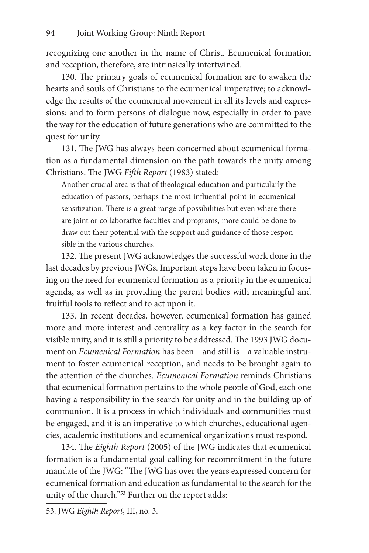recognizing one another in the name of Christ. Ecumenical formation and reception, therefore, are intrinsically intertwined.

130. The primary goals of ecumenical formation are to awaken the hearts and souls of Christians to the ecumenical imperative; to acknowledge the results of the ecumenical movement in all its levels and expressions; and to form persons of dialogue now, especially in order to pave the way for the education of future generations who are committed to the quest for unity.

131. The JWG has always been concerned about ecumenical formation as a fundamental dimension on the path towards the unity among Christians. The JWG *Fifth Report* (1983) stated:

Another crucial area is that of theological education and particularly the education of pastors, perhaps the most influential point in ecumenical sensitization. There is a great range of possibilities but even where there are joint or collaborative faculties and programs, more could be done to draw out their potential with the support and guidance of those responsible in the various churches.

132. The present JWG acknowledges the successful work done in the last decades by previous JWGs. Important steps have been taken in focusing on the need for ecumenical formation as a priority in the ecumenical agenda, as well as in providing the parent bodies with meaningful and fruitful tools to reflect and to act upon it.

133. In recent decades, however, ecumenical formation has gained more and more interest and centrality as a key factor in the search for visible unity, and it is still a priority to be addressed. The 1993 JWG document on *Ecumenical Formation* has been—and still is—a valuable instrument to foster ecumenical reception, and needs to be brought again to the attention of the churches. *Ecumenical Formation* reminds Christians that ecumenical formation pertains to the whole people of God, each one having a responsibility in the search for unity and in the building up of communion. It is a process in which individuals and communities must be engaged, and it is an imperative to which churches, educational agencies, academic institutions and ecumenical organizations must respond.

134. The *Eighth Report* (2005) of the JWG indicates that ecumenical formation is a fundamental goal calling for recommitment in the future mandate of the JWG: "The JWG has over the years expressed concern for ecumenical formation and education as fundamental to the search for the unity of the church."<sup>53</sup> Further on the report adds:

<sup>53.</sup> JWG *Eighth Report*, III, no. 3.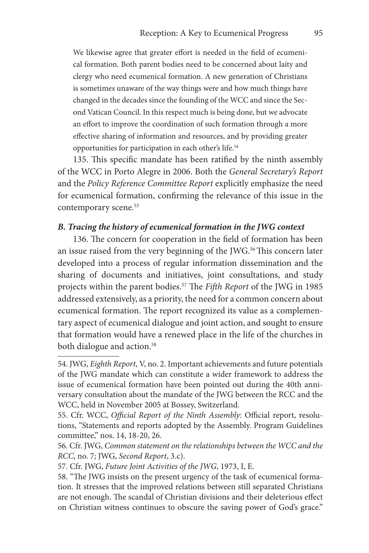We likewise agree that greater effort is needed in the field of ecumenical formation. Both parent bodies need to be concerned about laity and clergy who need ecumenical formation. A new generation of Christians is sometimes unaware of the way things were and how much things have changed in the decades since the founding of the WCC and since the Second Vatican Council. In this respect much is being done, but we advocate an effort to improve the coordination of such formation through a more effective sharing of information and resources, and by providing greater opportunities for participation in each other's life.<sup>54</sup>

135. This specific mandate has been ratified by the ninth assembly of the WCC in Porto Alegre in 2006. Both the *General Secretary's Report*  and the *Policy Reference Committee Report* explicitly emphasize the need for ecumenical formation, confirming the relevance of this issue in the contemporary scene.<sup>55</sup>

# *B. Tracing the history of ecumenical formation in the JWG context*

136. The concern for cooperation in the field of formation has been an issue raised from the very beginning of the JWG.<sup>56</sup> This concern later developed into a process of regular information dissemination and the sharing of documents and initiatives, joint consultations, and study projects within the parent bodies.57 The *Fifth Report* of the JWG in 1985 addressed extensively, as a priority, the need for a common concern about ecumenical formation. The report recognized its value as a complementary aspect of ecumenical dialogue and joint action, and sought to ensure that formation would have a renewed place in the life of the churches in both dialogue and action.<sup>58</sup>

<sup>54.</sup> JWG, *Eighth Report*, V, no. 2. Important achievements and future potentials of the JWG mandate which can constitute a wider framework to address the issue of ecumenical formation have been pointed out during the 40th anniversary consultation about the mandate of the JWG between the RCC and the WCC, held in November 2005 at Bossey, Switzerland.

<sup>55.</sup> Cfr. WCC, *Official Report of the Ninth Assembly*: Official report, resolutions, "Statements and reports adopted by the Assembly. Program Guidelines committee," nos. 14, 18-20, 26.

<sup>56.</sup> Cfr. JWG, *Common statement on the relationships between the WCC and the RCC*, no. 7; JWG, *Second Report*, 3.c).

<sup>57.</sup> Cfr. JWG, *Future Joint Activities of the JWG*, 1973, I, E.

<sup>58. &</sup>quot;The JWG insists on the present urgency of the task of ecumenical formation. It stresses that the improved relations between still separated Christians are not enough. The scandal of Christian divisions and their deleterious effect on Christian witness continues to obscure the saving power of God's grace."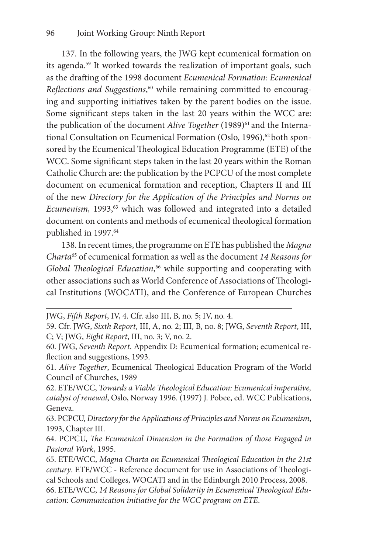137. In the following years, the JWG kept ecumenical formation on its agenda.59 It worked towards the realization of important goals, such as the drafting of the 1998 document *Ecumenical Formation: Ecumenical Reflections and Suggestions*, 60 while remaining committed to encouraging and supporting initiatives taken by the parent bodies on the issue. Some significant steps taken in the last 20 years within the WCC are: the publication of the document *Alive Together* (1989)<sup>61</sup> and the International Consultation on Ecumenical Formation (Oslo, 1996),<sup>62</sup> both sponsored by the Ecumenical Theological Education Programme (ETE) of the WCC. Some significant steps taken in the last 20 years within the Roman Catholic Church are: the publication by the PCPCU of the most complete document on ecumenical formation and reception, Chapters II and III of the new *Directory for the Application of the Principles and Norms on Ecumenism*, 1993,<sup>63</sup> which was followed and integrated into a detailed document on contents and methods of ecumenical theological formation published in 1997.<sup>64</sup>

138. In recent times, the programme on ETE has published the *Magna Charta*65 of ecumenical formation as well as the document *14 Reasons for*  Global Theological Education,<sup>66</sup> while supporting and cooperating with other associations such as World Conference of Associations of Theological Institutions (WOCATI), and the Conference of European Churches

61. *Alive Together*, Ecumenical Theological Education Program of the World Council of Churches, 1989

62. ETE/WCC, *Towards a Viable Theological Education: Ecumenical imperative, catalyst of renewal*, Oslo, Norway 1996. (1997) J. Pobee, ed. WCC Publications, Geneva.

63. PCPCU, *Directory for the Applications of Principles and Norms on Ecumenism*, 1993, Chapter III.

64. PCPCU, *The Ecumenical Dimension in the Formation of those Engaged in Pastoral Work*, 1995.

65. ETE/WCC, *Magna Charta on Ecumenical Theological Education in the 21st century*. ETE/WCC - Reference document for use in Associations of Theological Schools and Colleges, WOCATI and in the Edinburgh 2010 Process, 2008.

66. ETE/WCC, *14 Reasons for Global Solidarity in Ecumenical Theological Education: Communication initiative for the WCC program on ETE*.

JWG, *Fifth Report*, IV, 4. Cfr. also III, B, no. 5; IV, no. 4.

<sup>59.</sup> Cfr. JWG, *Sixth Report*, III, A, no. 2; III, B, no. 8; JWG, *Seventh Report*, III, C; V; JWG, *Eight Report*, III, no. 3; V, no. 2.

<sup>60.</sup> JWG, *Seventh Report*. Appendix D: Ecumenical formation; ecumenical reflection and suggestions, 1993.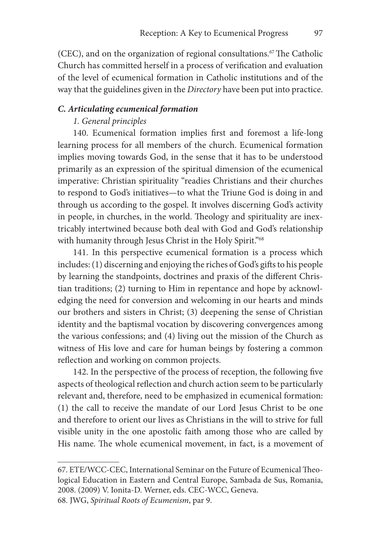(CEC), and on the organization of regional consultations.<sup>67</sup> The Catholic Church has committed herself in a process of verification and evaluation of the level of ecumenical formation in Catholic institutions and of the way that the guidelines given in the *Directory* have been put into practice.

## *C. Articulating ecumenical formation*

## *1. General principles*

140. Ecumenical formation implies first and foremost a life-long learning process for all members of the church. Ecumenical formation implies moving towards God, in the sense that it has to be understood primarily as an expression of the spiritual dimension of the ecumenical imperative: Christian spirituality "readies Christians and their churches to respond to God's initiatives—to what the Triune God is doing in and through us according to the gospel. It involves discerning God's activity in people, in churches, in the world. Theology and spirituality are inextricably intertwined because both deal with God and God's relationship with humanity through Jesus Christ in the Holy Spirit."<sup>68</sup>

141. In this perspective ecumenical formation is a process which includes: (1) discerning and enjoying the riches of God's gifts to his people by learning the standpoints, doctrines and praxis of the different Christian traditions; (2) turning to Him in repentance and hope by acknowledging the need for conversion and welcoming in our hearts and minds our brothers and sisters in Christ; (3) deepening the sense of Christian identity and the baptismal vocation by discovering convergences among the various confessions; and (4) living out the mission of the Church as witness of His love and care for human beings by fostering a common reflection and working on common projects.

142. In the perspective of the process of reception, the following five aspects of theological reflection and church action seem to be particularly relevant and, therefore, need to be emphasized in ecumenical formation: (1) the call to receive the mandate of our Lord Jesus Christ to be one and therefore to orient our lives as Christians in the will to strive for full visible unity in the one apostolic faith among those who are called by His name. The whole ecumenical movement, in fact, is a movement of

<sup>67.</sup> ETE/WCC-CEC, International Seminar on the Future of Ecumenical Theological Education in Eastern and Central Europe, Sambada de Sus, Romania, 2008. (2009) V. Ionita-D. Werner, eds. CEC-WCC, Geneva.

<sup>68.</sup> JWG, *Spiritual Roots of Ecumenism*, par 9.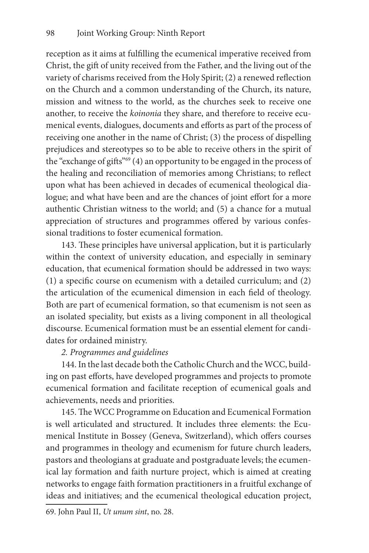reception as it aims at fulfilling the ecumenical imperative received from Christ, the gift of unity received from the Father, and the living out of the variety of charisms received from the Holy Spirit; (2) a renewed reflection on the Church and a common understanding of the Church, its nature, mission and witness to the world, as the churches seek to receive one another, to receive the *koinonia* they share, and therefore to receive ecumenical events, dialogues, documents and efforts as part of the process of receiving one another in the name of Christ; (3) the process of dispelling prejudices and stereotypes so to be able to receive others in the spirit of the "exchange of gifts"<sup>69</sup> (4) an opportunity to be engaged in the process of the healing and reconciliation of memories among Christians; to reflect upon what has been achieved in decades of ecumenical theological dialogue; and what have been and are the chances of joint effort for a more authentic Christian witness to the world; and (5) a chance for a mutual appreciation of structures and programmes offered by various confessional traditions to foster ecumenical formation.

143. These principles have universal application, but it is particularly within the context of university education, and especially in seminary education, that ecumenical formation should be addressed in two ways: (1) a specific course on ecumenism with a detailed curriculum; and (2) the articulation of the ecumenical dimension in each field of theology. Both are part of ecumenical formation, so that ecumenism is not seen as an isolated speciality, but exists as a living component in all theological discourse. Ecumenical formation must be an essential element for candidates for ordained ministry.

# *2. Programmes and guidelines*

144. In the last decade both the Catholic Church and the WCC, building on past efforts, have developed programmes and projects to promote ecumenical formation and facilitate reception of ecumenical goals and achievements, needs and priorities.

145. The WCC Programme on Education and Ecumenical Formation is well articulated and structured. It includes three elements: the Ecumenical Institute in Bossey (Geneva, Switzerland), which offers courses and programmes in theology and ecumenism for future church leaders, pastors and theologians at graduate and postgraduate levels; the ecumenical lay formation and faith nurture project, which is aimed at creating networks to engage faith formation practitioners in a fruitful exchange of ideas and initiatives; and the ecumenical theological education project,

69. John Paul II, *Ut unum sint*, no. 28.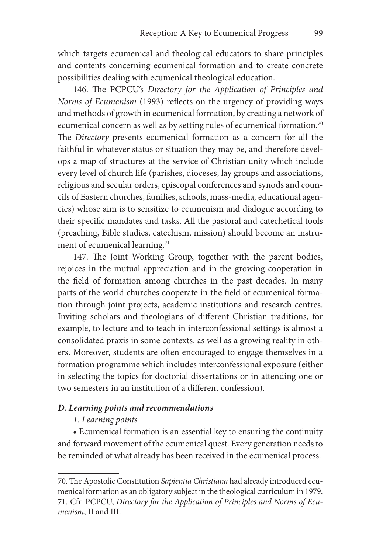which targets ecumenical and theological educators to share principles and contents concerning ecumenical formation and to create concrete possibilities dealing with ecumenical theological education.

146. The PCPCU's *Directory for the Application of Principles and Norms of Ecumenism* (1993) reflects on the urgency of providing ways and methods of growth in ecumenical formation, by creating a network of ecumenical concern as well as by setting rules of ecumenical formation.<sup>70</sup> The *Directory* presents ecumenical formation as a concern for all the faithful in whatever status or situation they may be, and therefore develops a map of structures at the service of Christian unity which include every level of church life (parishes, dioceses, lay groups and associations, religious and secular orders, episcopal conferences and synods and councils of Eastern churches, families, schools, mass-media*,* educational agencies) whose aim is to sensitize to ecumenism and dialogue according to their specific mandates and tasks. All the pastoral and catechetical tools (preaching, Bible studies, catechism, mission) should become an instrument of ecumenical learning.<sup>71</sup>

147. The Joint Working Group, together with the parent bodies, rejoices in the mutual appreciation and in the growing cooperation in the field of formation among churches in the past decades. In many parts of the world churches cooperate in the field of ecumenical formation through joint projects, academic institutions and research centres. Inviting scholars and theologians of different Christian traditions, for example, to lecture and to teach in interconfessional settings is almost a consolidated praxis in some contexts, as well as a growing reality in others. Moreover, students are often encouraged to engage themselves in a formation programme which includes interconfessional exposure (either in selecting the topics for doctorial dissertations or in attending one or two semesters in an institution of a different confession).

# *D. Learning points and recommendations*

# *1. Learning points*

• Ecumenical formation is an essential key to ensuring the continuity and forward movement of the ecumenical quest. Every generation needs to be reminded of what already has been received in the ecumenical process.

<sup>70.</sup> The Apostolic Constitution *Sapientia Christiana* had already introduced ecumenical formation as an obligatory subject in the theological curriculum in 1979. 71. Cfr. PCPCU, *Directory for the Application of Principles and Norms of Ecumenism*, II and III.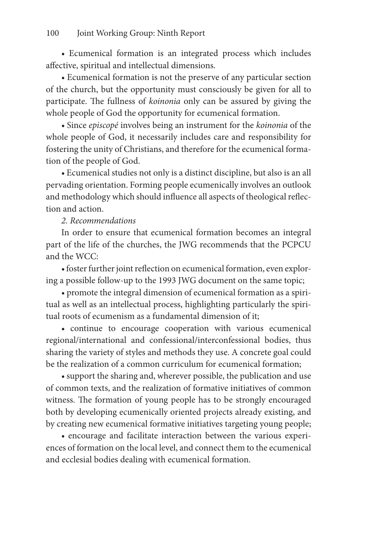• Ecumenical formation is an integrated process which includes affective, spiritual and intellectual dimensions.

• Ecumenical formation is not the preserve of any particular section of the church, but the opportunity must consciously be given for all to participate. The fullness of *koinonia* only can be assured by giving the whole people of God the opportunity for ecumenical formation.

• Since *episcopé* involves being an instrument for the *koinonia* of the whole people of God, it necessarily includes care and responsibility for fostering the unity of Christians, and therefore for the ecumenical formation of the people of God.

• Ecumenical studies not only is a distinct discipline, but also is an all pervading orientation. Forming people ecumenically involves an outlook and methodology which should influence all aspects of theological reflection and action.

*2. Recommendations*

In order to ensure that ecumenical formation becomes an integral part of the life of the churches, the JWG recommends that the PCPCU and the WCC:

• foster further joint reflection on ecumenical formation, even exploring a possible follow-up to the 1993 JWG document on the same topic;

• promote the integral dimension of ecumenical formation as a spiritual as well as an intellectual process, highlighting particularly the spiritual roots of ecumenism as a fundamental dimension of it;

• continue to encourage cooperation with various ecumenical regional/international and confessional/interconfessional bodies, thus sharing the variety of styles and methods they use. A concrete goal could be the realization of a common curriculum for ecumenical formation;

• support the sharing and, wherever possible, the publication and use of common texts, and the realization of formative initiatives of common witness. The formation of young people has to be strongly encouraged both by developing ecumenically oriented projects already existing, and by creating new ecumenical formative initiatives targeting young people;

• encourage and facilitate interaction between the various experiences of formation on the local level, and connect them to the ecumenical and ecclesial bodies dealing with ecumenical formation.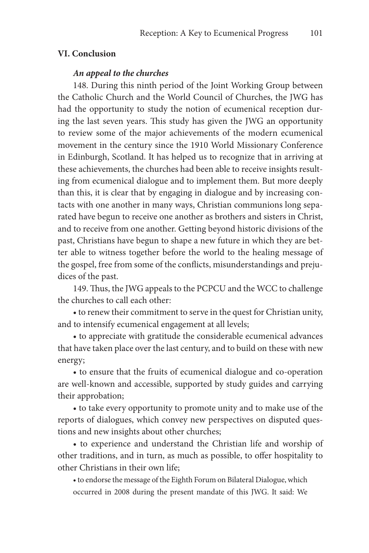### **VI. Conclusion**

### *An appeal to the churches*

148. During this ninth period of the Joint Working Group between the Catholic Church and the World Council of Churches, the JWG has had the opportunity to study the notion of ecumenical reception during the last seven years. This study has given the JWG an opportunity to review some of the major achievements of the modern ecumenical movement in the century since the 1910 World Missionary Conference in Edinburgh, Scotland. It has helped us to recognize that in arriving at these achievements, the churches had been able to receive insights resulting from ecumenical dialogue and to implement them. But more deeply than this, it is clear that by engaging in dialogue and by increasing contacts with one another in many ways, Christian communions long separated have begun to receive one another as brothers and sisters in Christ, and to receive from one another. Getting beyond historic divisions of the past, Christians have begun to shape a new future in which they are better able to witness together before the world to the healing message of the gospel, free from some of the conflicts, misunderstandings and prejudices of the past.

149. Thus, the JWG appeals to the PCPCU and the WCC to challenge the churches to call each other:

• to renew their commitment to serve in the quest for Christian unity, and to intensify ecumenical engagement at all levels;

• to appreciate with gratitude the considerable ecumenical advances that have taken place over the last century, and to build on these with new energy;

• to ensure that the fruits of ecumenical dialogue and co-operation are well-known and accessible, supported by study guides and carrying their approbation;

• to take every opportunity to promote unity and to make use of the reports of dialogues, which convey new perspectives on disputed questions and new insights about other churches;

• to experience and understand the Christian life and worship of other traditions, and in turn, as much as possible, to offer hospitality to other Christians in their own life;

• to endorse the message of the Eighth Forum on Bilateral Dialogue, which occurred in 2008 during the present mandate of this JWG. It said: We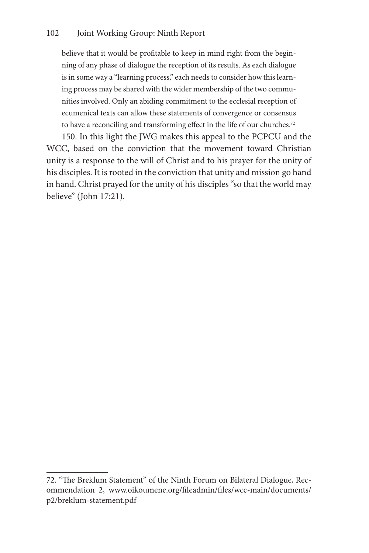believe that it would be profitable to keep in mind right from the beginning of any phase of dialogue the reception of its results. As each dialogue is in some way a "learning process," each needs to consider how this learning process may be shared with the wider membership of the two communities involved. Only an abiding commitment to the ecclesial reception of ecumenical texts can allow these statements of convergence or consensus to have a reconciling and transforming effect in the life of our churches.<sup>72</sup>

150. In this light the JWG makes this appeal to the PCPCU and the WCC, based on the conviction that the movement toward Christian unity is a response to the will of Christ and to his prayer for the unity of his disciples. It is rooted in the conviction that unity and mission go hand in hand. Christ prayed for the unity of his disciples "so that the world may believe" (John 17:21).

<sup>72. &</sup>quot;The Breklum Statement" of the Ninth Forum on Bilateral Dialogue, Recommendation 2, www.oikoumene.org/fileadmin/files/wcc-main/documents/ p2/breklum-statement.pdf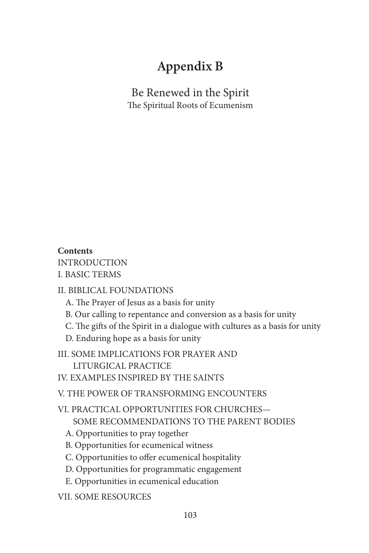# **Appendix B**

Be Renewed in the Spirit The Spiritual Roots of Ecumenism

# **Contents**

INTRODUCTION I. BASIC TERMS

### II. BIBLICAL FOUNDATIONS

- A. The Prayer of Jesus as a basis for unity
- B. Our calling to repentance and conversion as a basis for unity
- C. The gifts of the Spirit in a dialogue with cultures as a basis for unity
- D. Enduring hope as a basis for unity
- III. SOME IMPLICATIONS FOR PRAYER AND LITURGICAL PRACTICE
- IV. EXAMPLES INSPIRED BY THE SAINTS

V. THE POWER OF TRANSFORMING ENCOUNTERS

VI. PRACTICAL OPPORTUNITIES FOR CHURCHES— SOME RECOMMENDATIONS TO THE PARENT BODIES

- A. Opportunities to pray together
- B. Opportunities for ecumenical witness
- C. Opportunities to offer ecumenical hospitality
- D. Opportunities for programmatic engagement
- E. Opportunities in ecumenical education
- VII. SOME RESOURCES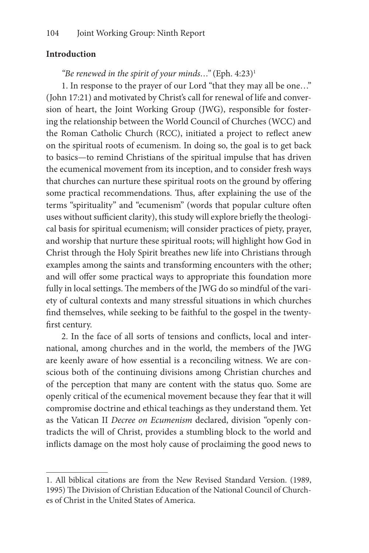### **Introduction**

# *"Be renewed in the spirit of your minds..."* (Eph. 4:23)<sup>1</sup>

1. In response to the prayer of our Lord "that they may all be one…" (John 17:21) and motivated by Christ's call for renewal of life and conversion of heart, the Joint Working Group (JWG), responsible for fostering the relationship between the World Council of Churches (WCC) and the Roman Catholic Church (RCC), initiated a project to reflect anew on the spiritual roots of ecumenism. In doing so, the goal is to get back to basics—to remind Christians of the spiritual impulse that has driven the ecumenical movement from its inception, and to consider fresh ways that churches can nurture these spiritual roots on the ground by offering some practical recommendations. Thus, after explaining the use of the terms "spirituality" and "ecumenism" (words that popular culture often uses without sufficient clarity), this study will explore briefly the theological basis for spiritual ecumenism; will consider practices of piety, prayer, and worship that nurture these spiritual roots; will highlight how God in Christ through the Holy Spirit breathes new life into Christians through examples among the saints and transforming encounters with the other; and will offer some practical ways to appropriate this foundation more fully in local settings. The members of the JWG do so mindful of the variety of cultural contexts and many stressful situations in which churches find themselves, while seeking to be faithful to the gospel in the twentyfirst century.

2. In the face of all sorts of tensions and conflicts, local and international, among churches and in the world, the members of the JWG are keenly aware of how essential is a reconciling witness. We are conscious both of the continuing divisions among Christian churches and of the perception that many are content with the status quo. Some are openly critical of the ecumenical movement because they fear that it will compromise doctrine and ethical teachings as they understand them. Yet as the Vatican II *Decree on Ecumenism* declared, division "openly contradicts the will of Christ, provides a stumbling block to the world and inflicts damage on the most holy cause of proclaiming the good news to

<sup>1.</sup> All biblical citations are from the New Revised Standard Version. (1989, 1995) The Division of Christian Education of the National Council of Churches of Christ in the United States of America.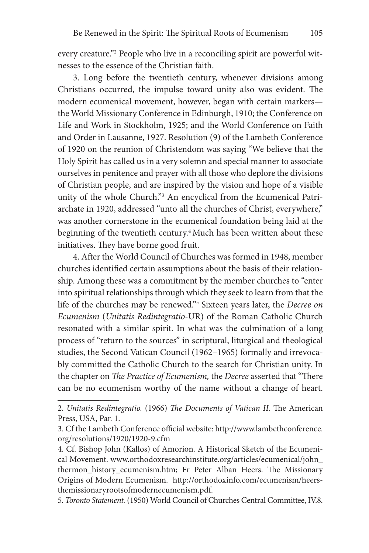every creature."2 People who live in a reconciling spirit are powerful witnesses to the essence of the Christian faith.

3. Long before the twentieth century, whenever divisions among Christians occurred, the impulse toward unity also was evident. The modern ecumenical movement, however, began with certain markers the World Missionary Conference in Edinburgh, 1910; the Conference on Life and Work in Stockholm, 1925; and the World Conference on Faith and Order in Lausanne, 1927. Resolution (9) of the Lambeth Conference of 1920 on the reunion of Christendom was saying "We believe that the Holy Spirit has called us in a very solemn and special manner to associate ourselves in penitence and prayer with all those who deplore the divisions of Christian people, and are inspired by the vision and hope of a visible unity of the whole Church."<sup>3</sup> An encyclical from the Ecumenical Patriarchate in 1920, addressed "unto all the churches of Christ, everywhere," was another cornerstone in the ecumenical foundation being laid at the beginning of the twentieth century.<sup>4</sup> Much has been written about these initiatives. They have borne good fruit.

4. After the World Council of Churches was formed in 1948, member churches identified certain assumptions about the basis of their relationship. Among these was a commitment by the member churches to "enter into spiritual relationships through which they seek to learn from that the life of the churches may be renewed."5 Sixteen years later, the *Decree on Ecumenism* (*Unitatis Redintegratio-*UR) of the Roman Catholic Church resonated with a similar spirit. In what was the culmination of a long process of "return to the sources" in scriptural, liturgical and theological studies, the Second Vatican Council (1962–1965) formally and irrevocably committed the Catholic Church to the search for Christian unity. In the chapter on *The Practice of Ecumenism,* the *Decree* asserted that "There can be no ecumenism worthy of the name without a change of heart.

<sup>2.</sup> *Unitatis Redintegratio.* (1966) *The Documents of Vatican II.* The American Press, USA, Par. 1.

<sup>3.</sup> Cf the Lambeth Conference official website: http://www.lambethconference. org/resolutions/1920/1920-9.cfm

<sup>4.</sup> Cf. Bishop John (Kallos) of Amorion. A Historical Sketch of the Ecumenical Movement. www.orthodoxresearchinstitute.org/articles/ecumenical/john\_ thermon\_history\_ecumenism.htm; Fr Peter Alban Heers. The Missionary Origins of Modern Ecumenism. http://orthodoxinfo.com/ecumenism/heersthemissionaryrootsofmodernecumenism.pdf.

<sup>5.</sup> *Toronto Statement.* (1950) World Council of Churches Central Committee, IV.8.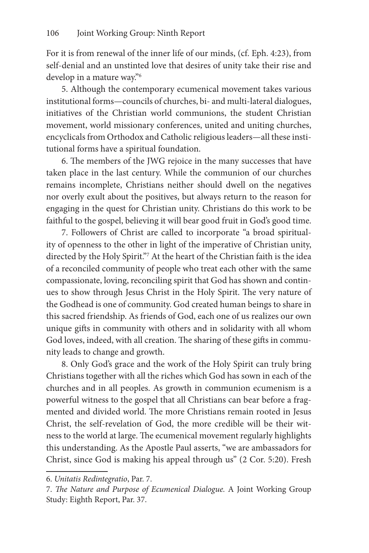For it is from renewal of the inner life of our minds, (cf. Eph. 4:23), from self-denial and an unstinted love that desires of unity take their rise and develop in a mature way."6

5. Although the contemporary ecumenical movement takes various institutional forms—councils of churches, bi- and multi-lateral dialogues, initiatives of the Christian world communions, the student Christian movement, world missionary conferences, united and uniting churches, encyclicals from Orthodox and Catholic religious leaders—all these institutional forms have a spiritual foundation.

6. The members of the JWG rejoice in the many successes that have taken place in the last century. While the communion of our churches remains incomplete, Christians neither should dwell on the negatives nor overly exult about the positives, but always return to the reason for engaging in the quest for Christian unity. Christians do this work to be faithful to the gospel, believing it will bear good fruit in God's good time.

7. Followers of Christ are called to incorporate "a broad spirituality of openness to the other in light of the imperative of Christian unity, directed by the Holy Spirit."7 At the heart of the Christian faith is the idea of a reconciled community of people who treat each other with the same compassionate, loving, reconciling spirit that God has shown and continues to show through Jesus Christ in the Holy Spirit. The very nature of the Godhead is one of community. God created human beings to share in this sacred friendship. As friends of God, each one of us realizes our own unique gifts in community with others and in solidarity with all whom God loves, indeed, with all creation. The sharing of these gifts in community leads to change and growth.

8. Only God's grace and the work of the Holy Spirit can truly bring Christians together with all the riches which God has sown in each of the churches and in all peoples. As growth in communion ecumenism is a powerful witness to the gospel that all Christians can bear before a fragmented and divided world. The more Christians remain rooted in Jesus Christ, the self-revelation of God, the more credible will be their witness to the world at large. The ecumenical movement regularly highlights this understanding. As the Apostle Paul asserts, "we are ambassadors for Christ, since God is making his appeal through us" (2 Cor. 5:20). Fresh

<sup>6.</sup> *Unitatis Redintegratio*, Par. 7.

<sup>7.</sup> *The Nature and Purpose of Ecumenical Dialogue.* A Joint Working Group Study: Eighth Report, Par. 37.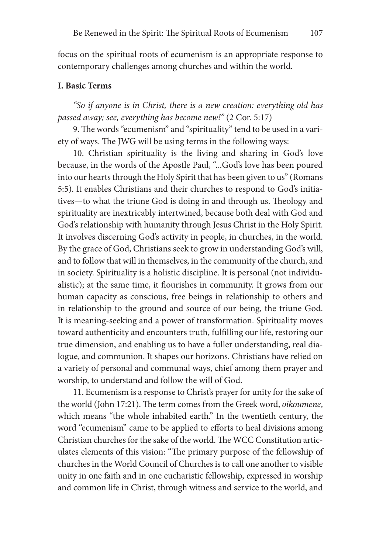focus on the spiritual roots of ecumenism is an appropriate response to contemporary challenges among churches and within the world.

### **I. Basic Terms**

*"So if anyone is in Christ, there is a new creation: everything old has passed away; see, everything has become new!"* (2 Cor. 5:17)

9. The words "ecumenism" and "spirituality" tend to be used in a variety of ways. The JWG will be using terms in the following ways:

10. Christian spirituality is the living and sharing in God's love because, in the words of the Apostle Paul, "...God's love has been poured into our hearts through the Holy Spirit that has been given to us" (Romans 5:5). It enables Christians and their churches to respond to God's initiatives—to what the triune God is doing in and through us. Theology and spirituality are inextricably intertwined, because both deal with God and God's relationship with humanity through Jesus Christ in the Holy Spirit. It involves discerning God's activity in people, in churches, in the world. By the grace of God, Christians seek to grow in understanding God's will, and to follow that will in themselves, in the community of the church, and in society. Spirituality is a holistic discipline. It is personal (not individualistic); at the same time, it flourishes in community. It grows from our human capacity as conscious, free beings in relationship to others and in relationship to the ground and source of our being, the triune God. It is meaning-seeking and a power of transformation. Spirituality moves toward authenticity and encounters truth, fulfilling our life, restoring our true dimension, and enabling us to have a fuller understanding, real dialogue, and communion. It shapes our horizons. Christians have relied on a variety of personal and communal ways, chief among them prayer and worship, to understand and follow the will of God.

11. Ecumenism is a response to Christ's prayer for unity for the sake of the world (John 17:21). The term comes from the Greek word, *oikoumene*, which means "the whole inhabited earth." In the twentieth century, the word "ecumenism" came to be applied to efforts to heal divisions among Christian churches for the sake of the world. The WCC Constitution articulates elements of this vision: "The primary purpose of the fellowship of churches in the World Council of Churches is to call one another to visible unity in one faith and in one eucharistic fellowship, expressed in worship and common life in Christ, through witness and service to the world, and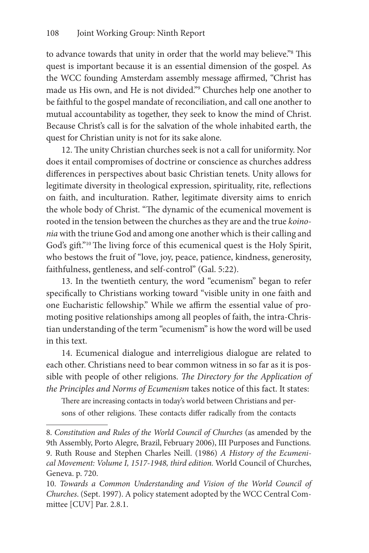to advance towards that unity in order that the world may believe."<sup>8</sup> This quest is important because it is an essential dimension of the gospel. As the WCC founding Amsterdam assembly message affirmed, "Christ has made us His own, and He is not divided."9 Churches help one another to be faithful to the gospel mandate of reconciliation, and call one another to mutual accountability as together, they seek to know the mind of Christ. Because Christ's call is for the salvation of the whole inhabited earth, the quest for Christian unity is not for its sake alone.

12. The unity Christian churches seek is not a call for uniformity. Nor does it entail compromises of doctrine or conscience as churches address differences in perspectives about basic Christian tenets. Unity allows for legitimate diversity in theological expression, spirituality, rite, reflections on faith, and inculturation. Rather, legitimate diversity aims to enrich the whole body of Christ. "The dynamic of the ecumenical movement is rooted in the tension between the churches as they are and the true *koinonia* with the triune God and among one another which is their calling and God's gift."10 The living force of this ecumenical quest is the Holy Spirit, who bestows the fruit of "love, joy, peace, patience, kindness, generosity, faithfulness, gentleness, and self-control" (Gal. 5:22).

13. In the twentieth century, the word "ecumenism" began to refer specifically to Christians working toward "visible unity in one faith and one Eucharistic fellowship." While we affirm the essential value of promoting positive relationships among all peoples of faith, the intra-Christian understanding of the term "ecumenism" is how the word will be used in this text.

14. Ecumenical dialogue and interreligious dialogue are related to each other. Christians need to bear common witness in so far as it is possible with people of other religions. *The Directory for the Application of the Principles and Norms of Ecumenism* takes notice of this fact. It states:

There are increasing contacts in today's world between Christians and persons of other religions. These contacts differ radically from the contacts

<sup>8.</sup> *Constitution and Rules of the World Council of Churches* (as amended by the 9th Assembly, Porto Alegre, Brazil, February 2006), III Purposes and Functions. 9. Ruth Rouse and Stephen Charles Neill. (1986) *A History of the Ecumenical Movement: Volume I, 1517-1948, third edition.* World Council of Churches, Geneva. p. 720.

<sup>10.</sup> *Towards a Common Understanding and Vision of the World Council of Churches*. (Sept. 1997). A policy statement adopted by the WCC Central Committee [CUV] Par. 2.8.1.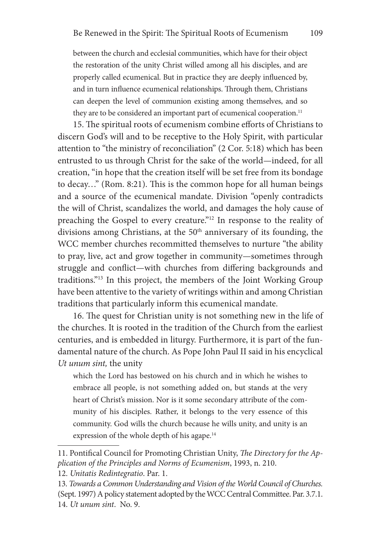between the church and ecclesial communities, which have for their object the restoration of the unity Christ willed among all his disciples, and are properly called ecumenical. But in practice they are deeply influenced by, and in turn influence ecumenical relationships. Through them, Christians can deepen the level of communion existing among themselves, and so they are to be considered an important part of ecumenical cooperation.<sup>11</sup>

15. The spiritual roots of ecumenism combine efforts of Christians to discern God's will and to be receptive to the Holy Spirit, with particular attention to "the ministry of reconciliation" (2 Cor. 5:18) which has been entrusted to us through Christ for the sake of the world—indeed, for all creation, "in hope that the creation itself will be set free from its bondage to decay…" (Rom. 8:21). This is the common hope for all human beings and a source of the ecumenical mandate. Division "openly contradicts the will of Christ, scandalizes the world, and damages the holy cause of preaching the Gospel to every creature."12 In response to the reality of divisions among Christians, at the 50<sup>th</sup> anniversary of its founding, the WCC member churches recommitted themselves to nurture "the ability to pray, live, act and grow together in community—sometimes through struggle and conflict—with churches from differing backgrounds and traditions."13 In this project, the members of the Joint Working Group have been attentive to the variety of writings within and among Christian traditions that particularly inform this ecumenical mandate.

16. The quest for Christian unity is not something new in the life of the churches. It is rooted in the tradition of the Church from the earliest centuries, and is embedded in liturgy. Furthermore, it is part of the fundamental nature of the church. As Pope John Paul II said in his encyclical *Ut unum sint,* the unity

which the Lord has bestowed on his church and in which he wishes to embrace all people, is not something added on, but stands at the very heart of Christ's mission. Nor is it some secondary attribute of the community of his disciples. Rather, it belongs to the very essence of this community. God wills the church because he wills unity, and unity is an expression of the whole depth of his agape.<sup>14</sup>

<sup>11.</sup> Pontifical Council for Promoting Christian Unity, *The Directory for the Application of the Principles and Norms of Ecumenism*, 1993, n. 210.

<sup>12.</sup> *Unitatis Redintegratio*. Par. 1.

<sup>13.</sup> *Towards a Common Understanding and Vision of the World Council of Churches.*  (Sept. 1997) A policy statement adopted by the WCC Central Committee. Par. 3.7.1. 14. *Ut unum sint*. No. 9.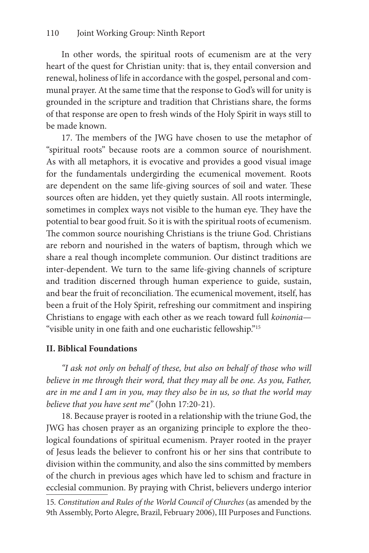In other words, the spiritual roots of ecumenism are at the very heart of the quest for Christian unity: that is, they entail conversion and renewal, holiness of life in accordance with the gospel, personal and communal prayer. At the same time that the response to God's will for unity is grounded in the scripture and tradition that Christians share, the forms of that response are open to fresh winds of the Holy Spirit in ways still to be made known.

17. The members of the JWG have chosen to use the metaphor of "spiritual roots" because roots are a common source of nourishment. As with all metaphors, it is evocative and provides a good visual image for the fundamentals undergirding the ecumenical movement. Roots are dependent on the same life-giving sources of soil and water. These sources often are hidden, yet they quietly sustain. All roots intermingle, sometimes in complex ways not visible to the human eye. They have the potential to bear good fruit. So it is with the spiritual roots of ecumenism. The common source nourishing Christians is the triune God. Christians are reborn and nourished in the waters of baptism, through which we share a real though incomplete communion. Our distinct traditions are inter-dependent. We turn to the same life-giving channels of scripture and tradition discerned through human experience to guide, sustain, and bear the fruit of reconciliation. The ecumenical movement, itself, has been a fruit of the Holy Spirit, refreshing our commitment and inspiring Christians to engage with each other as we reach toward full *koinonia*— "visible unity in one faith and one eucharistic fellowship."15

### **II. Biblical Foundations**

*"I ask not only on behalf of these, but also on behalf of those who will*  believe in me through their word, that they may all be one. As you, Father, *are in me and I am in you, may they also be in us, so that the world may believe that you have sent me"* (John 17:20-21).

18. Because prayer is rooted in a relationship with the triune God, the JWG has chosen prayer as an organizing principle to explore the theological foundations of spiritual ecumenism. Prayer rooted in the prayer of Jesus leads the believer to confront his or her sins that contribute to division within the community, and also the sins committed by members of the church in previous ages which have led to schism and fracture in ecclesial communion. By praying with Christ, believers undergo interior

15*. Constitution and Rules of the World Council of Churches* (as amended by the 9th Assembly, Porto Alegre, Brazil, February 2006), III Purposes and Functions.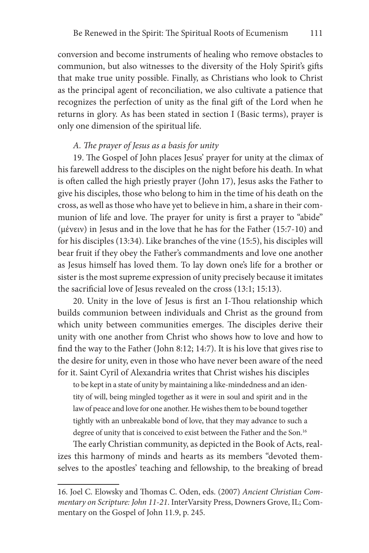conversion and become instruments of healing who remove obstacles to communion, but also witnesses to the diversity of the Holy Spirit's gifts that make true unity possible. Finally, as Christians who look to Christ as the principal agent of reconciliation, we also cultivate a patience that recognizes the perfection of unity as the final gift of the Lord when he returns in glory. As has been stated in section I (Basic terms), prayer is only one dimension of the spiritual life.

### *A. The prayer of Jesus as a basis for unity*

19. The Gospel of John places Jesus' prayer for unity at the climax of his farewell address to the disciples on the night before his death. In what is often called the high priestly prayer (John 17), Jesus asks the Father to give his disciples, those who belong to him in the time of his death on the cross, as well as those who have yet to believe in him, a share in their communion of life and love. The prayer for unity is first a prayer to "abide" (μένειν) in Jesus and in the love that he has for the Father (15:7-10) and for his disciples (13:34). Like branches of the vine (15:5), his disciples will bear fruit if they obey the Father's commandments and love one another as Jesus himself has loved them. To lay down one's life for a brother or sister is the most supreme expression of unity precisely because it imitates the sacrificial love of Jesus revealed on the cross (13:1; 15:13).

20. Unity in the love of Jesus is first an I-Thou relationship which builds communion between individuals and Christ as the ground from which unity between communities emerges. The disciples derive their unity with one another from Christ who shows how to love and how to find the way to the Father (John 8:12; 14:7). It is his love that gives rise to the desire for unity, even in those who have never been aware of the need for it. Saint Cyril of Alexandria writes that Christ wishes his disciples

to be kept in a state of unity by maintaining a like-mindedness and an identity of will, being mingled together as it were in soul and spirit and in the law of peace and love for one another. He wishes them to be bound together tightly with an unbreakable bond of love, that they may advance to such a degree of unity that is conceived to exist between the Father and the Son.<sup>16</sup>

The early Christian community, as depicted in the Book of Acts, realizes this harmony of minds and hearts as its members "devoted themselves to the apostles' teaching and fellowship, to the breaking of bread

<sup>16.</sup> Joel C. Elowsky and Thomas C. Oden, eds. (2007) *Ancient Christian Commentary on Scripture: John 11-21*. InterVarsity Press, Downers Grove, IL; Commentary on the Gospel of John 11.9, p. 245.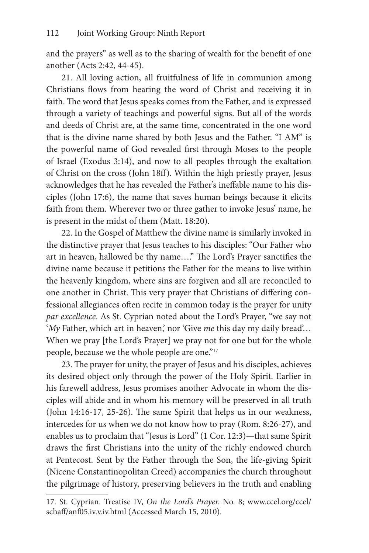and the prayers" as well as to the sharing of wealth for the benefit of one another (Acts 2:42, 44-45).

21. All loving action, all fruitfulness of life in communion among Christians flows from hearing the word of Christ and receiving it in faith. The word that Jesus speaks comes from the Father, and is expressed through a variety of teachings and powerful signs. But all of the words and deeds of Christ are, at the same time, concentrated in the one word that is the divine name shared by both Jesus and the Father. "I AM" is the powerful name of God revealed first through Moses to the people of Israel (Exodus 3:14), and now to all peoples through the exaltation of Christ on the cross (John 18ff). Within the high priestly prayer, Jesus acknowledges that he has revealed the Father's ineffable name to his disciples (John 17:6), the name that saves human beings because it elicits faith from them. Wherever two or three gather to invoke Jesus' name, he is present in the midst of them (Matt. 18:20).

22. In the Gospel of Matthew the divine name is similarly invoked in the distinctive prayer that Jesus teaches to his disciples: "Our Father who art in heaven, hallowed be thy name…." The Lord's Prayer sanctifies the divine name because it petitions the Father for the means to live within the heavenly kingdom, where sins are forgiven and all are reconciled to one another in Christ. This very prayer that Christians of differing confessional allegiances often recite in common today is the prayer for unity *par excellence*. As St. Cyprian noted about the Lord's Prayer, "we say not '*My* Father, which art in heaven,' nor 'Give *me* this day my daily bread'... When we pray [the Lord's Prayer] we pray not for one but for the whole people, because we the whole people are one."<sup>17</sup>

23. The prayer for unity, the prayer of Jesus and his disciples, achieves its desired object only through the power of the Holy Spirit. Earlier in his farewell address, Jesus promises another Advocate in whom the disciples will abide and in whom his memory will be preserved in all truth (John 14:16-17, 25-26). The same Spirit that helps us in our weakness, intercedes for us when we do not know how to pray (Rom. 8:26-27), and enables us to proclaim that "Jesus is Lord" (1 Cor. 12:3)—that same Spirit draws the first Christians into the unity of the richly endowed church at Pentecost. Sent by the Father through the Son, the life-giving Spirit (Nicene Constantinopolitan Creed) accompanies the church throughout the pilgrimage of history, preserving believers in the truth and enabling

<sup>17.</sup> St. Cyprian. Treatise IV, *On the Lord's Prayer.* No. 8; www.ccel.org/ccel/ schaff/anf05.iv.v.iv.html (Accessed March 15, 2010).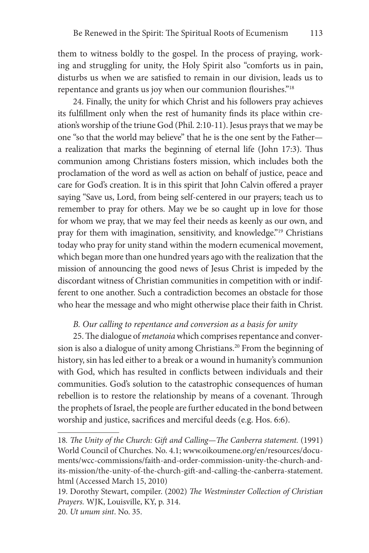them to witness boldly to the gospel. In the process of praying, working and struggling for unity, the Holy Spirit also "comforts us in pain, disturbs us when we are satisfied to remain in our division, leads us to repentance and grants us joy when our communion flourishes."18

24. Finally, the unity for which Christ and his followers pray achieves its fulfillment only when the rest of humanity finds its place within creation's worship of the triune God (Phil. 2:10-11). Jesus prays that we may be one "so that the world may believe" that he is the one sent by the Father a realization that marks the beginning of eternal life (John 17:3). Thus communion among Christians fosters mission, which includes both the proclamation of the word as well as action on behalf of justice, peace and care for God's creation. It is in this spirit that John Calvin offered a prayer saying "Save us, Lord, from being self-centered in our prayers; teach us to remember to pray for others. May we be so caught up in love for those for whom we pray, that we may feel their needs as keenly as our own, and pray for them with imagination, sensitivity, and knowledge."19 Christians today who pray for unity stand within the modern ecumenical movement, which began more than one hundred years ago with the realization that the mission of announcing the good news of Jesus Christ is impeded by the discordant witness of Christian communities in competition with or indifferent to one another. Such a contradiction becomes an obstacle for those who hear the message and who might otherwise place their faith in Christ.

### *B. Our calling to repentance and conversion as a basis for unity*

25. The dialogue of *metanoia* which comprises repentance and conversion is also a dialogue of unity among Christians.<sup>20</sup> From the beginning of history, sin has led either to a break or a wound in humanity's communion with God, which has resulted in conflicts between individuals and their communities. God's solution to the catastrophic consequences of human rebellion is to restore the relationship by means of a covenant. Through the prophets of Israel, the people are further educated in the bond between worship and justice, sacrifices and merciful deeds (e.g. Hos. 6:6).

<sup>18</sup>*. The Unity of the Church: Gift and Calling—The Canberra statement.* (1991) World Council of Churches. No. 4.1; www.oikoumene.org/en/resources/documents/wcc-commissions/faith-and-order-commission-unity-the-church-andits-mission/the-unity-of-the-church-gift-and-calling-the-canberra-statement. html (Accessed March 15, 2010)

<sup>19.</sup> Dorothy Stewart, compiler. (2002) *The Westminster Collection of Christian Prayers.* WJK, Louisville, KY, p. 314.

<sup>20.</sup> *Ut unum sint*. No. 35.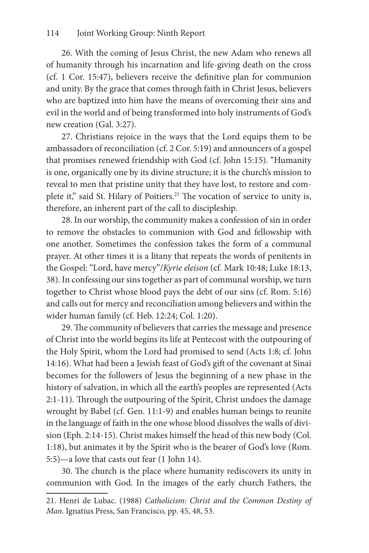26. With the coming of Jesus Christ, the new Adam who renews all of humanity through his incarnation and life-giving death on the cross (cf. 1 Cor. 15:47), believers receive the definitive plan for communion and unity. By the grace that comes through faith in Christ Jesus, believers who are baptized into him have the means of overcoming their sins and evil in the world and of being transformed into holy instruments of God's new creation (Gal. 3:27).

27. Christians rejoice in the ways that the Lord equips them to be ambassadors of reconciliation (cf. 2 Cor. 5:19) and announcers of a gospel that promises renewed friendship with God (cf. John 15:15). "Humanity is one, organically one by its divine structure; it is the church's mission to reveal to men that pristine unity that they have lost, to restore and complete it," said St. Hilary of Poitiers.<sup>21</sup> The vocation of service to unity is, therefore, an inherent part of the call to discipleship.

28. In our worship, the community makes a confession of sin in order to remove the obstacles to communion with God and fellowship with one another. Sometimes the confession takes the form of a communal prayer. At other times it is a litany that repeats the words of penitents in the Gospel: "Lord, have mercy"/*Kyrie eleison* (cf. Mark 10:48; Luke 18:13, 38). In confessing our sins together as part of communal worship, we turn together to Christ whose blood pays the debt of our sins (cf. Rom. 5:16) and calls out for mercy and reconciliation among believers and within the wider human family (cf. Heb. 12:24; Col. 1:20).

29. The community of believers that carries the message and presence of Christ into the world begins its life at Pentecost with the outpouring of the Holy Spirit, whom the Lord had promised to send (Acts 1:8; cf. John 14:16). What had been a Jewish feast of God's gift of the covenant at Sinai becomes for the followers of Jesus the beginning of a new phase in the history of salvation, in which all the earth's peoples are represented (Acts 2:1-11). Through the outpouring of the Spirit, Christ undoes the damage wrought by Babel (cf. Gen. 11:1-9) and enables human beings to reunite in the language of faith in the one whose blood dissolves the walls of division (Eph. 2:14-15). Christ makes himself the head of this new body (Col. 1:18), but animates it by the Spirit who is the bearer of God's love (Rom. 5:5)—a love that casts out fear (1 John 14).

30. The church is the place where humanity rediscovers its unity in communion with God. In the images of the early church Fathers, the

<sup>21.</sup> Henri de Lubac. (1988) *Catholicism: Christ and the Common Destiny of Man*. Ignatius Press, San Francisco, pp. 45, 48, 53.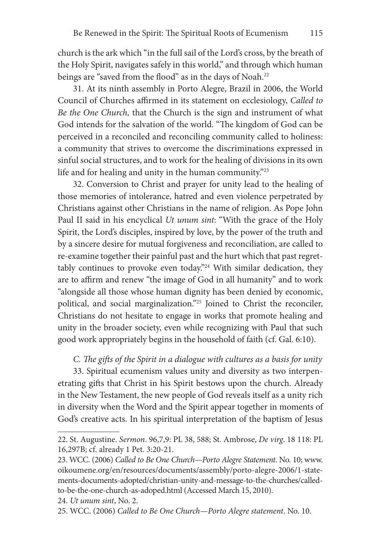church is the ark which "in the full sail of the Lord's cross, by the breath of the Holy Spirit, navigates safely in this world," and through which human beings are "saved from the flood" as in the days of Noah.<sup>22</sup>

31. At its ninth assembly in Porto Alegre, Brazil in 2006, the World Council of Churches affirmed in its statement on ecclesiology, *Called to Be the One Church,* that the Church is the sign and instrument of what God intends for the salvation of the world. "The kingdom of God can be perceived in a reconciled and reconciling community called to holiness: a community that strives to overcome the discriminations expressed in sinful social structures, and to work for the healing of divisions in its own life and for healing and unity in the human community."<sup>23</sup>

32. Conversion to Christ and prayer for unity lead to the healing of those memories of intolerance, hatred and even violence perpetrated by Christians against other Christians in the name of religion. As Pope John Paul II said in his encyclical *Ut unum sint*: "With the grace of the Holy Spirit, the Lord's disciples, inspired by love, by the power of the truth and by a sincere desire for mutual forgiveness and reconciliation, are called to re-examine together their painful past and the hurt which that past regrettably continues to provoke even today."24 With similar dedication, they are to affirm and renew "the image of God in all humanity" and to work "alongside all those whose human dignity has been denied by economic, political, and social marginalization."25 Joined to Christ the reconciler, Christians do not hesitate to engage in works that promote healing and unity in the broader society, even while recognizing with Paul that such good work appropriately begins in the household of faith (cf. Gal. 6:10).

*C. The gifts of the Spirit in a dialogue with cultures as a basis for unity*

33. Spiritual ecumenism values unity and diversity as two interpenetrating gifts that Christ in his Spirit bestows upon the church. Already in the New Testament, the new people of God reveals itself as a unity rich in diversity when the Word and the Spirit appear together in moments of God's creative acts. In his spiritual interpretation of the baptism of Jesus

<sup>22.</sup> St. Augustine. *Sermon*. 96,7,9: PL 38, 588; St. Ambrose, *De virg*. 18 118: PL 16,297B; cf. already 1 Pet. 3:20-21.

<sup>23.</sup> WCC. (2006) *Called to Be One Church—Porto Alegre Statement*. No. 10; www. oikoumene.org/en/resources/documents/assembly/porto-alegre-2006/1-statements-documents-adopted/christian-unity-and-message-to-the-churches/calledto-be-the-one-church-as-adoped.html (Accessed March 15, 2010).

<sup>24.</sup> *Ut unum sint*, No. 2.

<sup>25.</sup> WCC. (2006) *Called to Be One Church*—*Porto Alegre statement*. No. 10.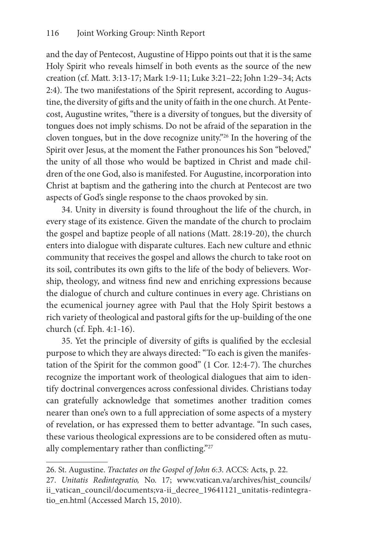and the day of Pentecost, Augustine of Hippo points out that it is the same Holy Spirit who reveals himself in both events as the source of the new creation (cf. Matt. 3:13-17; Mark 1:9-11; Luke 3:21–22; John 1:29–34; Acts 2:4). The two manifestations of the Spirit represent, according to Augustine, the diversity of gifts and the unity of faith in the one church. At Pentecost, Augustine writes, "there is a diversity of tongues, but the diversity of tongues does not imply schisms. Do not be afraid of the separation in the cloven tongues, but in the dove recognize unity."26 In the hovering of the Spirit over Jesus, at the moment the Father pronounces his Son "beloved," the unity of all those who would be baptized in Christ and made children of the one God, also is manifested. For Augustine, incorporation into Christ at baptism and the gathering into the church at Pentecost are two aspects of God's single response to the chaos provoked by sin.

34. Unity in diversity is found throughout the life of the church, in every stage of its existence. Given the mandate of the church to proclaim the gospel and baptize people of all nations (Matt. 28:19-20), the church enters into dialogue with disparate cultures. Each new culture and ethnic community that receives the gospel and allows the church to take root on its soil, contributes its own gifts to the life of the body of believers. Worship, theology, and witness find new and enriching expressions because the dialogue of church and culture continues in every age. Christians on the ecumenical journey agree with Paul that the Holy Spirit bestows a rich variety of theological and pastoral gifts for the up-building of the one church (cf. Eph. 4:1-16).

35. Yet the principle of diversity of gifts is qualified by the ecclesial purpose to which they are always directed: "To each is given the manifestation of the Spirit for the common good" (1 Cor. 12:4-7). The churches recognize the important work of theological dialogues that aim to identify doctrinal convergences across confessional divides. Christians today can gratefully acknowledge that sometimes another tradition comes nearer than one's own to a full appreciation of some aspects of a mystery of revelation, or has expressed them to better advantage. "In such cases, these various theological expressions are to be considered often as mutually complementary rather than conflicting."27

<sup>26.</sup> St. Augustine. *Tractates on the Gospel of John 6:3*. ACCS: Acts, p. 22.

<sup>27.</sup> *Unitatis Redintegratio,* No. 17; www.vatican.va/archives/hist\_councils/ ii\_vatican\_council/documents;va-ii\_decree\_19641121\_unitatis-redintegratio\_en.html (Accessed March 15, 2010).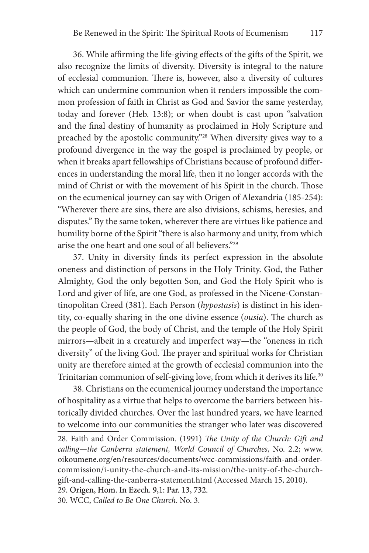36. While affirming the life-giving effects of the gifts of the Spirit, we also recognize the limits of diversity. Diversity is integral to the nature of ecclesial communion. There is, however, also a diversity of cultures which can undermine communion when it renders impossible the common profession of faith in Christ as God and Savior the same yesterday, today and forever (Heb. 13:8); or when doubt is cast upon "salvation and the final destiny of humanity as proclaimed in Holy Scripture and preached by the apostolic community."28 When diversity gives way to a profound divergence in the way the gospel is proclaimed by people, or when it breaks apart fellowships of Christians because of profound differences in understanding the moral life, then it no longer accords with the mind of Christ or with the movement of his Spirit in the church. Those on the ecumenical journey can say with Origen of Alexandria (185-254): "Wherever there are sins, there are also divisions, schisms, heresies, and disputes." By the same token, wherever there are virtues like patience and humility borne of the Spirit "there is also harmony and unity, from which arise the one heart and one soul of all believers."29

37. Unity in diversity finds its perfect expression in the absolute oneness and distinction of persons in the Holy Trinity. God, the Father Almighty, God the only begotten Son, and God the Holy Spirit who is Lord and giver of life, are one God, as professed in the Nicene-Constantinopolitan Creed (381). Each Person (*hypostasis*) is distinct in his identity, co-equally sharing in the one divine essence (*ousia*). The church as the people of God, the body of Christ, and the temple of the Holy Spirit mirrors—albeit in a creaturely and imperfect way—the "oneness in rich diversity" of the living God. The prayer and spiritual works for Christian unity are therefore aimed at the growth of ecclesial communion into the Trinitarian communion of self-giving love, from which it derives its life.<sup>30</sup>

38. Christians on the ecumenical journey understand the importance of hospitality as a virtue that helps to overcome the barriers between historically divided churches. Over the last hundred years, we have learned to welcome into our communities the stranger who later was discovered

29. Origen, Hom. In Ezech. 9,1: Par. 13, 732. .

30. WCC, *Called to Be One Church*. No. 3.

<sup>28.</sup> Faith and Order Commission. (1991) *The Unity of the Church: Gift and calling—the Canberra statement, World Council of Churches*, No. 2.2; www. oikoumene.org/en/resources/documents/wcc-commissions/faith-and-ordercommission/i-unity-the-church-and-its-mission/the-unity-of-the-churchgift-and-calling-the-canberra-statement.html (Accessed March 15, 2010).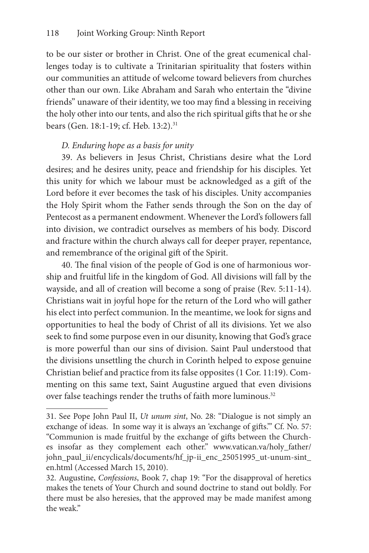to be our sister or brother in Christ. One of the great ecumenical challenges today is to cultivate a Trinitarian spirituality that fosters within our communities an attitude of welcome toward believers from churches other than our own. Like Abraham and Sarah who entertain the "divine friends" unaware of their identity, we too may find a blessing in receiving the holy other into our tents, and also the rich spiritual gifts that he or she bears (Gen. 18:1-19; cf. Heb. 13:2).<sup>31</sup>

# *D. Enduring hope as a basis for unity*

39. As believers in Jesus Christ, Christians desire what the Lord desires; and he desires unity, peace and friendship for his disciples. Yet this unity for which we labour must be acknowledged as a gift of the Lord before it ever becomes the task of his disciples. Unity accompanies the Holy Spirit whom the Father sends through the Son on the day of Pentecost as a permanent endowment. Whenever the Lord's followers fall into division, we contradict ourselves as members of his body. Discord and fracture within the church always call for deeper prayer, repentance, and remembrance of the original gift of the Spirit.

40. The final vision of the people of God is one of harmonious worship and fruitful life in the kingdom of God. All divisions will fall by the wayside, and all of creation will become a song of praise (Rev. 5:11-14). Christians wait in joyful hope for the return of the Lord who will gather his elect into perfect communion. In the meantime, we look for signs and opportunities to heal the body of Christ of all its divisions. Yet we also seek to find some purpose even in our disunity, knowing that God's grace is more powerful than our sins of division. Saint Paul understood that the divisions unsettling the church in Corinth helped to expose genuine Christian belief and practice from its false opposites (1 Cor. 11:19). Commenting on this same text, Saint Augustine argued that even divisions over false teachings render the truths of faith more luminous.<sup>32</sup>

<sup>31.</sup> See Pope John Paul II, *Ut unum sint*, No. 28: "Dialogue is not simply an exchange of ideas. In some way it is always an 'exchange of gifts.'" Cf. No. 57: "Communion is made fruitful by the exchange of gifts between the Churches insofar as they complement each other." www.vatican.va/holy\_father/ john\_paul\_ii/encyclicals/documents/hf\_jp-ii\_enc\_25051995\_ut-unum-sint\_ en.html (Accessed March 15, 2010).

<sup>32.</sup> Augustine, *Confessions*, Book 7, chap 19: "For the disapproval of heretics makes the tenets of Your Church and sound doctrine to stand out boldly. For there must be also heresies, that the approved may be made manifest among the weak."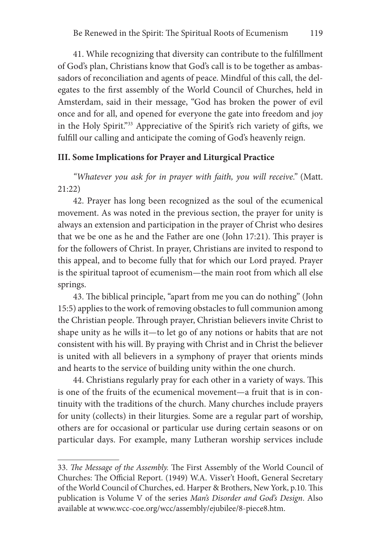41. While recognizing that diversity can contribute to the fulfillment of God's plan, Christians know that God's call is to be together as ambassadors of reconciliation and agents of peace. Mindful of this call, the delegates to the first assembly of the World Council of Churches, held in Amsterdam, said in their message, "God has broken the power of evil once and for all, and opened for everyone the gate into freedom and joy in the Holy Spirit."33 Appreciative of the Spirit's rich variety of gifts, we fulfill our calling and anticipate the coming of God's heavenly reign.

# **III. Some Implications for Prayer and Liturgical Practice**

*"Whatever you ask for in prayer with faith, you will receive."* (Matt. 21:22)

42. Prayer has long been recognized as the soul of the ecumenical movement. As was noted in the previous section, the prayer for unity is always an extension and participation in the prayer of Christ who desires that we be one as he and the Father are one (John 17:21). This prayer is for the followers of Christ. In prayer, Christians are invited to respond to this appeal, and to become fully that for which our Lord prayed. Prayer is the spiritual taproot of ecumenism—the main root from which all else springs.

43. The biblical principle, "apart from me you can do nothing" (John 15:5) applies to the work of removing obstacles to full communion among the Christian people. Through prayer, Christian believers invite Christ to shape unity as he wills it—to let go of any notions or habits that are not consistent with his will. By praying with Christ and in Christ the believer is united with all believers in a symphony of prayer that orients minds and hearts to the service of building unity within the one church.

44. Christians regularly pray for each other in a variety of ways. This is one of the fruits of the ecumenical movement—a fruit that is in continuity with the traditions of the church. Many churches include prayers for unity (collects) in their liturgies. Some are a regular part of worship, others are for occasional or particular use during certain seasons or on particular days. For example, many Lutheran worship services include

<sup>33.</sup> *The Message of the Assembly.* The First Assembly of the World Council of Churches: The Official Report. (1949) W.A. Visser't Hooft, General Secretary of the World Council of Churches, ed. Harper & Brothers, New York, p.10. This publication is Volume V of the series *Man's Disorder and God's Design*. Also available at www.wcc-coe.org/wcc/assembly/ejubilee/8-piece8.htm.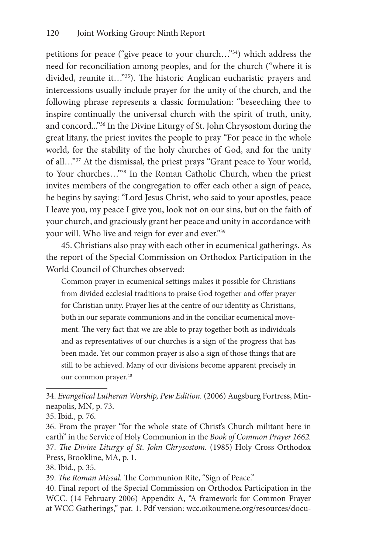petitions for peace ("give peace to your church…"34) which address the need for reconciliation among peoples, and for the church ("where it is divided, reunite it…"35). The historic Anglican eucharistic prayers and intercessions usually include prayer for the unity of the church, and the following phrase represents a classic formulation: "beseeching thee to inspire continually the universal church with the spirit of truth, unity, and concord..."36 In the Divine Liturgy of St. John Chrysostom during the great litany, the priest invites the people to pray "For peace in the whole world, for the stability of the holy churches of God, and for the unity of all…"37 At the dismissal, the priest prays "Grant peace to Your world, to Your churches…"38 In the Roman Catholic Church, when the priest invites members of the congregation to offer each other a sign of peace, he begins by saying: "Lord Jesus Christ, who said to your apostles, peace I leave you, my peace I give you, look not on our sins, but on the faith of your church, and graciously grant her peace and unity in accordance with your will. Who live and reign for ever and ever."39

45. Christians also pray with each other in ecumenical gatherings. As the report of the Special Commission on Orthodox Participation in the World Council of Churches observed:

Common prayer in ecumenical settings makes it possible for Christians from divided ecclesial traditions to praise God together and offer prayer for Christian unity. Prayer lies at the centre of our identity as Christians, both in our separate communions and in the conciliar ecumenical movement. The very fact that we are able to pray together both as individuals and as representatives of our churches is a sign of the progress that has been made. Yet our common prayer is also a sign of those things that are still to be achieved. Many of our divisions become apparent precisely in our common prayer.<sup>40</sup>

<sup>34.</sup> *Evangelical Lutheran Worship, Pew Edition.* (2006) Augsburg Fortress, Minneapolis, MN, p. 73.

<sup>35.</sup> Ibid., p. 76.

<sup>36.</sup> From the prayer "for the whole state of Christ's Church militant here in earth" in the Service of Holy Communion in the *Book of Common Prayer 1662.* 37. *The Divine Liturgy of St. John Chrysostom.* (1985) Holy Cross Orthodox Press, Brookline, MA, p. 1.

<sup>38.</sup> Ibid., p. 35.

<sup>39.</sup> *The Roman Missal.* The Communion Rite, "Sign of Peace."

<sup>40.</sup> Final report of the Special Commission on Orthodox Participation in the WCC. (14 February 2006) Appendix A, "A framework for Common Prayer at WCC Gatherings," par. 1. Pdf version: wcc.oikoumene.org/resources/docu-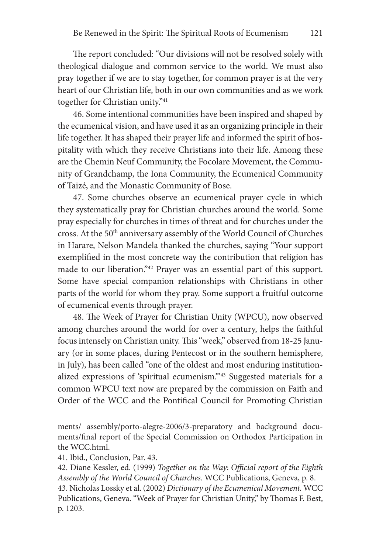The report concluded: "Our divisions will not be resolved solely with theological dialogue and common service to the world. We must also pray together if we are to stay together, for common prayer is at the very heart of our Christian life, both in our own communities and as we work together for Christian unity."41

46. Some intentional communities have been inspired and shaped by the ecumenical vision, and have used it as an organizing principle in their life together. It has shaped their prayer life and informed the spirit of hospitality with which they receive Christians into their life. Among these are the Chemin Neuf Community, the Focolare Movement, the Community of Grandchamp, the Iona Community, the Ecumenical Community of Taizé, and the Monastic Community of Bose.

47. Some churches observe an ecumenical prayer cycle in which they systematically pray for Christian churches around the world. Some pray especially for churches in times of threat and for churches under the cross. At the 50<sup>th</sup> anniversary assembly of the World Council of Churches in Harare, Nelson Mandela thanked the churches, saying "Your support exemplified in the most concrete way the contribution that religion has made to our liberation."42 Prayer was an essential part of this support. Some have special companion relationships with Christians in other parts of the world for whom they pray. Some support a fruitful outcome of ecumenical events through prayer.

48. The Week of Prayer for Christian Unity (WPCU), now observed among churches around the world for over a century, helps the faithful focus intensely on Christian unity. This "week," observed from 18-25 January (or in some places, during Pentecost or in the southern hemisphere, in July), has been called "one of the oldest and most enduring institutionalized expressions of 'spiritual ecumenism.'"43 Suggested materials for a common WPCU text now are prepared by the commission on Faith and Order of the WCC and the Pontifical Council for Promoting Christian

ments/ assembly/porto-alegre-2006/3-preparatory and background documents/final report of the Special Commission on Orthodox Participation in the WCC.html.

<sup>41.</sup> Ibid., Conclusion, Par. 43.

<sup>42.</sup> Diane Kessler, ed. (1999) *Together on the Way*: *Official report of the Eighth Assembly of the World Council of Churches*. WCC Publications, Geneva, p. 8. 43. Nicholas Lossky et al. (2002) *Dictionary of the Ecumenical Movement.* WCC Publications, Geneva. "Week of Prayer for Christian Unity," by Thomas F. Best, p. 1203.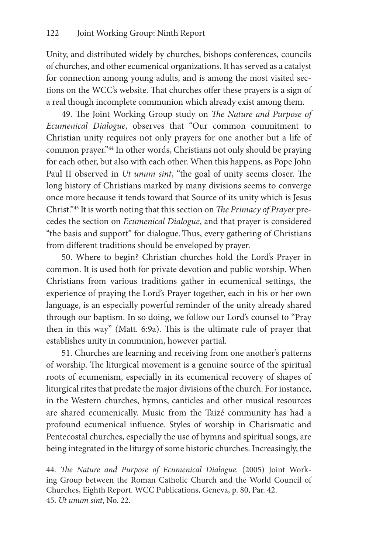Unity, and distributed widely by churches, bishops conferences, councils of churches, and other ecumenical organizations. It has served as a catalyst for connection among young adults, and is among the most visited sections on the WCC's website. That churches offer these prayers is a sign of a real though incomplete communion which already exist among them.

49. The Joint Working Group study on *The Nature and Purpose of Ecumenical Dialogue*, observes that "Our common commitment to Christian unity requires not only prayers for one another but a life of common prayer."44 In other words, Christians not only should be praying for each other, but also with each other. When this happens, as Pope John Paul II observed in *Ut unum sint*, "the goal of unity seems closer. The long history of Christians marked by many divisions seems to converge once more because it tends toward that Source of its unity which is Jesus Christ."45 It is worth noting that this section on *The Primacy of Prayer* precedes the section on *Ecumenical Dialogue*, and that prayer is considered "the basis and support" for dialogue.Thus, every gathering of Christians from different traditions should be enveloped by prayer.

50. Where to begin? Christian churches hold the Lord's Prayer in common. It is used both for private devotion and public worship. When Christians from various traditions gather in ecumenical settings, the experience of praying the Lord's Prayer together, each in his or her own language, is an especially powerful reminder of the unity already shared through our baptism. In so doing, we follow our Lord's counsel to "Pray then in this way" (Matt. 6:9a). This is the ultimate rule of prayer that establishes unity in communion, however partial.

51. Churches are learning and receiving from one another's patterns of worship. The liturgical movement is a genuine source of the spiritual roots of ecumenism, especially in its ecumenical recovery of shapes of liturgical rites that predate the major divisions of the church. For instance, in the Western churches, hymns, canticles and other musical resources are shared ecumenically. Music from the Taizé community has had a profound ecumenical influence. Styles of worship in Charismatic and Pentecostal churches, especially the use of hymns and spiritual songs, are being integrated in the liturgy of some historic churches. Increasingly, the

<sup>44.</sup> *The Nature and Purpose of Ecumenical Dialogue.* (2005) Joint Working Group between the Roman Catholic Church and the World Council of Churches, Eighth Report. WCC Publications, Geneva, p. 80, Par. 42. 45. *Ut unum sint*, No. 22.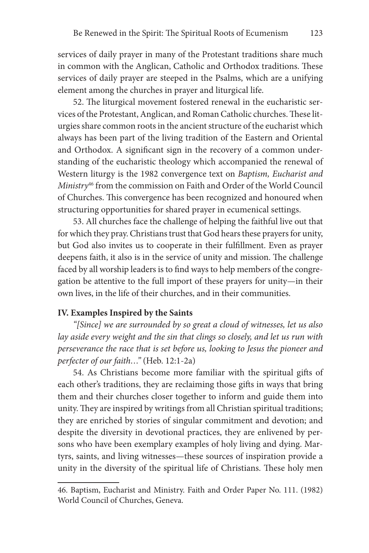services of daily prayer in many of the Protestant traditions share much in common with the Anglican, Catholic and Orthodox traditions. These services of daily prayer are steeped in the Psalms, which are a unifying element among the churches in prayer and liturgical life.

52. The liturgical movement fostered renewal in the eucharistic services of the Protestant, Anglican, and Roman Catholic churches. These liturgies share common roots in the ancient structure of the eucharist which always has been part of the living tradition of the Eastern and Oriental and Orthodox. A significant sign in the recovery of a common understanding of the eucharistic theology which accompanied the renewal of Western liturgy is the 1982 convergence text on *Baptism, Eucharist and Ministry*46 from the commission on Faith and Order of the World Council of Churches. This convergence has been recognized and honoured when structuring opportunities for shared prayer in ecumenical settings.

53. All churches face the challenge of helping the faithful live out that for which they pray. Christians trust that God hears these prayers for unity, but God also invites us to cooperate in their fulfillment. Even as prayer deepens faith, it also is in the service of unity and mission. The challenge faced by all worship leaders is to find ways to help members of the congregation be attentive to the full import of these prayers for unity—in their own lives, in the life of their churches, and in their communities.

# **IV. Examples Inspired by the Saints**

*"[Since] we are surrounded by so great a cloud of witnesses, let us also lay aside every weight and the sin that clings so closely, and let us run with perseverance the race that is set before us, looking to Jesus the pioneer and perfecter of our faith…"* (Heb. 12:1-2a)

54. As Christians become more familiar with the spiritual gifts of each other's traditions, they are reclaiming those gifts in ways that bring them and their churches closer together to inform and guide them into unity. They are inspired by writings from all Christian spiritual traditions; they are enriched by stories of singular commitment and devotion; and despite the diversity in devotional practices, they are enlivened by persons who have been exemplary examples of holy living and dying. Martyrs, saints, and living witnesses—these sources of inspiration provide a unity in the diversity of the spiritual life of Christians. These holy men

<sup>46.</sup> Baptism, Eucharist and Ministry. Faith and Order Paper No. 111. (1982) World Council of Churches, Geneva.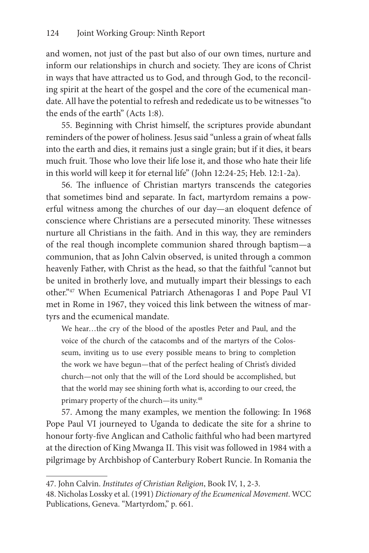and women, not just of the past but also of our own times, nurture and inform our relationships in church and society. They are icons of Christ in ways that have attracted us to God, and through God, to the reconciling spirit at the heart of the gospel and the core of the ecumenical mandate. All have the potential to refresh and rededicate us to be witnesses "to the ends of the earth" (Acts 1:8).

55. Beginning with Christ himself, the scriptures provide abundant reminders of the power of holiness. Jesus said "unless a grain of wheat falls into the earth and dies, it remains just a single grain; but if it dies, it bears much fruit. Those who love their life lose it, and those who hate their life in this world will keep it for eternal life" (John 12:24-25; Heb. 12:1-2a).

56. The influence of Christian martyrs transcends the categories that sometimes bind and separate. In fact, martyrdom remains a powerful witness among the churches of our day—an eloquent defence of conscience where Christians are a persecuted minority. These witnesses nurture all Christians in the faith. And in this way, they are reminders of the real though incomplete communion shared through baptism—a communion, that as John Calvin observed, is united through a common heavenly Father, with Christ as the head, so that the faithful "cannot but be united in brotherly love, and mutually impart their blessings to each other."47 When Ecumenical Patriarch Athenagoras I and Pope Paul VI met in Rome in 1967, they voiced this link between the witness of martyrs and the ecumenical mandate.

We hear…the cry of the blood of the apostles Peter and Paul, and the voice of the church of the catacombs and of the martyrs of the Colosseum, inviting us to use every possible means to bring to completion the work we have begun—that of the perfect healing of Christ's divided church—not only that the will of the Lord should be accomplished, but that the world may see shining forth what is, according to our creed, the primary property of the church—its unity.48

57. Among the many examples, we mention the following: In 1968 Pope Paul VI journeyed to Uganda to dedicate the site for a shrine to honour forty-five Anglican and Catholic faithful who had been martyred at the direction of King Mwanga II. This visit was followed in 1984 with a pilgrimage by Archbishop of Canterbury Robert Runcie. In Romania the

<sup>47.</sup> John Calvin. *Institutes of Christian Religion*, Book IV, 1, 2-3.

<sup>48.</sup> Nicholas Lossky et al. (1991) *Dictionary of the Ecumenical Movement*. WCC Publications, Geneva. "Martyrdom," p. 661.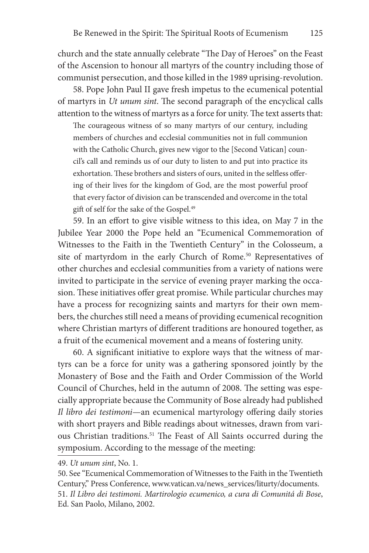church and the state annually celebrate "The Day of Heroes" on the Feast of the Ascension to honour all martyrs of the country including those of communist persecution, and those killed in the 1989 uprising-revolution.

58. Pope John Paul II gave fresh impetus to the ecumenical potential of martyrs in *Ut unum sint*. The second paragraph of the encyclical calls attention to the witness of martyrs as a force for unity. The text asserts that:

The courageous witness of so many martyrs of our century, including members of churches and ecclesial communities not in full communion with the Catholic Church, gives new vigor to the [Second Vatican] council's call and reminds us of our duty to listen to and put into practice its exhortation. These brothers and sisters of ours, united in the selfless offering of their lives for the kingdom of God, are the most powerful proof that every factor of division can be transcended and overcome in the total gift of self for the sake of the Gospel.49

59. In an effort to give visible witness to this idea, on May 7 in the Jubilee Year 2000 the Pope held an "Ecumenical Commemoration of Witnesses to the Faith in the Twentieth Century" in the Colosseum, a site of martyrdom in the early Church of Rome.<sup>50</sup> Representatives of other churches and ecclesial communities from a variety of nations were invited to participate in the service of evening prayer marking the occasion. These initiatives offer great promise. While particular churches may have a process for recognizing saints and martyrs for their own members, the churches still need a means of providing ecumenical recognition where Christian martyrs of different traditions are honoured together, as a fruit of the ecumenical movement and a means of fostering unity.

60. A significant initiative to explore ways that the witness of martyrs can be a force for unity was a gathering sponsored jointly by the Monastery of Bose and the Faith and Order Commission of the World Council of Churches, held in the autumn of 2008. The setting was especially appropriate because the Community of Bose already had published *Il libro dei testimoni*—an ecumenical martyrology offering daily stories with short prayers and Bible readings about witnesses, drawn from various Christian traditions.51 The Feast of All Saints occurred during the symposium. According to the message of the meeting:

<sup>49.</sup> *Ut unum sint*, No. 1.

<sup>50.</sup> See "Ecumenical Commemoration of Witnesses to the Faith in the Twentieth Century," Press Conference, www.vatican.va/news\_services/liturty/documents. 51. *Il Libro dei testimoni. Martirologio ecumenico, a cura di Comunitá di Bose*, Ed. San Paolo, Milano, 2002.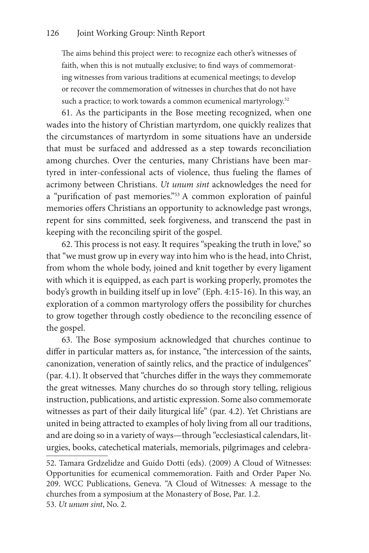The aims behind this project were: to recognize each other's witnesses of faith, when this is not mutually exclusive; to find ways of commemorating witnesses from various traditions at ecumenical meetings; to develop or recover the commemoration of witnesses in churches that do not have such a practice; to work towards a common ecumenical martyrology.<sup>52</sup>

61. As the participants in the Bose meeting recognized, when one wades into the history of Christian martyrdom, one quickly realizes that the circumstances of martyrdom in some situations have an underside that must be surfaced and addressed as a step towards reconciliation among churches. Over the centuries, many Christians have been martyred in inter-confessional acts of violence, thus fueling the flames of acrimony between Christians. *Ut unum sint* acknowledges the need for a "purification of past memories."53 A common exploration of painful memories offers Christians an opportunity to acknowledge past wrongs, repent for sins committed, seek forgiveness, and transcend the past in keeping with the reconciling spirit of the gospel.

62. This process is not easy. It requires "speaking the truth in love," so that "we must grow up in every way into him who is the head, into Christ, from whom the whole body, joined and knit together by every ligament with which it is equipped, as each part is working properly, promotes the body's growth in building itself up in love" (Eph. 4:15-16). In this way, an exploration of a common martyrology offers the possibility for churches to grow together through costly obedience to the reconciling essence of the gospel.

63. The Bose symposium acknowledged that churches continue to differ in particular matters as, for instance, "the intercession of the saints, canonization, veneration of saintly relics, and the practice of indulgences" (par. 4.1). It observed that "churches differ in the ways they commemorate the great witnesses. Many churches do so through story telling, religious instruction, publications, and artistic expression. Some also commemorate witnesses as part of their daily liturgical life" (par. 4.2). Yet Christians are united in being attracted to examples of holy living from all our traditions, and are doing so in a variety of ways—through "ecclesiastical calendars, liturgies, books, catechetical materials, memorials, pilgrimages and celebra-

<sup>52.</sup> Tamara Grdzelidze and Guido Dotti (eds). (2009) A Cloud of Witnesses: Opportunities for ecumenical commemoration. Faith and Order Paper No. 209. WCC Publications, Geneva. "A Cloud of Witnesses: A message to the churches from a symposium at the Monastery of Bose, Par. 1.2. 53. *Ut unum sint*, No. 2.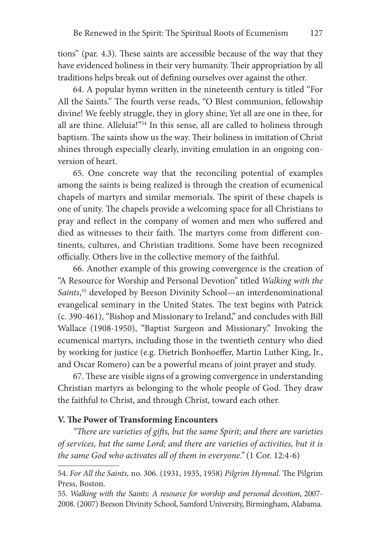tions" (par. 4.3). These saints are accessible because of the way that they have evidenced holiness in their very humanity. Their appropriation by all traditions helps break out of defining ourselves over against the other.

64. A popular hymn written in the nineteenth century is titled "For All the Saints." The fourth verse reads, "O Blest communion, fellowship divine! We feebly struggle, they in glory shine; Yet all are one in thee, for all are thine. Alleluia!"<sup>54</sup> In this sense, all are called to holiness through baptism. The saints show us the way. Their holiness in imitation of Christ shines through especially clearly, inviting emulation in an ongoing conversion of heart.

65. One concrete way that the reconciling potential of examples among the saints is being realized is through the creation of ecumenical chapels of martyrs and similar memorials. The spirit of these chapels is one of unity. The chapels provide a welcoming space for all Christians to pray and reflect in the company of women and men who suffered and died as witnesses to their faith. The martyrs come from different continents, cultures, and Christian traditions. Some have been recognized officially. Others live in the collective memory of the faithful.

66. Another example of this growing convergence is the creation of "A Resource for Worship and Personal Devotion" titled *Walking with the Saints*, <sup>55</sup> developed by Beeson Divinity School—an interdenominational evangelical seminary in the United States. The text begins with Patrick (c. 390-461), "Bishop and Missionary to Ireland," and concludes with Bill Wallace (1908-1950), "Baptist Surgeon and Missionary." Invoking the ecumenical martyrs, including those in the twentieth century who died by working for justice (e.g. Dietrich Bonhoeffer, Martin Luther King, Jr., and Oscar Romero) can be a powerful means of joint prayer and study.

67. These are visible signs of a growing convergence in understanding Christian martyrs as belonging to the whole people of God. They draw the faithful to Christ, and through Christ, toward each other.

### **V. The Power of Transforming Encounters**

*"There are varieties of gifts, but the same Spirit; and there are varieties of services, but the same Lord; and there are varieties of activities, but it is the same God who activates all of them in everyone."* (1 Cor. 12:4-6)

<sup>54.</sup> *For All the Saints,* no. 306. (1931, 1935, 1958) *Pilgrim Hymnal*. The Pilgrim Press, Boston.

<sup>55.</sup> *Walking with the Saints: A resource for worship and personal devotion*, 2007- 2008. (2007) Beeson Divinity School, Samford University, Birmingham, Alabama.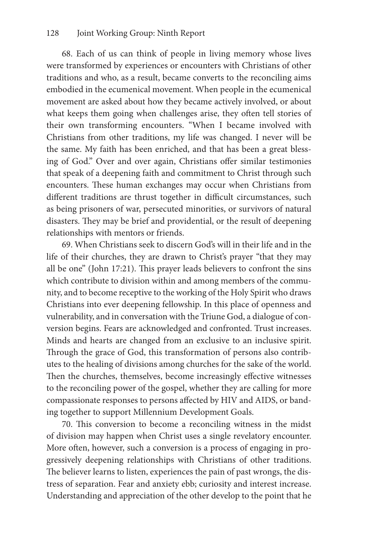68. Each of us can think of people in living memory whose lives were transformed by experiences or encounters with Christians of other traditions and who, as a result, became converts to the reconciling aims embodied in the ecumenical movement. When people in the ecumenical movement are asked about how they became actively involved, or about what keeps them going when challenges arise, they often tell stories of their own transforming encounters. "When I became involved with Christians from other traditions, my life was changed. I never will be the same. My faith has been enriched, and that has been a great blessing of God." Over and over again, Christians offer similar testimonies that speak of a deepening faith and commitment to Christ through such encounters. These human exchanges may occur when Christians from different traditions are thrust together in difficult circumstances, such as being prisoners of war, persecuted minorities, or survivors of natural disasters. They may be brief and providential, or the result of deepening relationships with mentors or friends.

69. When Christians seek to discern God's will in their life and in the life of their churches, they are drawn to Christ's prayer "that they may all be one" (John 17:21). This prayer leads believers to confront the sins which contribute to division within and among members of the community, and to become receptive to the working of the Holy Spirit who draws Christians into ever deepening fellowship. In this place of openness and vulnerability, and in conversation with the Triune God, a dialogue of conversion begins. Fears are acknowledged and confronted. Trust increases. Minds and hearts are changed from an exclusive to an inclusive spirit. Through the grace of God, this transformation of persons also contributes to the healing of divisions among churches for the sake of the world. Then the churches, themselves, become increasingly effective witnesses to the reconciling power of the gospel, whether they are calling for more compassionate responses to persons affected by HIV and AIDS, or banding together to support Millennium Development Goals.

70. This conversion to become a reconciling witness in the midst of division may happen when Christ uses a single revelatory encounter. More often, however, such a conversion is a process of engaging in progressively deepening relationships with Christians of other traditions. The believer learns to listen, experiences the pain of past wrongs, the distress of separation. Fear and anxiety ebb; curiosity and interest increase. Understanding and appreciation of the other develop to the point that he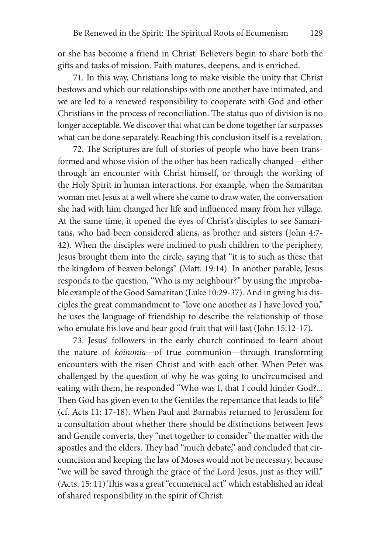or she has become a friend in Christ. Believers begin to share both the gifts and tasks of mission. Faith matures, deepens, and is enriched.

71. In this way, Christians long to make visible the unity that Christ bestows and which our relationships with one another have intimated, and we are led to a renewed responsibility to cooperate with God and other Christians in the process of reconciliation. The status quo of division is no longer acceptable. We discover that what can be done together far surpasses what can be done separately. Reaching this conclusion itself is a revelation.

72. The Scriptures are full of stories of people who have been transformed and whose vision of the other has been radically changed—either through an encounter with Christ himself, or through the working of the Holy Spirit in human interactions. For example, when the Samaritan woman met Jesus at a well where she came to draw water, the conversation she had with him changed her life and influenced many from her village. At the same time, it opened the eyes of Christ's disciples to see Samaritans, who had been considered aliens, as brother and sisters (John 4:7- 42). When the disciples were inclined to push children to the periphery, Jesus brought them into the circle, saying that "it is to such as these that the kingdom of heaven belongs" (Matt. 19:14). In another parable, Jesus responds to the question, "Who is my neighbour?" by using the improbable example of the Good Samaritan (Luke 10:29-37). And in giving his disciples the great commandment to "love one another as I have loved you," he uses the language of friendship to describe the relationship of those who emulate his love and bear good fruit that will last (John 15:12-17).

73. Jesus' followers in the early church continued to learn about the nature of *koinonia*—of true communion—through transforming encounters with the risen Christ and with each other. When Peter was challenged by the question of why he was going to uncircumcised and eating with them, he responded "Who was I, that I could hinder God?... Then God has given even to the Gentiles the repentance that leads to life" (cf. Acts 11: 17-18). When Paul and Barnabas returned to Jerusalem for a consultation about whether there should be distinctions between Jews and Gentile converts, they "met together to consider" the matter with the apostles and the elders. They had "much debate," and concluded that circumcision and keeping the law of Moses would not be necessary, because "we will be saved through the grace of the Lord Jesus, just as they will." (Acts. 15: 11) This was a great "ecumenical act" which established an ideal of shared responsibility in the spirit of Christ.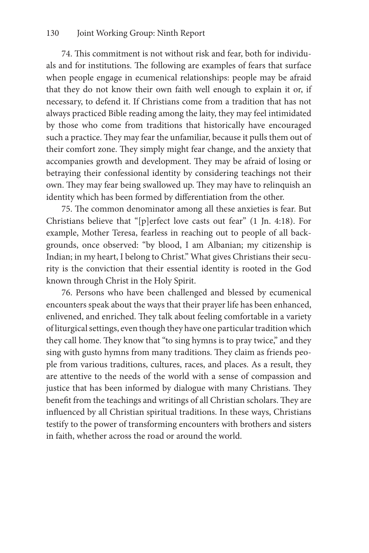74. This commitment is not without risk and fear, both for individuals and for institutions. The following are examples of fears that surface when people engage in ecumenical relationships: people may be afraid that they do not know their own faith well enough to explain it or, if necessary, to defend it. If Christians come from a tradition that has not always practiced Bible reading among the laity, they may feel intimidated by those who come from traditions that historically have encouraged such a practice. They may fear the unfamiliar, because it pulls them out of their comfort zone. They simply might fear change, and the anxiety that accompanies growth and development. They may be afraid of losing or betraying their confessional identity by considering teachings not their own. They may fear being swallowed up. They may have to relinquish an identity which has been formed by differentiation from the other.

75. The common denominator among all these anxieties is fear. But Christians believe that "[p]erfect love casts out fear" (1 Jn. 4:18). For example, Mother Teresa, fearless in reaching out to people of all backgrounds, once observed: "by blood, I am Albanian; my citizenship is Indian; in my heart, I belong to Christ." What gives Christians their security is the conviction that their essential identity is rooted in the God known through Christ in the Holy Spirit.

76. Persons who have been challenged and blessed by ecumenical encounters speak about the ways that their prayer life has been enhanced, enlivened, and enriched. They talk about feeling comfortable in a variety of liturgical settings, even though they have one particular tradition which they call home. They know that "to sing hymns is to pray twice," and they sing with gusto hymns from many traditions. They claim as friends people from various traditions, cultures, races, and places. As a result, they are attentive to the needs of the world with a sense of compassion and justice that has been informed by dialogue with many Christians. They benefit from the teachings and writings of all Christian scholars. They are influenced by all Christian spiritual traditions. In these ways, Christians testify to the power of transforming encounters with brothers and sisters in faith, whether across the road or around the world.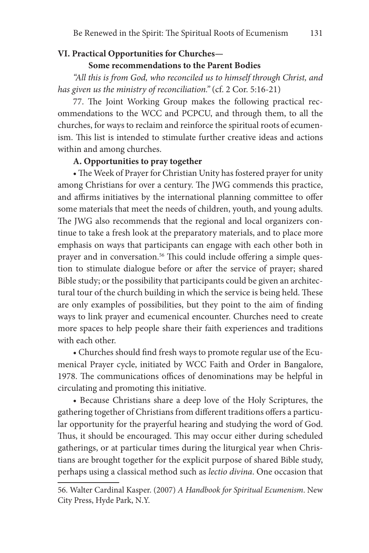# **VI. Practical Opportunities for Churches—**

#### **Some recommendations to the Parent Bodies**

*"All this is from God, who reconciled us to himself through Christ, and has given us the ministry of reconciliation."* (cf. 2 Cor. 5:16-21)

77. The Joint Working Group makes the following practical recommendations to the WCC and PCPCU, and through them, to all the churches, for ways to reclaim and reinforce the spiritual roots of ecumenism. This list is intended to stimulate further creative ideas and actions within and among churches.

# **A. Opportunities to pray together**

• The Week of Prayer for Christian Unity has fostered prayer for unity among Christians for over a century. The JWG commends this practice, and affirms initiatives by the international planning committee to offer some materials that meet the needs of children, youth, and young adults. The JWG also recommends that the regional and local organizers continue to take a fresh look at the preparatory materials, and to place more emphasis on ways that participants can engage with each other both in prayer and in conversation.<sup>56</sup> This could include offering a simple question to stimulate dialogue before or after the service of prayer; shared Bible study; or the possibility that participants could be given an architectural tour of the church building in which the service is being held. These are only examples of possibilities, but they point to the aim of finding ways to link prayer and ecumenical encounter. Churches need to create more spaces to help people share their faith experiences and traditions with each other.

• Churches should find fresh ways to promote regular use of the Ecumenical Prayer cycle, initiated by WCC Faith and Order in Bangalore, 1978. The communications offices of denominations may be helpful in circulating and promoting this initiative.

• Because Christians share a deep love of the Holy Scriptures, the gathering together of Christians from different traditions offers a particular opportunity for the prayerful hearing and studying the word of God. Thus, it should be encouraged. This may occur either during scheduled gatherings, or at particular times during the liturgical year when Christians are brought together for the explicit purpose of shared Bible study, perhaps using a classical method such as *lectio divina*. One occasion that

<sup>56.</sup> Walter Cardinal Kasper. (2007) *A Handbook for Spiritual Ecumenism*. New City Press, Hyde Park, N.Y.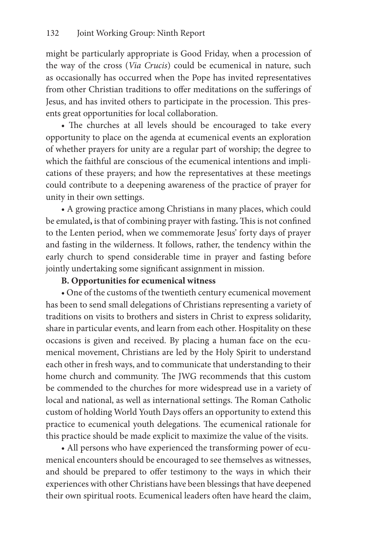might be particularly appropriate is Good Friday, when a procession of the way of the cross (*Via Crucis*) could be ecumenical in nature, such as occasionally has occurred when the Pope has invited representatives from other Christian traditions to offer meditations on the sufferings of Jesus, and has invited others to participate in the procession. This presents great opportunities for local collaboration.

• The churches at all levels should be encouraged to take every opportunity to place on the agenda at ecumenical events an exploration of whether prayers for unity are a regular part of worship; the degree to which the faithful are conscious of the ecumenical intentions and implications of these prayers; and how the representatives at these meetings could contribute to a deepening awareness of the practice of prayer for unity in their own settings.

• A growing practice among Christians in many places, which could be emulated**,** is that of combining prayer with fasting**.** This is not confined to the Lenten period, when we commemorate Jesus' forty days of prayer and fasting in the wilderness. It follows, rather, the tendency within the early church to spend considerable time in prayer and fasting before jointly undertaking some significant assignment in mission.

# **B. Opportunities for ecumenical witness**

• One of the customs of the twentieth century ecumenical movement has been to send small delegations of Christians representing a variety of traditions on visits to brothers and sisters in Christ to express solidarity, share in particular events, and learn from each other. Hospitality on these occasions is given and received. By placing a human face on the ecumenical movement, Christians are led by the Holy Spirit to understand each other in fresh ways, and to communicate that understanding to their home church and community. The JWG recommends that this custom be commended to the churches for more widespread use in a variety of local and national, as well as international settings. The Roman Catholic custom of holding World Youth Days offers an opportunity to extend this practice to ecumenical youth delegations. The ecumenical rationale for this practice should be made explicit to maximize the value of the visits.

• All persons who have experienced the transforming power of ecumenical encounters should be encouraged to see themselves as witnesses, and should be prepared to offer testimony to the ways in which their experiences with other Christians have been blessings that have deepened their own spiritual roots. Ecumenical leaders often have heard the claim,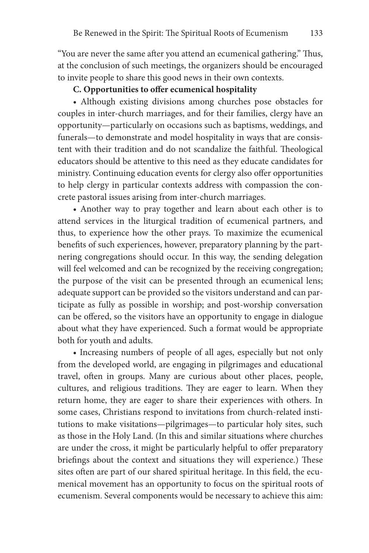"You are never the same after you attend an ecumenical gathering." Thus, at the conclusion of such meetings, the organizers should be encouraged to invite people to share this good news in their own contexts.

### **C. Opportunities to offer ecumenical hospitality**

• Although existing divisions among churches pose obstacles for couples in inter-church marriages, and for their families, clergy have an opportunity—particularly on occasions such as baptisms, weddings, and funerals—to demonstrate and model hospitality in ways that are consistent with their tradition and do not scandalize the faithful. Theological educators should be attentive to this need as they educate candidates for ministry. Continuing education events for clergy also offer opportunities to help clergy in particular contexts address with compassion the concrete pastoral issues arising from inter-church marriages.

• Another way to pray together and learn about each other is to attend services in the liturgical tradition of ecumenical partners, and thus, to experience how the other prays. To maximize the ecumenical benefits of such experiences, however, preparatory planning by the partnering congregations should occur. In this way, the sending delegation will feel welcomed and can be recognized by the receiving congregation; the purpose of the visit can be presented through an ecumenical lens; adequate support can be provided so the visitors understand and can participate as fully as possible in worship; and post-worship conversation can be offered, so the visitors have an opportunity to engage in dialogue about what they have experienced. Such a format would be appropriate both for youth and adults.

• Increasing numbers of people of all ages, especially but not only from the developed world, are engaging in pilgrimages and educational travel, often in groups. Many are curious about other places, people, cultures, and religious traditions. They are eager to learn. When they return home, they are eager to share their experiences with others. In some cases, Christians respond to invitations from church-related institutions to make visitations—pilgrimages—to particular holy sites, such as those in the Holy Land. (In this and similar situations where churches are under the cross, it might be particularly helpful to offer preparatory briefings about the context and situations they will experience.) These sites often are part of our shared spiritual heritage. In this field, the ecumenical movement has an opportunity to focus on the spiritual roots of ecumenism. Several components would be necessary to achieve this aim: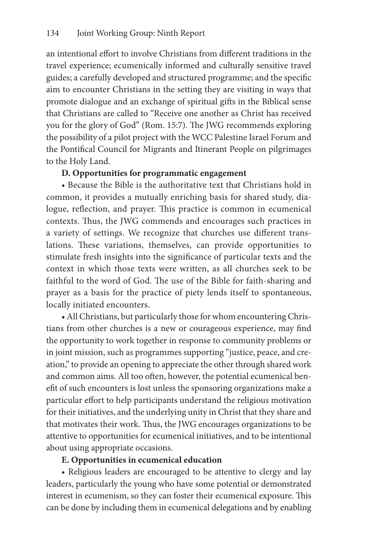an intentional effort to involve Christians from different traditions in the travel experience; ecumenically informed and culturally sensitive travel guides; a carefully developed and structured programme; and the specific aim to encounter Christians in the setting they are visiting in ways that promote dialogue and an exchange of spiritual gifts in the Biblical sense that Christians are called to "Receive one another as Christ has received you for the glory of God" (Rom. 15:7). The JWG recommends exploring the possibility of a pilot project with the WCC Palestine Israel Forum and the Pontifical Council for Migrants and Itinerant People on pilgrimages to the Holy Land.

# **D. Opportunities for programmatic engagement**

• Because the Bible is the authoritative text that Christians hold in common, it provides a mutually enriching basis for shared study, dialogue, reflection, and prayer. This practice is common in ecumenical contexts. Thus, the JWG commends and encourages such practices in a variety of settings. We recognize that churches use different translations. These variations, themselves, can provide opportunities to stimulate fresh insights into the significance of particular texts and the context in which those texts were written, as all churches seek to be faithful to the word of God. The use of the Bible for faith-sharing and prayer as a basis for the practice of piety lends itself to spontaneous, locally initiated encounters.

• All Christians, but particularly those for whom encountering Christians from other churches is a new or courageous experience, may find the opportunity to work together in response to community problems or in joint mission, such as programmes supporting "justice, peace, and creation," to provide an opening to appreciate the other through shared work and common aims. All too often, however, the potential ecumenical benefit of such encounters is lost unless the sponsoring organizations make a particular effort to help participants understand the religious motivation for their initiatives, and the underlying unity in Christ that they share and that motivates their work. Thus, the JWG encourages organizations to be attentive to opportunities for ecumenical initiatives, and to be intentional about using appropriate occasions.

### **E. Opportunities in ecumenical education**

• Religious leaders are encouraged to be attentive to clergy and lay leaders, particularly the young who have some potential or demonstrated interest in ecumenism, so they can foster their ecumenical exposure. This can be done by including them in ecumenical delegations and by enabling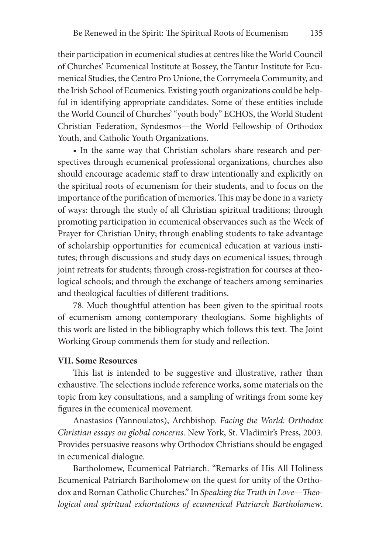their participation in ecumenical studies at centres like the World Council of Churches' Ecumenical Institute at Bossey, the Tantur Institute for Ecumenical Studies, the Centro Pro Unione, the Corrymeela Community, and the Irish School of Ecumenics. Existing youth organizations could be helpful in identifying appropriate candidates. Some of these entities include the World Council of Churches' "youth body" ECHOS, the World Student Christian Federation, Syndesmos—the World Fellowship of Orthodox Youth, and Catholic Youth Organizations.

• In the same way that Christian scholars share research and perspectives through ecumenical professional organizations, churches also should encourage academic staff to draw intentionally and explicitly on the spiritual roots of ecumenism for their students, and to focus on the importance of the purification of memories. This may be done in a variety of ways: through the study of all Christian spiritual traditions; through promoting participation in ecumenical observances such as the Week of Prayer for Christian Unity; through enabling students to take advantage of scholarship opportunities for ecumenical education at various institutes; through discussions and study days on ecumenical issues; through joint retreats for students; through cross-registration for courses at theological schools; and through the exchange of teachers among seminaries and theological faculties of different traditions.

78. Much thoughtful attention has been given to the spiritual roots of ecumenism among contemporary theologians. Some highlights of this work are listed in the bibliography which follows this text. The Joint Working Group commends them for study and reflection.

### **VII. Some Resources**

This list is intended to be suggestive and illustrative, rather than exhaustive. The selections include reference works, some materials on the topic from key consultations, and a sampling of writings from some key figures in the ecumenical movement.

Anastasios (Yannoulatos), Archbishop. *Facing the World: Orthodox Christian essays on global concerns*. New York, St. Vladimir's Press, 2003. Provides persuasive reasons why Orthodox Christians should be engaged in ecumenical dialogue.

Bartholomew, Ecumenical Patriarch. "Remarks of His All Holiness Ecumenical Patriarch Bartholomew on the quest for unity of the Orthodox and Roman Catholic Churches." In *Speaking the Truth in Love—Theological and spiritual exhortations of ecumenical Patriarch Bartholomew*.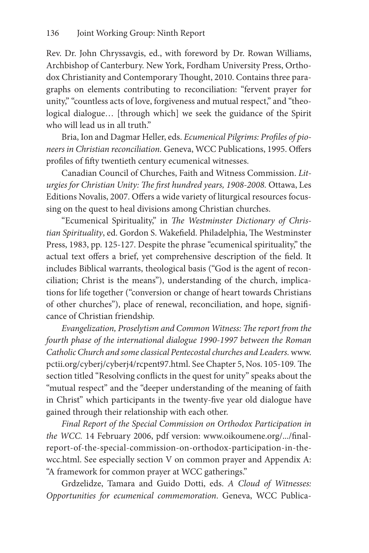Rev. Dr. John Chryssavgis, ed., with foreword by Dr. Rowan Williams, Archbishop of Canterbury. New York, Fordham University Press, Orthodox Christianity and Contemporary Thought, 2010. Contains three paragraphs on elements contributing to reconciliation: "fervent prayer for unity," "countless acts of love, forgiveness and mutual respect," and "theological dialogue… [through which] we seek the guidance of the Spirit who will lead us in all truth."

Bria, Ion and Dagmar Heller, eds. *Ecumenical Pilgrims: Profiles of pioneers in Christian reconciliation.* Geneva, WCC Publications, 1995. Offers profiles of fifty twentieth century ecumenical witnesses.

Canadian Council of Churches, Faith and Witness Commission. *Liturgies for Christian Unity: The first hundred years, 1908-2008.* Ottawa, Les Editions Novalis, 2007. Offers a wide variety of liturgical resources focussing on the quest to heal divisions among Christian churches.

"Ecumenical Spirituality," in *The Westminster Dictionary of Christian Spirituality*, ed. Gordon S. Wakefield. Philadelphia, The Westminster Press, 1983, pp. 125-127. Despite the phrase "ecumenical spirituality," the actual text offers a brief, yet comprehensive description of the field. It includes Biblical warrants, theological basis ("God is the agent of reconciliation; Christ is the means"), understanding of the church, implications for life together ("conversion or change of heart towards Christians of other churches"), place of renewal, reconciliation, and hope, significance of Christian friendship.

*Evangelization, Proselytism and Common Witness: The report from the fourth phase of the international dialogue 1990-1997 between the Roman Catholic Church and some classical Pentecostal churches and Leaders.* www. pctii.org/cyberj/cyberj4/rcpent97.html. See Chapter 5, Nos. 105-109*.* The section titled "Resolving conflicts in the quest for unity" speaks about the "mutual respect" and the "deeper understanding of the meaning of faith in Christ" which participants in the twenty-five year old dialogue have gained through their relationship with each other.

*Final Report of the Special Commission on Orthodox Participation in the WCC.* 14 February 2006, pdf version: www.oikoumene.org/.../finalreport-of-the-special-commission-on-orthodox-participation-in-thewcc.html. See especially section V on common prayer and Appendix A: "A framework for common prayer at WCC gatherings."

Grdzelidze, Tamara and Guido Dotti, eds. *A Cloud of Witnesses: Opportunities for ecumenical commemoration*. Geneva, WCC Publica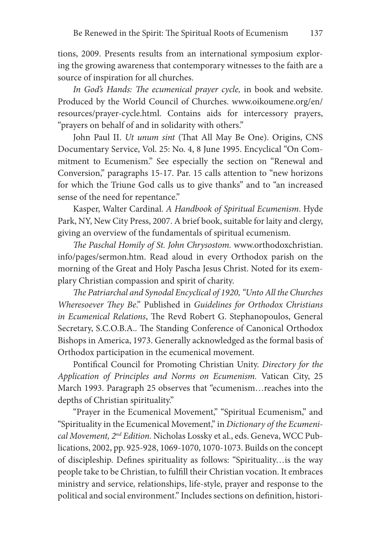tions, 2009. Presents results from an international symposium exploring the growing awareness that contemporary witnesses to the faith are a source of inspiration for all churches.

In God's Hands: The ecumenical prayer cycle, in book and website. Produced by the World Council of Churches. www.oikoumene.org/en/ resources/prayer-cycle.html. Contains aids for intercessory prayers, "prayers on behalf of and in solidarity with others."

John Paul II. *Ut unum sint* (That All May Be One). Origins, CNS Documentary Service, Vol. 25: No. 4, 8 June 1995. Encyclical "On Commitment to Ecumenism." See especially the section on "Renewal and Conversion," paragraphs 15-17. Par. 15 calls attention to "new horizons for which the Triune God calls us to give thanks" and to "an increased sense of the need for repentance."

Kasper, Walter Cardinal. *A Handbook of Spiritual Ecumenism*. Hyde Park, NY, New City Press, 2007. A brief book, suitable for laity and clergy, giving an overview of the fundamentals of spiritual ecumenism.

*The Paschal Homily of St. John Chrysostom.* www.orthodoxchristian. info/pages/sermon.htm. Read aloud in every Orthodox parish on the morning of the Great and Holy Pascha Jesus Christ. Noted for its exemplary Christian compassion and spirit of charity.

*The Patriarchal and Synodal Encyclical of 1920, "Unto All the Churches Wheresoever They Be*." Published in *Guidelines for Orthodox Christians in Ecumenical Relations*, The Revd Robert G. Stephanopoulos, General Secretary, S.C.O.B.A.. The Standing Conference of Canonical Orthodox Bishops in America, 1973. Generally acknowledged as the formal basis of Orthodox participation in the ecumenical movement.

Pontifical Council for Promoting Christian Unity. *Directory for the Application of Principles and Norms on Ecumenism.* Vatican City, 25 March 1993. Paragraph 25 observes that "ecumenism…reaches into the depths of Christian spirituality."

"Prayer in the Ecumenical Movement," "Spiritual Ecumenism," and "Spirituality in the Ecumenical Movement," in *Dictionary of the Ecumenical Movement, 2nd Edition.* Nicholas Lossky et al., eds. Geneva, WCC Publications, 2002, pp. 925-928, 1069-1070, 1070-1073. Builds on the concept of discipleship. Defines spirituality as follows: "Spirituality…is the way people take to be Christian, to fulfill their Christian vocation. It embraces ministry and service, relationships, life-style, prayer and response to the political and social environment." Includes sections on definition, histori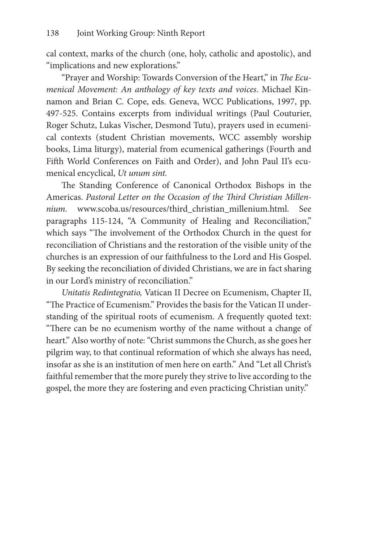cal context, marks of the church (one, holy, catholic and apostolic), and "implications and new explorations."

"Prayer and Worship: Towards Conversion of the Heart," in *The Ecumenical Movement: An anthology of key texts and voices*. Michael Kinnamon and Brian C. Cope, eds. Geneva, WCC Publications, 1997, pp. 497-525. Contains excerpts from individual writings (Paul Couturier, Roger Schutz, Lukas Vischer, Desmond Tutu), prayers used in ecumenical contexts (student Christian movements, WCC assembly worship books, Lima liturgy), material from ecumenical gatherings (Fourth and Fifth World Conferences on Faith and Order), and John Paul II's ecumenical encyclical, *Ut unum sint.*

The Standing Conference of Canonical Orthodox Bishops in the Americas. *Pastoral Letter on the Occasion of the Third Christian Millennium.* www.scoba.us/resources/third\_christian\_millenium.html. See paragraphs 115-124, "A Community of Healing and Reconciliation," which says "The involvement of the Orthodox Church in the quest for reconciliation of Christians and the restoration of the visible unity of the churches is an expression of our faithfulness to the Lord and His Gospel. By seeking the reconciliation of divided Christians, we are in fact sharing in our Lord's ministry of reconciliation."

*Unitatis Redintegratio,* Vatican II Decree on Ecumenism, Chapter II, "The Practice of Ecumenism." Provides the basis for the Vatican II understanding of the spiritual roots of ecumenism. A frequently quoted text: "There can be no ecumenism worthy of the name without a change of heart." Also worthy of note: "Christ summons the Church, as she goes her pilgrim way, to that continual reformation of which she always has need, insofar as she is an institution of men here on earth." And "Let all Christ's faithful remember that the more purely they strive to live according to the gospel, the more they are fostering and even practicing Christian unity."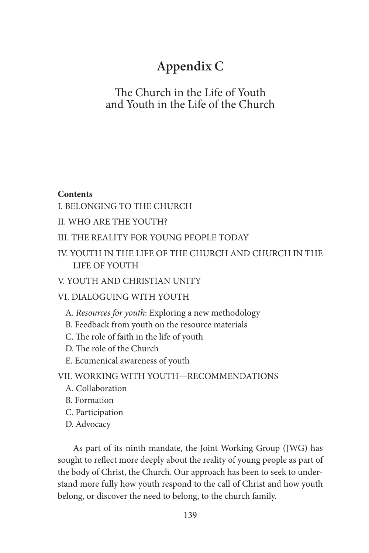# **Appendix C**

## The Church in the Life of Youth and Youth in the Life of the Church

#### **Contents**

I. BELONGING TO THE CHURCH

II. WHO ARE THE YOUTH?

## III. THE REALITY FOR YOUNG PEOPLE TODAY

IV. YOUTH IN THE LIFE OF THE CHURCH AND CHURCH IN THE LIFE OF YOUTH

## V. YOUTH AND CHRISTIAN UNITY

## VI. DIALOGUING WITH YOUTH

- A. *Resources for youth*: Exploring a new methodology
- B. Feedback from youth on the resource materials
- C. The role of faith in the life of youth
- D. The role of the Church
- E. Ecumenical awareness of youth

## VII. WORKING WITH YOUTH—RECOMMENDATIONS

- A. Collaboration
- B. Formation
- C. Participation
- D. Advocacy

As part of its ninth mandate, the Joint Working Group (JWG) has sought to reflect more deeply about the reality of young people as part of the body of Christ, the Church. Our approach has been to seek to understand more fully how youth respond to the call of Christ and how youth belong, or discover the need to belong, to the church family.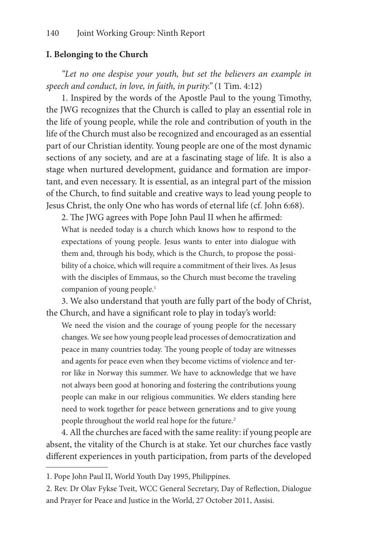#### **I. Belonging to the Church**

*"Let no one despise your youth, but set the believers an example in speech and conduct, in love, in faith, in purity."* (1 Tim. 4:12)

1. Inspired by the words of the Apostle Paul to the young Timothy, the JWG recognizes that the Church is called to play an essential role in the life of young people, while the role and contribution of youth in the life of the Church must also be recognized and encouraged as an essential part of our Christian identity. Young people are one of the most dynamic sections of any society, and are at a fascinating stage of life. It is also a stage when nurtured development, guidance and formation are important, and even necessary. It is essential, as an integral part of the mission of the Church, to find suitable and creative ways to lead young people to Jesus Christ, the only One who has words of eternal life (cf. John 6:68).

2. The JWG agrees with Pope John Paul II when he affirmed: What is needed today is a church which knows how to respond to the expectations of young people. Jesus wants to enter into dialogue with them and, through his body, which is the Church, to propose the possibility of a choice, which will require a commitment of their lives. As Jesus with the disciples of Emmaus, so the Church must become the traveling companion of young people.<sup>1</sup>

3. We also understand that youth are fully part of the body of Christ, the Church, and have a significant role to play in today's world:

We need the vision and the courage of young people for the necessary changes. We see how young people lead processes of democratization and peace in many countries today. The young people of today are witnesses and agents for peace even when they become victims of violence and terror like in Norway this summer. We have to acknowledge that we have not always been good at honoring and fostering the contributions young people can make in our religious communities. We elders standing here need to work together for peace between generations and to give young people throughout the world real hope for the future.*<sup>2</sup>*

4. All the churches are faced with the same reality: if young people are absent, the vitality of the Church is at stake. Yet our churches face vastly different experiences in youth participation, from parts of the developed

<sup>1.</sup> Pope John Paul II, World Youth Day 1995, Philippines.

<sup>2.</sup> Rev. Dr Olav Fykse Tveit, WCC General Secretary, Day of Reflection, Dialogue and Prayer for Peace and Justice in the World, 27 October 2011, Assisi.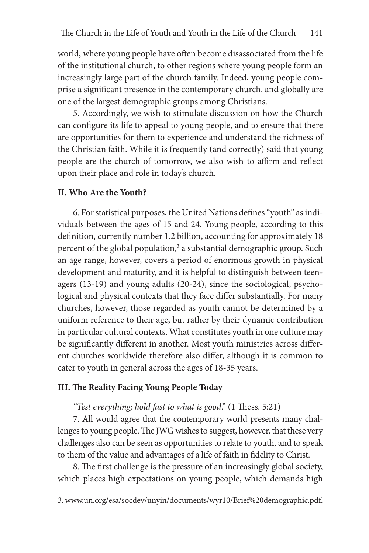world, where young people have often become disassociated from the life of the institutional church, to other regions where young people form an increasingly large part of the church family. Indeed, young people comprise a significant presence in the contemporary church, and globally are one of the largest demographic groups among Christians.

5. Accordingly, we wish to stimulate discussion on how the Church can configure its life to appeal to young people, and to ensure that there are opportunities for them to experience and understand the richness of the Christian faith. While it is frequently (and correctly) said that young people are the church of tomorrow, we also wish to affirm and reflect upon their place and role in today's church.

#### **II. Who Are the Youth?**

6. For statistical purposes, the United Nations defines "youth" as individuals between the ages of 15 and 24. Young people, according to this definition, currently number 1.2 billion, accounting for approximately 18 percent of the global population,<sup>3</sup> a substantial demographic group. Such an age range, however, covers a period of enormous growth in physical development and maturity, and it is helpful to distinguish between teenagers (13-19) and young adults (20-24), since the sociological, psychological and physical contexts that they face differ substantially. For many churches, however, those regarded as youth cannot be determined by a uniform reference to their age, but rather by their dynamic contribution in particular cultural contexts. What constitutes youth in one culture may be significantly different in another. Most youth ministries across different churches worldwide therefore also differ, although it is common to cater to youth in general across the ages of 18-35 years.

#### **III. The Reality Facing Young People Today**

*"Test everything; hold fast to what is good*." (1 Thess. 5:21)

7. All would agree that the contemporary world presents many challenges to young people. The JWG wishes to suggest, however, that these very challenges also can be seen as opportunities to relate to youth, and to speak to them of the value and advantages of a life of faith in fidelity to Christ.

8. The first challenge is the pressure of an increasingly global society, which places high expectations on young people, which demands high

<sup>3.</sup> www.un.org/esa/socdev/unyin/documents/wyr10/Brief%20demographic.pdf.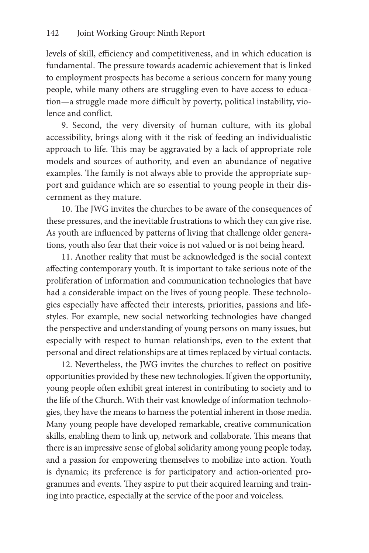levels of skill, efficiency and competitiveness, and in which education is fundamental. The pressure towards academic achievement that is linked to employment prospects has become a serious concern for many young people, while many others are struggling even to have access to education—a struggle made more difficult by poverty, political instability, violence and conflict.

9. Second, the very diversity of human culture, with its global accessibility, brings along with it the risk of feeding an individualistic approach to life. This may be aggravated by a lack of appropriate role models and sources of authority, and even an abundance of negative examples. The family is not always able to provide the appropriate support and guidance which are so essential to young people in their discernment as they mature.

10. The JWG invites the churches to be aware of the consequences of these pressures, and the inevitable frustrations to which they can give rise. As youth are influenced by patterns of living that challenge older generations, youth also fear that their voice is not valued or is not being heard.

11. Another reality that must be acknowledged is the social context affecting contemporary youth. It is important to take serious note of the proliferation of information and communication technologies that have had a considerable impact on the lives of young people. These technologies especially have affected their interests, priorities, passions and lifestyles. For example, new social networking technologies have changed the perspective and understanding of young persons on many issues, but especially with respect to human relationships, even to the extent that personal and direct relationships are at times replaced by virtual contacts.

12. Nevertheless, the JWG invites the churches to reflect on positive opportunities provided by these new technologies. If given the opportunity, young people often exhibit great interest in contributing to society and to the life of the Church. With their vast knowledge of information technologies, they have the means to harness the potential inherent in those media. Many young people have developed remarkable, creative communication skills, enabling them to link up, network and collaborate. This means that there is an impressive sense of global solidarity among young people today, and a passion for empowering themselves to mobilize into action. Youth is dynamic; its preference is for participatory and action-oriented programmes and events. They aspire to put their acquired learning and training into practice, especially at the service of the poor and voiceless.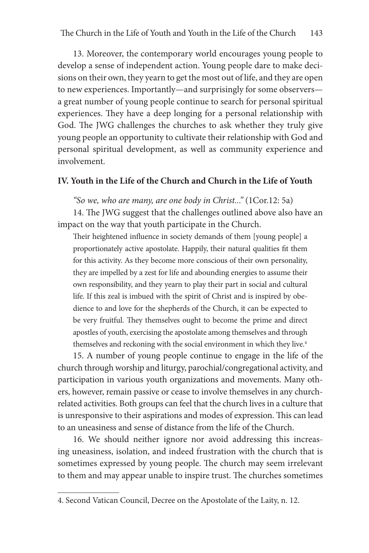13. Moreover, the contemporary world encourages young people to develop a sense of independent action. Young people dare to make decisions on their own, they yearn to get the most out of life, and they are open to new experiences. Importantly—and surprisingly for some observers a great number of young people continue to search for personal spiritual experiences. They have a deep longing for a personal relationship with God. The JWG challenges the churches to ask whether they truly give young people an opportunity to cultivate their relationship with God and personal spiritual development, as well as community experience and involvement.

## **IV. Youth in the Life of the Church and Church in the Life of Youth**

*"So we, who are many, are one body in Christ..."* (1Cor.12: 5a)

14. The JWG suggest that the challenges outlined above also have an impact on the way that youth participate in the Church.

Their heightened influence in society demands of them [young people] a proportionately active apostolate. Happily, their natural qualities fit them for this activity. As they become more conscious of their own personality, they are impelled by a zest for life and abounding energies to assume their own responsibility, and they yearn to play their part in social and cultural life. If this zeal is imbued with the spirit of Christ and is inspired by obedience to and love for the shepherds of the Church, it can be expected to be very fruitful. They themselves ought to become the prime and direct apostles of youth, exercising the apostolate among themselves and through themselves and reckoning with the social environment in which they live.<sup>4</sup>

15. A number of young people continue to engage in the life of the church through worship and liturgy, parochial/congregational activity, and participation in various youth organizations and movements. Many others, however, remain passive or cease to involve themselves in any churchrelated activities. Both groups can feel that the church lives in a culture that is unresponsive to their aspirations and modes of expression. This can lead to an uneasiness and sense of distance from the life of the Church.

16. We should neither ignore nor avoid addressing this increasing uneasiness, isolation, and indeed frustration with the church that is sometimes expressed by young people. The church may seem irrelevant to them and may appear unable to inspire trust. The churches sometimes

<sup>4.</sup> Second Vatican Council, Decree on the Apostolate of the Laity, n. 12.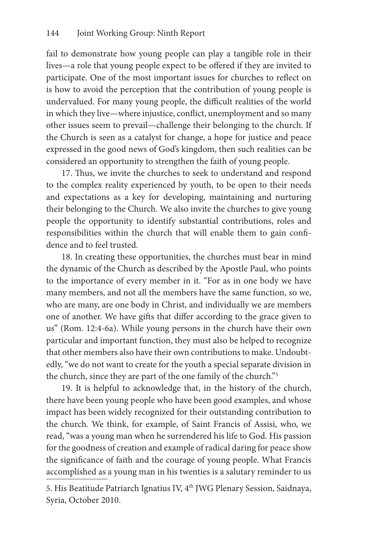fail to demonstrate how young people can play a tangible role in their lives—a role that young people expect to be offered if they are invited to participate. One of the most important issues for churches to reflect on is how to avoid the perception that the contribution of young people is undervalued. For many young people, the difficult realities of the world in which they live—where injustice, conflict, unemployment and so many other issues seem to prevail—challenge their belonging to the church. If the Church is seen as a catalyst for change, a hope for justice and peace expressed in the good news of God's kingdom, then such realities can be considered an opportunity to strengthen the faith of young people.

17. Thus, we invite the churches to seek to understand and respond to the complex reality experienced by youth, to be open to their needs and expectations as a key for developing, maintaining and nurturing their belonging to the Church. We also invite the churches to give young people the opportunity to identify substantial contributions, roles and responsibilities within the church that will enable them to gain confidence and to feel trusted.

18. In creating these opportunities, the churches must bear in mind the dynamic of the Church as described by the Apostle Paul, who points to the importance of every member in it. "For as in one body we have many members, and not all the members have the same function, so we, who are many, are one body in Christ, and individually we are members one of another. We have gifts that differ according to the grace given to us" (Rom. 12:4-6a). While young persons in the church have their own particular and important function, they must also be helped to recognize that other members also have their own contributions to make. Undoubtedly, "we do not want to create for the youth a special separate division in the church, since they are part of the one family of the church."5

19. It is helpful to acknowledge that, in the history of the church, there have been young people who have been good examples, and whose impact has been widely recognized for their outstanding contribution to the church. We think, for example, of Saint Francis of Assisi, who, we read, "was a young man when he surrendered his life to God. His passion for the goodness of creation and example of radical daring for peace show the significance of faith and the courage of young people. What Francis accomplished as a young man in his twenties is a salutary reminder to us

5. His Beatitude Patriarch Ignatius IV, 4<sup>th</sup> JWG Plenary Session, Saidnaya, Syria, October 2010.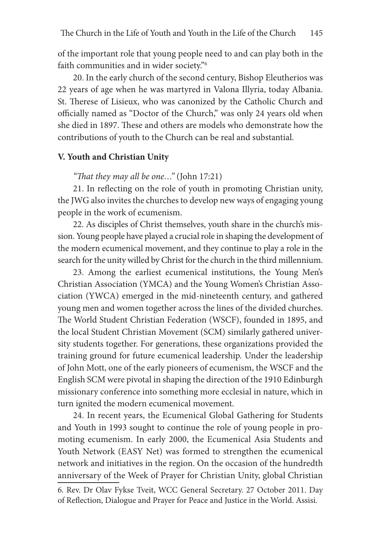of the important role that young people need to and can play both in the faith communities and in wider society."6

20. In the early church of the second century, Bishop Eleutherios was 22 years of age when he was martyred in Valona Illyria, today Albania. St. Therese of Lisieux, who was canonized by the Catholic Church and officially named as "Doctor of the Church," was only 24 years old when she died in 1897. These and others are models who demonstrate how the contributions of youth to the Church can be real and substantial.

#### **V. Youth and Christian Unity**

#### *"That they may all be one…"* (John 17:21)

21. In reflecting on the role of youth in promoting Christian unity, the JWG also invites the churches to develop new ways of engaging young people in the work of ecumenism.

22. As disciples of Christ themselves, youth share in the church's mission. Young people have played a crucial role in shaping the development of the modern ecumenical movement, and they continue to play a role in the search for the unity willed by Christ for the church in the third millennium.

23. Among the earliest ecumenical institutions, the Young Men's Christian Association (YMCA) and the Young Women's Christian Association (YWCA) emerged in the mid-nineteenth century, and gathered young men and women together across the lines of the divided churches. The World Student Christian Federation (WSCF), founded in 1895, and the local Student Christian Movement (SCM) similarly gathered university students together. For generations, these organizations provided the training ground for future ecumenical leadership. Under the leadership of John Mott, one of the early pioneers of ecumenism, the WSCF and the English SCM were pivotal in shaping the direction of the 1910 Edinburgh missionary conference into something more ecclesial in nature, which in turn ignited the modern ecumenical movement.

24. In recent years, the Ecumenical Global Gathering for Students and Youth in 1993 sought to continue the role of young people in promoting ecumenism. In early 2000, the Ecumenical Asia Students and Youth Network (EASY Net) was formed to strengthen the ecumenical network and initiatives in the region. On the occasion of the hundredth anniversary of the Week of Prayer for Christian Unity, global Christian

<sup>6.</sup> Rev. Dr Olav Fykse Tveit, WCC General Secretary. 27 October 2011. Day of Reflection, Dialogue and Prayer for Peace and Justice in the World. Assisi.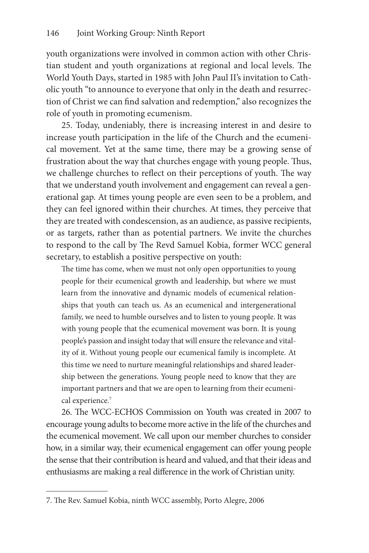youth organizations were involved in common action with other Christian student and youth organizations at regional and local levels. The World Youth Days, started in 1985 with John Paul II's invitation to Catholic youth "to announce to everyone that only in the death and resurrection of Christ we can find salvation and redemption," also recognizes the role of youth in promoting ecumenism.

25. Today, undeniably, there is increasing interest in and desire to increase youth participation in the life of the Church and the ecumenical movement. Yet at the same time, there may be a growing sense of frustration about the way that churches engage with young people. Thus, we challenge churches to reflect on their perceptions of youth. The way that we understand youth involvement and engagement can reveal a generational gap. At times young people are even seen to be a problem, and they can feel ignored within their churches. At times, they perceive that they are treated with condescension, as an audience, as passive recipients, or as targets, rather than as potential partners. We invite the churches to respond to the call by The Revd Samuel Kobia, former WCC general secretary, to establish a positive perspective on youth:

The time has come, when we must not only open opportunities to young people for their ecumenical growth and leadership, but where we must learn from the innovative and dynamic models of ecumenical relationships that youth can teach us. As an ecumenical and intergenerational family, we need to humble ourselves and to listen to young people. It was with young people that the ecumenical movement was born. It is young people's passion and insight today that will ensure the relevance and vitality of it. Without young people our ecumenical family is incomplete. At this time we need to nurture meaningful relationships and shared leadership between the generations. Young people need to know that they are important partners and that we are open to learning from their ecumenical experience.<sup>7</sup>

26. The WCC-ECHOS Commission on Youth was created in 2007 to encourage young adults to become more active in the life of the churches and the ecumenical movement. We call upon our member churches to consider how, in a similar way, their ecumenical engagement can offer young people the sense that their contribution is heard and valued, and that their ideas and enthusiasms are making a real difference in the work of Christian unity.

<sup>7.</sup> The Rev. Samuel Kobia, ninth WCC assembly, Porto Alegre, 2006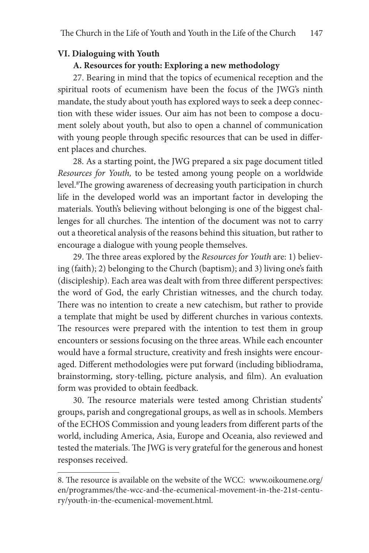## **VI. Dialoguing with Youth**

## **A. Resources for youth: Exploring a new methodology**

27. Bearing in mind that the topics of ecumenical reception and the spiritual roots of ecumenism have been the focus of the JWG's ninth mandate, the study about youth has explored ways to seek a deep connection with these wider issues. Our aim has not been to compose a document solely about youth, but also to open a channel of communication with young people through specific resources that can be used in different places and churches.

28. As a starting point, the JWG prepared a six page document titled *Resources for Youth,* to be tested among young people on a worldwide level.<sup>8</sup>The growing awareness of decreasing youth participation in church life in the developed world was an important factor in developing the materials. Youth's believing without belonging is one of the biggest challenges for all churches. The intention of the document was not to carry out a theoretical analysis of the reasons behind this situation, but rather to encourage a dialogue with young people themselves.

29. The three areas explored by the *Resources for Youth* are: 1) believing (faith); 2) belonging to the Church (baptism); and 3) living one's faith (discipleship). Each area was dealt with from three different perspectives: the word of God, the early Christian witnesses, and the church today. There was no intention to create a new catechism, but rather to provide a template that might be used by different churches in various contexts. The resources were prepared with the intention to test them in group encounters or sessions focusing on the three areas. While each encounter would have a formal structure, creativity and fresh insights were encouraged. Different methodologies were put forward (including bibliodrama, brainstorming, story-telling, picture analysis, and film). An evaluation form was provided to obtain feedback.

30. The resource materials were tested among Christian students' groups, parish and congregational groups, as well as in schools. Members of the ECHOS Commission and young leaders from different parts of the world, including America, Asia, Europe and Oceania, also reviewed and tested the materials. The JWG is very grateful for the generous and honest responses received.

<sup>8.</sup> The resource is available on the website of the WCC: www.oikoumene.org/ en/programmes/the-wcc-and-the-ecumenical-movement-in-the-21st-century/youth-in-the-ecumenical-movement.html.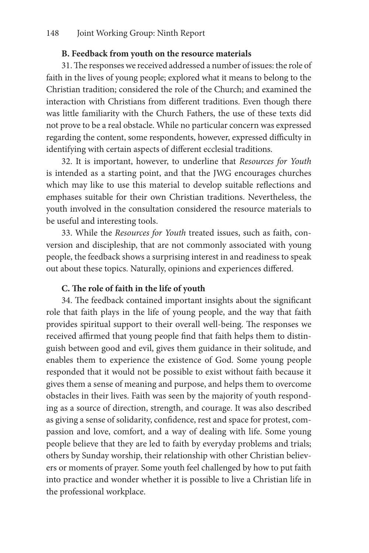## **B. Feedback from youth on the resource materials**

31. The responses we received addressed a number of issues: the role of faith in the lives of young people; explored what it means to belong to the Christian tradition; considered the role of the Church; and examined the interaction with Christians from different traditions. Even though there was little familiarity with the Church Fathers, the use of these texts did not prove to be a real obstacle. While no particular concern was expressed regarding the content, some respondents, however, expressed difficulty in identifying with certain aspects of different ecclesial traditions.

32. It is important, however, to underline that *Resources for Youth* is intended as a starting point, and that the JWG encourages churches which may like to use this material to develop suitable reflections and emphases suitable for their own Christian traditions. Nevertheless, the youth involved in the consultation considered the resource materials to be useful and interesting tools.

33. While the *Resources for Youth* treated issues, such as faith, conversion and discipleship, that are not commonly associated with young people, the feedback shows a surprising interest in and readiness to speak out about these topics. Naturally, opinions and experiences differed.

## **C. The role of faith in the life of youth**

34. The feedback contained important insights about the significant role that faith plays in the life of young people, and the way that faith provides spiritual support to their overall well-being. The responses we received affirmed that young people find that faith helps them to distinguish between good and evil, gives them guidance in their solitude, and enables them to experience the existence of God. Some young people responded that it would not be possible to exist without faith because it gives them a sense of meaning and purpose, and helps them to overcome obstacles in their lives. Faith was seen by the majority of youth responding as a source of direction, strength, and courage. It was also described as giving a sense of solidarity, confidence, rest and space for protest, compassion and love, comfort, and a way of dealing with life. Some young people believe that they are led to faith by everyday problems and trials; others by Sunday worship, their relationship with other Christian believers or moments of prayer. Some youth feel challenged by how to put faith into practice and wonder whether it is possible to live a Christian life in the professional workplace.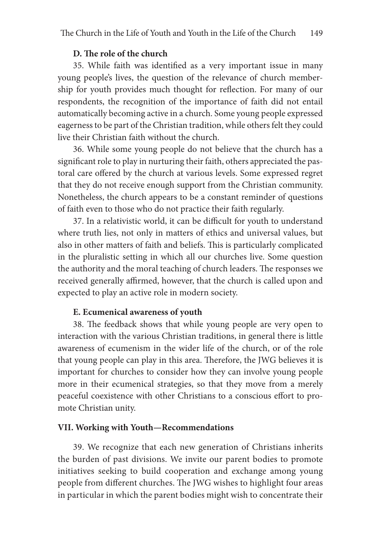## **D. The role of the church**

35. While faith was identified as a very important issue in many young people's lives, the question of the relevance of church membership for youth provides much thought for reflection. For many of our respondents, the recognition of the importance of faith did not entail automatically becoming active in a church. Some young people expressed eagerness to be part of the Christian tradition, while others felt they could live their Christian faith without the church.

36. While some young people do not believe that the church has a significant role to play in nurturing their faith, others appreciated the pastoral care offered by the church at various levels. Some expressed regret that they do not receive enough support from the Christian community. Nonetheless, the church appears to be a constant reminder of questions of faith even to those who do not practice their faith regularly.

37. In a relativistic world, it can be difficult for youth to understand where truth lies, not only in matters of ethics and universal values, but also in other matters of faith and beliefs. This is particularly complicated in the pluralistic setting in which all our churches live. Some question the authority and the moral teaching of church leaders. The responses we received generally affirmed, however, that the church is called upon and expected to play an active role in modern society.

#### **E. Ecumenical awareness of youth**

38. The feedback shows that while young people are very open to interaction with the various Christian traditions, in general there is little awareness of ecumenism in the wider life of the church, or of the role that young people can play in this area. Therefore, the JWG believes it is important for churches to consider how they can involve young people more in their ecumenical strategies, so that they move from a merely peaceful coexistence with other Christians to a conscious effort to promote Christian unity.

#### **VII. Working with Youth—Recommendations**

39. We recognize that each new generation of Christians inherits the burden of past divisions. We invite our parent bodies to promote initiatives seeking to build cooperation and exchange among young people from different churches. The JWG wishes to highlight four areas in particular in which the parent bodies might wish to concentrate their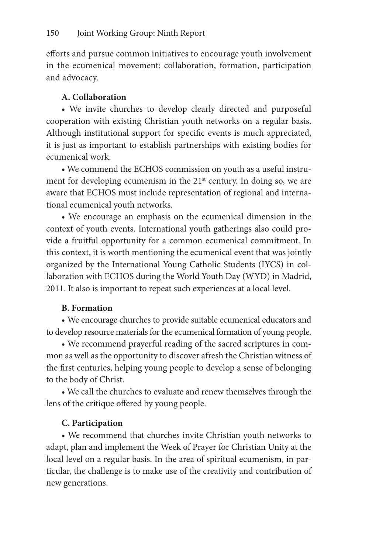efforts and pursue common initiatives to encourage youth involvement in the ecumenical movement: collaboration, formation, participation and advocacy.

## **A. Collaboration**

• We invite churches to develop clearly directed and purposeful cooperation with existing Christian youth networks on a regular basis. Although institutional support for specific events is much appreciated, it is just as important to establish partnerships with existing bodies for ecumenical work.

• We commend the ECHOS commission on youth as a useful instrument for developing ecumenism in the 21<sup>st</sup> century. In doing so, we are aware that ECHOS must include representation of regional and international ecumenical youth networks.

• We encourage an emphasis on the ecumenical dimension in the context of youth events. International youth gatherings also could provide a fruitful opportunity for a common ecumenical commitment. In this context, it is worth mentioning the ecumenical event that was jointly organized by the International Young Catholic Students (IYCS) in collaboration with ECHOS during the World Youth Day (WYD) in Madrid, 2011. It also is important to repeat such experiences at a local level.

## **B. Formation**

• We encourage churches to provide suitable ecumenical educators and to develop resource materials for the ecumenical formation of young people.

• We recommend prayerful reading of the sacred scriptures in common as well as the opportunity to discover afresh the Christian witness of the first centuries, helping young people to develop a sense of belonging to the body of Christ.

• We call the churches to evaluate and renew themselves through the lens of the critique offered by young people.

## **C. Participation**

• We recommend that churches invite Christian youth networks to adapt, plan and implement the Week of Prayer for Christian Unity at the local level on a regular basis. In the area of spiritual ecumenism, in particular, the challenge is to make use of the creativity and contribution of new generations.